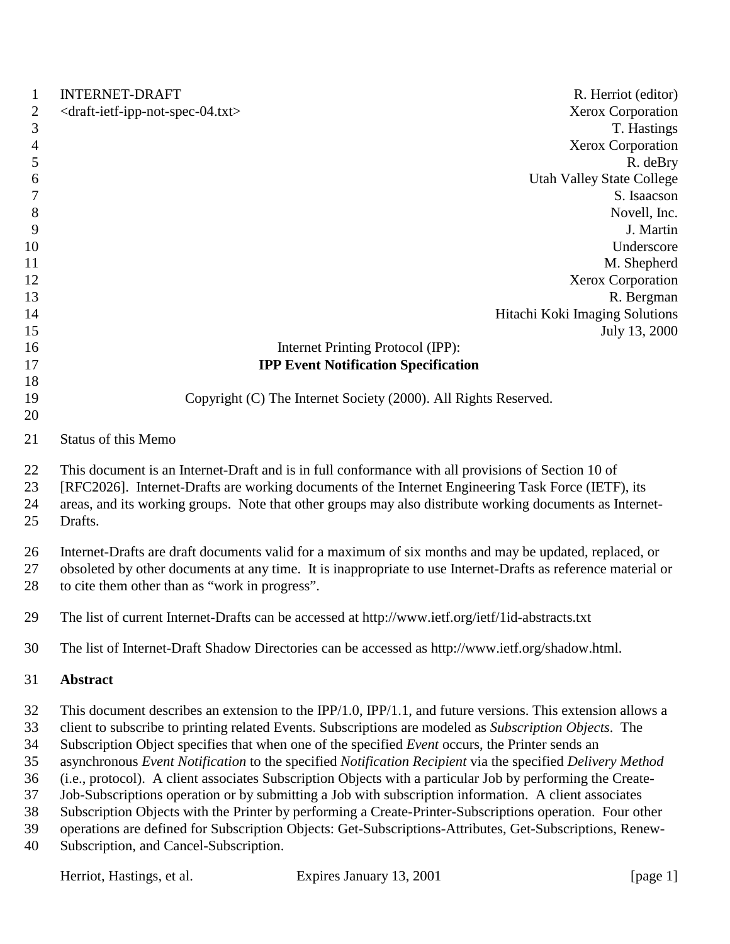| 1                | <b>INTERNET-DRAFT</b>                                                                                         | R. Herriot (editor)                                                                                        |  |
|------------------|---------------------------------------------------------------------------------------------------------------|------------------------------------------------------------------------------------------------------------|--|
| $\overline{2}$   | <draft-ietf-ipp-not-spec-04.txt></draft-ietf-ipp-not-spec-04.txt>                                             | Xerox Corporation                                                                                          |  |
| 3                |                                                                                                               | T. Hastings                                                                                                |  |
| $\overline{4}$   |                                                                                                               | <b>Xerox Corporation</b>                                                                                   |  |
| $\mathfrak{S}$   |                                                                                                               | R. deBry                                                                                                   |  |
| 6                |                                                                                                               | <b>Utah Valley State College</b>                                                                           |  |
| $\boldsymbol{7}$ |                                                                                                               | S. Isaacson                                                                                                |  |
| $\,8\,$          |                                                                                                               | Novell, Inc.                                                                                               |  |
| 9                |                                                                                                               | J. Martin                                                                                                  |  |
| 10               |                                                                                                               | Underscore                                                                                                 |  |
| 11               |                                                                                                               | M. Shepherd                                                                                                |  |
| 12               |                                                                                                               | <b>Xerox Corporation</b>                                                                                   |  |
| 13               |                                                                                                               | R. Bergman                                                                                                 |  |
| 14               |                                                                                                               | Hitachi Koki Imaging Solutions                                                                             |  |
| 15               |                                                                                                               | July 13, 2000                                                                                              |  |
| 16               |                                                                                                               | Internet Printing Protocol (IPP):                                                                          |  |
| 17               |                                                                                                               | <b>IPP Event Notification Specification</b>                                                                |  |
| 18               |                                                                                                               |                                                                                                            |  |
| 19               |                                                                                                               | Copyright (C) The Internet Society (2000). All Rights Reserved.                                            |  |
| 20               |                                                                                                               |                                                                                                            |  |
| 21               | Status of this Memo                                                                                           |                                                                                                            |  |
| 22               | This document is an Internet-Draft and is in full conformance with all provisions of Section 10 of            |                                                                                                            |  |
| 23               |                                                                                                               | [RFC2026]. Internet-Drafts are working documents of the Internet Engineering Task Force (IETF), its        |  |
| 24               | areas, and its working groups. Note that other groups may also distribute working documents as Internet-      |                                                                                                            |  |
| 25               | Drafts.                                                                                                       |                                                                                                            |  |
| 26               |                                                                                                               | Internet-Drafts are draft documents valid for a maximum of six months and may be updated, replaced, or     |  |
| 27               | obsoleted by other documents at any time. It is inappropriate to use Internet-Drafts as reference material or |                                                                                                            |  |
| 28               | to cite them other than as "work in progress".                                                                |                                                                                                            |  |
| 29               |                                                                                                               | The list of current Internet-Drafts can be accessed at http://www.ietf.org/ietf/1id-abstracts.txt          |  |
| 30               | The list of Internet-Draft Shadow Directories can be accessed as http://www.ietf.org/shadow.html.             |                                                                                                            |  |
| 31               | Abstract                                                                                                      |                                                                                                            |  |
| 32               |                                                                                                               | This document describes an extension to the IPP/1.0, IPP/1.1, and future versions. This extension allows a |  |
| 33               |                                                                                                               | client to subscribe to printing related Events. Subscriptions are modeled as Subscription Objects. The     |  |
| 34               |                                                                                                               | Subscription Object specifies that when one of the specified Event occurs, the Printer sends an            |  |
| 35               |                                                                                                               | asynchronous Event Notification to the specified Notification Recipient via the specified Delivery Method  |  |
| 36               | (i.e., protocol). A client associates Subscription Objects with a particular Job by performing the Create-    |                                                                                                            |  |
| 37               |                                                                                                               | Job-Subscriptions operation or by submitting a Job with subscription information. A client associates      |  |
| 38               |                                                                                                               | Subscription Objects with the Printer by performing a Create-Printer-Subscriptions operation. Four other   |  |
| 39               |                                                                                                               | operations are defined for Subscription Objects: Get-Subscriptions-Attributes, Get-Subscriptions, Renew-   |  |
| 40               | Subscription, and Cancel-Subscription.                                                                        |                                                                                                            |  |
|                  | Herriot, Hastings, et al.                                                                                     | Expires January 13, 2001<br>[page 1]                                                                       |  |
|                  |                                                                                                               |                                                                                                            |  |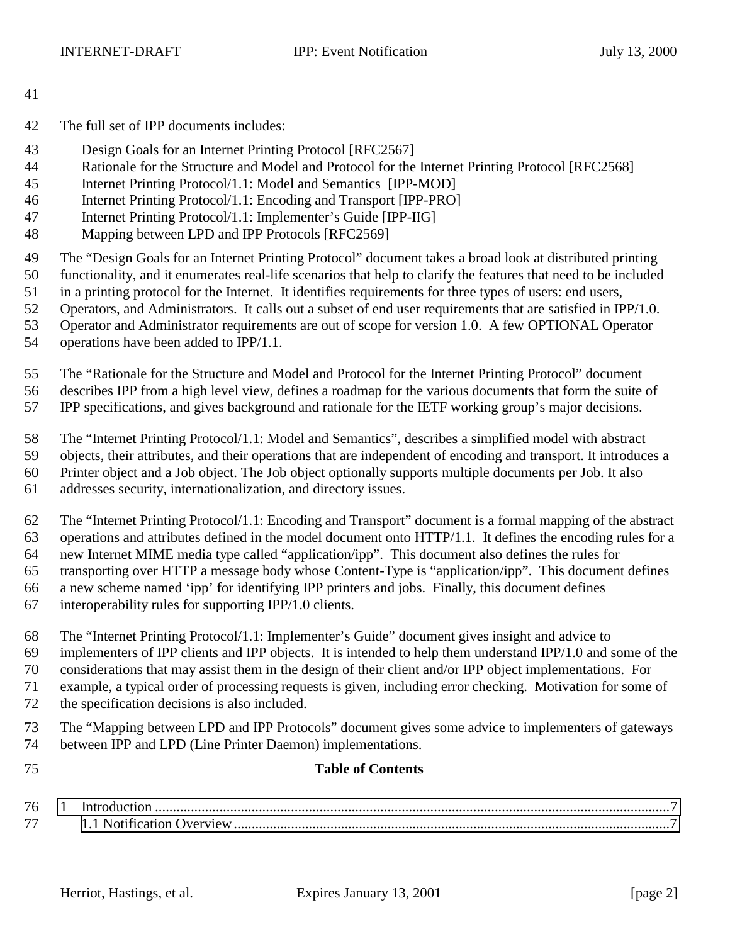- The full set of IPP documents includes:
- Design Goals for an Internet Printing Protocol [RFC2567]
- Rationale for the Structure and Model and Protocol for the Internet Printing Protocol [RFC2568]
- Internet Printing Protocol/1.1: Model and Semantics [IPP-MOD]
- Internet Printing Protocol/1.1: Encoding and Transport [IPP-PRO]
- Internet Printing Protocol/1.1: Implementer's Guide [IPP-IIG]
- Mapping between LPD and IPP Protocols [RFC2569]

The "Design Goals for an Internet Printing Protocol" document takes a broad look at distributed printing

functionality, and it enumerates real-life scenarios that help to clarify the features that need to be included

- in a printing protocol for the Internet. It identifies requirements for three types of users: end users,
- Operators, and Administrators. It calls out a subset of end user requirements that are satisfied in IPP/1.0.
- Operator and Administrator requirements are out of scope for version 1.0. A few OPTIONAL Operator
- operations have been added to IPP/1.1.
- The "Rationale for the Structure and Model and Protocol for the Internet Printing Protocol" document
- describes IPP from a high level view, defines a roadmap for the various documents that form the suite of
- IPP specifications, and gives background and rationale for the IETF working group's major decisions.
- The "Internet Printing Protocol/1.1: Model and Semantics", describes a simplified model with abstract
- objects, their attributes, and their operations that are independent of encoding and transport. It introduces a
- Printer object and a Job object. The Job object optionally supports multiple documents per Job. It also
- addresses security, internationalization, and directory issues.
- The "Internet Printing Protocol/1.1: Encoding and Transport" document is a formal mapping of the abstract operations and attributes defined in the model document onto HTTP/1.1. It defines the encoding rules for a new Internet MIME media type called "application/ipp". This document also defines the rules for transporting over HTTP a message body whose Content-Type is "application/ipp". This document defines a new scheme named 'ipp' for identifying IPP printers and jobs. Finally, this document defines
- interoperability rules for supporting IPP/1.0 clients.
- The "Internet Printing Protocol/1.1: Implementer's Guide" document gives insight and advice to
- implementers of IPP clients and IPP objects. It is intended to help them understand IPP/1.0 and some of the
- considerations that may assist them in the design of their client and/or IPP object implementations. For
- example, a typical order of processing requests is given, including error checking. Motivation for some of the specification decisions is also included.
- - The "Mapping between LPD and IPP Protocols" document gives some advice to implementers of gateways between IPP and LPD (Line Printer Daemon) implementations.
- 

#### **Table of Contents**

 [1 Introduction ................................................................................................................................................7](#page-6-0) [1.1 Notification Overview..........................................................................................................................7](#page-6-0)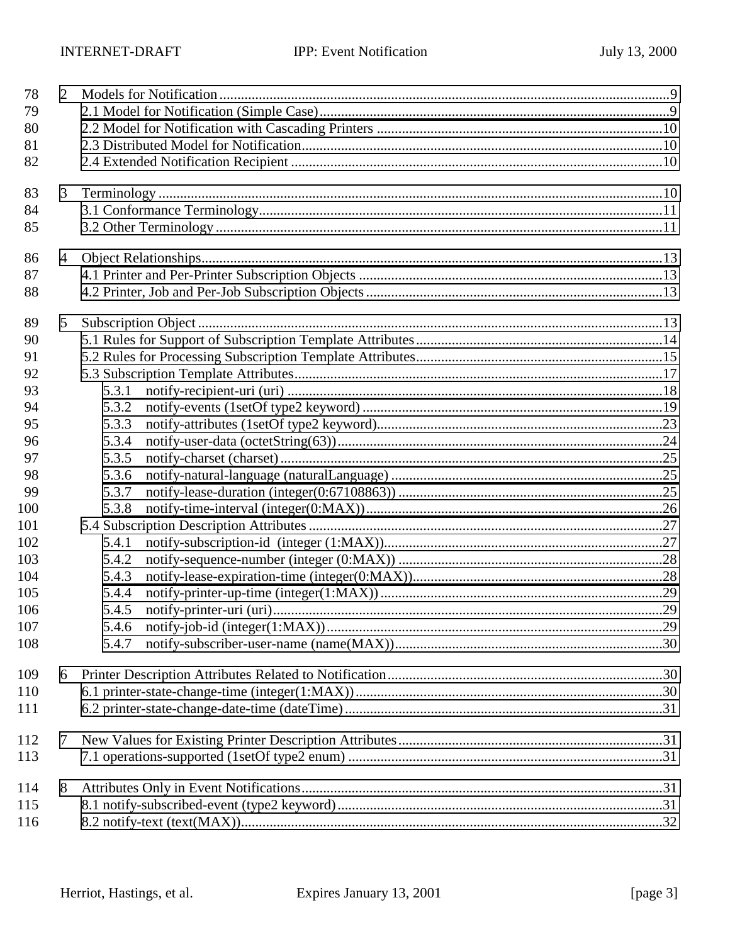| 78  | $\overline{2}$ |       |  |
|-----|----------------|-------|--|
| 79  |                |       |  |
| 80  |                |       |  |
| 81  |                |       |  |
| 82  |                |       |  |
| 83  | 3              |       |  |
| 84  |                |       |  |
| 85  |                |       |  |
| 86  | $\overline{4}$ |       |  |
| 87  |                |       |  |
| 88  |                |       |  |
| 89  | 5              |       |  |
| 90  |                |       |  |
| 91  |                |       |  |
| 92  |                |       |  |
| 93  |                | 5.3.1 |  |
| 94  |                | 5.3.2 |  |
| 95  |                | 5.3.3 |  |
| 96  |                | 5.3.4 |  |
| 97  |                | 5.3.5 |  |
| 98  |                | 5.3.6 |  |
| 99  |                | 5.3.7 |  |
| 100 |                | 5.3.8 |  |
| 101 |                |       |  |
| 102 |                | 5.4.1 |  |
| 103 |                | 5.4.2 |  |
| 104 |                | 5.4.3 |  |
| 105 |                | 5.4.4 |  |
| 106 |                | 5.4.5 |  |
| 107 |                | 5.4.6 |  |
| 108 |                | 5.4.7 |  |
| 109 | 6              |       |  |
| 110 |                |       |  |
| 111 |                |       |  |
| 112 | 7              |       |  |
| 113 |                |       |  |
| 114 | 8              |       |  |
| 115 |                |       |  |
| 116 |                |       |  |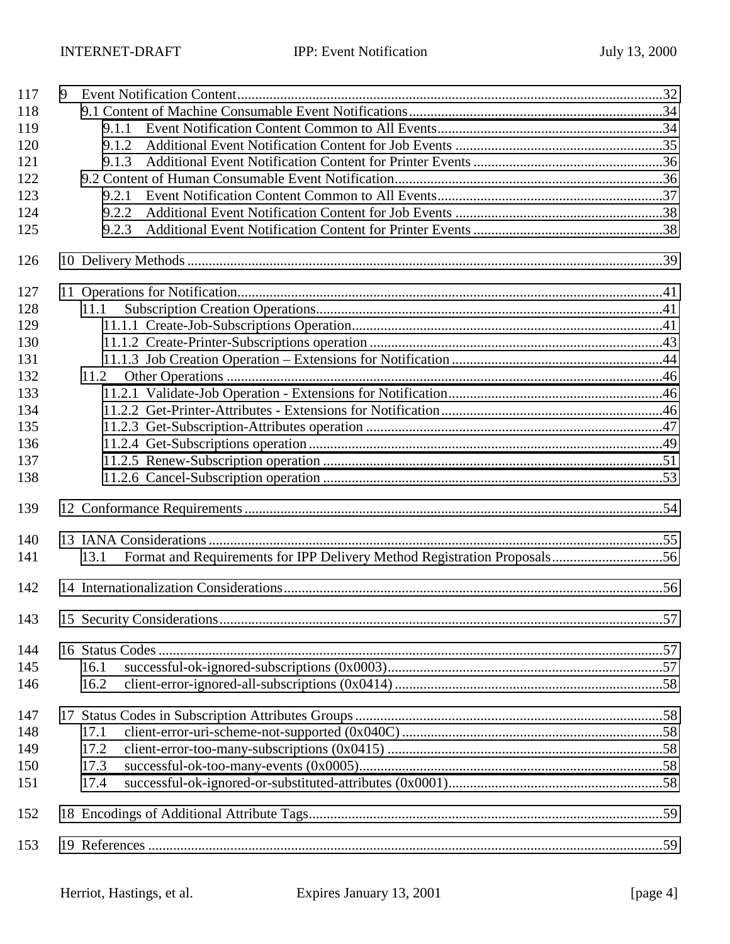| 117 | 9 |       |  |
|-----|---|-------|--|
| 118 |   |       |  |
| 119 |   | 9.1.1 |  |
| 120 |   | 9.1.2 |  |
| 121 |   | 9.1.3 |  |
| 122 |   |       |  |
| 123 |   | 9.2.1 |  |
| 124 |   | 9.2.2 |  |
| 125 |   | 9.2.3 |  |
| 126 |   |       |  |
| 127 |   |       |  |
| 128 |   | 11.1  |  |
| 129 |   |       |  |
| 130 |   |       |  |
| 131 |   |       |  |
| 132 |   | 11.2  |  |
| 133 |   |       |  |
| 134 |   |       |  |
| 135 |   |       |  |
| 136 |   |       |  |
| 137 |   |       |  |
| 138 |   |       |  |
| 139 |   |       |  |
| 140 |   |       |  |
| 141 |   | 13.1  |  |
| 142 |   |       |  |
| 143 |   |       |  |
| 144 |   |       |  |
| 145 |   | 16.1  |  |
| 146 |   | 16.2  |  |
| 147 |   |       |  |
| 148 |   | 17.1  |  |
| 149 |   | 17.2  |  |
| 150 |   | 17.3  |  |
| 151 |   | 17.4  |  |
| 152 |   |       |  |
| 153 |   |       |  |
|     |   |       |  |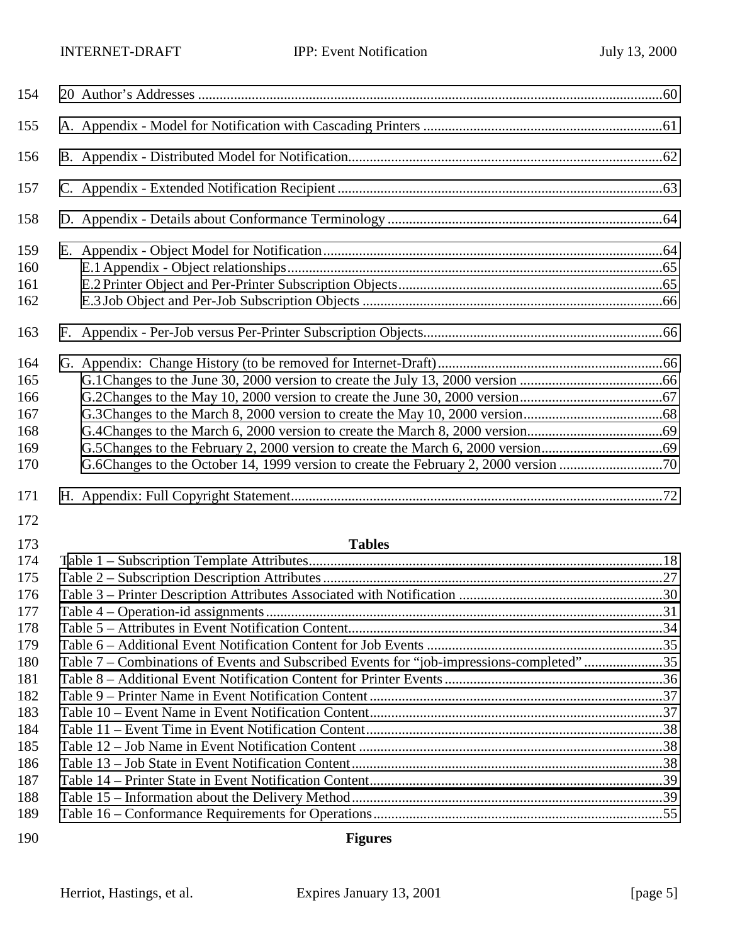| 154               |                                                                                           |  |
|-------------------|-------------------------------------------------------------------------------------------|--|
| 155               |                                                                                           |  |
| 156               |                                                                                           |  |
| 157               |                                                                                           |  |
| 158               |                                                                                           |  |
| 159<br>160<br>161 |                                                                                           |  |
| 162               |                                                                                           |  |
| 163               |                                                                                           |  |
| 164               |                                                                                           |  |
| 165               |                                                                                           |  |
| 166               |                                                                                           |  |
| 167               |                                                                                           |  |
| 168               |                                                                                           |  |
| 169               |                                                                                           |  |
| 170               |                                                                                           |  |
| 171               |                                                                                           |  |
| 172               |                                                                                           |  |
| 173               | <b>Tables</b>                                                                             |  |
| 174               |                                                                                           |  |
| 175               |                                                                                           |  |
| 176               |                                                                                           |  |
| 177               |                                                                                           |  |
| 178               |                                                                                           |  |
| 179               |                                                                                           |  |
| 180               | Table 7 - Combinations of Events and Subscribed Events for "job-impressions-completed" 35 |  |
| 181               |                                                                                           |  |
| 182               |                                                                                           |  |
| 183               |                                                                                           |  |
| 184               |                                                                                           |  |

**Figures**

 [Table 12 – Job Name in Event Notification Content .....................................................................................38](#page-37-0) [Table 13 – Job State in Event Notification Content.......................................................................................38](#page-37-0) [Table 14 – Printer State in Event Notification Content..................................................................................39](#page-38-0) [Table 15 – Information about the Delivery Method.......................................................................................39](#page-38-0) [Table 16 – Conformance Requirements for Operations.................................................................................55](#page-54-0)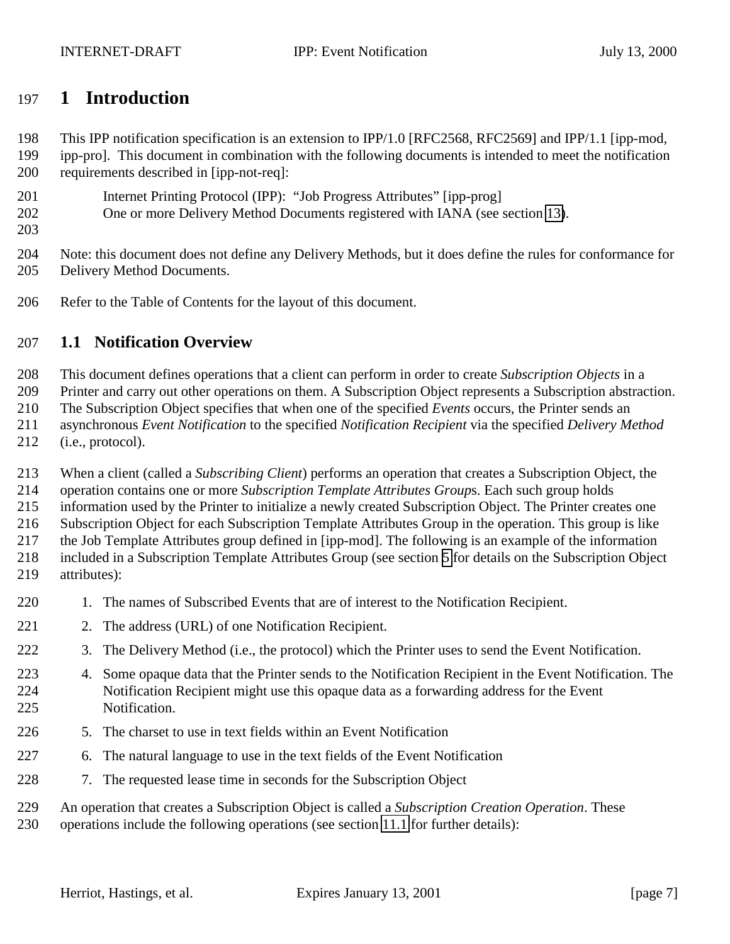# <span id="page-6-0"></span>**1 Introduction**

This IPP notification specification is an extension to IPP/1.0 [RFC2568, RFC2569] and IPP/1.1 [ipp-mod,

- ipp-pro]. This document in combination with the following documents is intended to meet the notification requirements described in [ipp-not-req]:
- Internet Printing Protocol (IPP): "Job Progress Attributes" [ipp-prog]
- One or more Delivery Method Documents registered with IANA (see section [13\)](#page-54-0).
- 

 Note: this document does not define any Delivery Methods, but it does define the rules for conformance for Delivery Method Documents.

Refer to the Table of Contents for the layout of this document.

# **1.1 Notification Overview**

This document defines operations that a client can perform in order to create *Subscription Objects* in a

Printer and carry out other operations on them. A Subscription Object represents a Subscription abstraction.

The Subscription Object specifies that when one of the specified *Events* occurs, the Printer sends an

asynchronous *Event Notification* to the specified *Notification Recipient* via the specified *Delivery Method*

(i.e., protocol).

When a client (called a *Subscribing Client*) performs an operation that creates a Subscription Object, the

operation contains one or more *Subscription Template Attributes Group*s. Each such group holds

information used by the Printer to initialize a newly created Subscription Object. The Printer creates one

Subscription Object for each Subscription Template Attributes Group in the operation. This group is like

the Job Template Attributes group defined in [ipp-mod]. The following is an example of the information

 included in a Subscription Template Attributes Group (see section [5](#page-12-0) for details on the Subscription Object attributes):

- 1. The names of Subscribed Events that are of interest to the Notification Recipient.
- 221 2. The address (URL) of one Notification Recipient.
- 3. The Delivery Method (i.e., the protocol) which the Printer uses to send the Event Notification.
- 4. Some opaque data that the Printer sends to the Notification Recipient in the Event Notification. The Notification Recipient might use this opaque data as a forwarding address for the Event Notification.
- 5. The charset to use in text fields within an Event Notification
- 6. The natural language to use in the text fields of the Event Notification
- 7. The requested lease time in seconds for the Subscription Object

An operation that creates a Subscription Object is called a *Subscription Creation Operation*. These

operations include the following operations (see section [11.1](#page-40-0) for further details):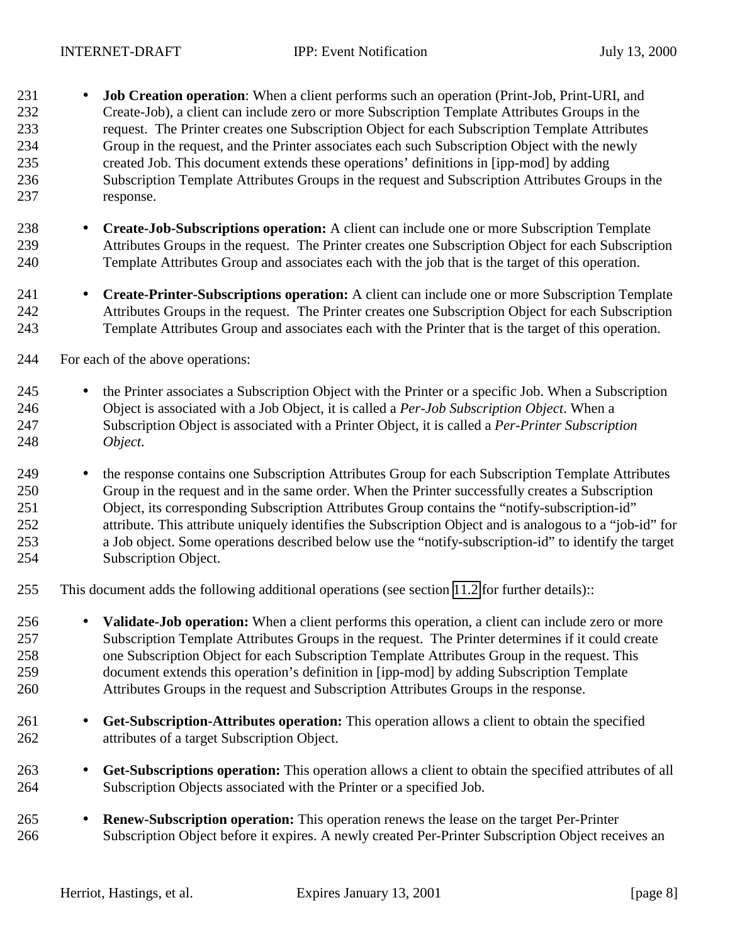- **Job Creation operation**: When a client performs such an operation (Print-Job, Print-URI, and Create-Job), a client can include zero or more Subscription Template Attributes Groups in the request. The Printer creates one Subscription Object for each Subscription Template Attributes Group in the request, and the Printer associates each such Subscription Object with the newly created Job. This document extends these operations' definitions in [ipp-mod] by adding Subscription Template Attributes Groups in the request and Subscription Attributes Groups in the response.
- **Create-Job-Subscriptions operation:** A client can include one or more Subscription Template Attributes Groups in the request. The Printer creates one Subscription Object for each Subscription Template Attributes Group and associates each with the job that is the target of this operation.
- **Create-Printer-Subscriptions operation:** A client can include one or more Subscription Template Attributes Groups in the request. The Printer creates one Subscription Object for each Subscription Template Attributes Group and associates each with the Printer that is the target of this operation.
- For each of the above operations:
- 245 the Printer associates a Subscription Object with the Printer or a specific Job. When a Subscription Object is associated with a Job Object, it is called a *Per-Job Subscription Object*. When a Subscription Object is associated with a Printer Object, it is called a *Per-Printer Subscription Object*.
- the response contains one Subscription Attributes Group for each Subscription Template Attributes Group in the request and in the same order. When the Printer successfully creates a Subscription Object, its corresponding Subscription Attributes Group contains the "notify-subscription-id" attribute. This attribute uniquely identifies the Subscription Object and is analogous to a "job-id" for a Job object. Some operations described below use the "notify-subscription-id" to identify the target Subscription Object.
- This document adds the following additional operations (see section [11.2](#page-45-0) for further details)::
- **Validate-Job operation:** When a client performs this operation, a client can include zero or more Subscription Template Attributes Groups in the request. The Printer determines if it could create one Subscription Object for each Subscription Template Attributes Group in the request. This document extends this operation's definition in [ipp-mod] by adding Subscription Template Attributes Groups in the request and Subscription Attributes Groups in the response.
- **Get-Subscription-Attributes operation:** This operation allows a client to obtain the specified attributes of a target Subscription Object.
- **Get-Subscriptions operation:** This operation allows a client to obtain the specified attributes of all Subscription Objects associated with the Printer or a specified Job.
- **Renew-Subscription operation:** This operation renews the lease on the target Per-Printer Subscription Object before it expires. A newly created Per-Printer Subscription Object receives an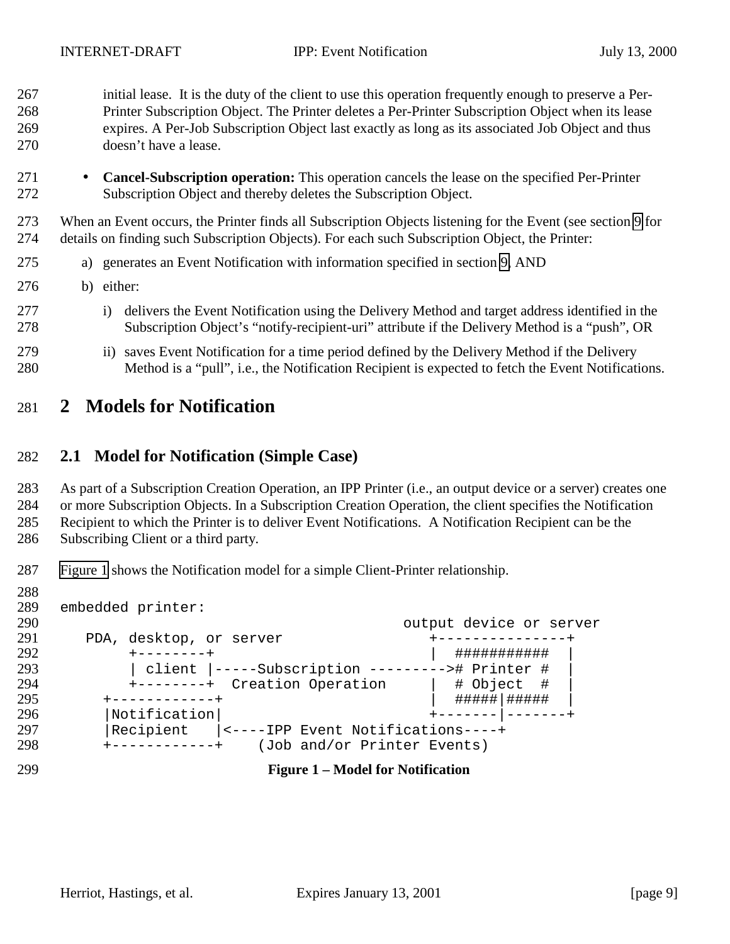<span id="page-8-0"></span> initial lease. It is the duty of the client to use this operation frequently enough to preserve a Per- Printer Subscription Object. The Printer deletes a Per-Printer Subscription Object when its lease expires. A Per-Job Subscription Object last exactly as long as its associated Job Object and thus doesn't have a lease.

 • **Cancel-Subscription operation:** This operation cancels the lease on the specified Per-Printer Subscription Object and thereby deletes the Subscription Object.

 When an Event occurs, the Printer finds all Subscription Objects listening for the Event (see section [9](#page-31-0) for details on finding such Subscription Objects). For each such Subscription Object, the Printer:

- a) generates an Event Notification with information specified in section [9,](#page-31-0) AND
- b) either:
- 277 i) delivers the Event Notification using the Delivery Method and target address identified in the Subscription Object's "notify-recipient-uri" attribute if the Delivery Method is a "push", OR
- 279 ii) saves Event Notification for a time period defined by the Delivery Method if the Delivery Method is a "pull", i.e., the Notification Recipient is expected to fetch the Event Notifications.

# **2 Models for Notification**

#### **2.1 Model for Notification (Simple Case)**

As part of a Subscription Creation Operation, an IPP Printer (i.e., an output device or a server) creates one

or more Subscription Objects. In a Subscription Creation Operation, the client specifies the Notification

Recipient to which the Printer is to deliver Event Notifications. A Notification Recipient can be the

- Subscribing Client or a third party.
- Figure 1 shows the Notification model for a simple Client-Printer relationship.
- 

 embedded printer: 290 290 cutput device or server<br>291 DDA, desktop, or server example the to-the-theory of the server PDA, desktop, or server +---------------+ +--------+ | ########### |  $\vert$  client  $\vert$ -----Subscription ---------># Printer # 294  $\vert$  +--------+ Creation Operation  $\vert$  # Object # +---------+ Creation Operation | # Object #<br>++-----------+ +------------+ | #####|##### | |Notification| +-------|-------+ |Recipient |<----IPP Event Notifications----+ +------------+ (Job and/or Printer Events)

**Figure 1 – Model for Notification**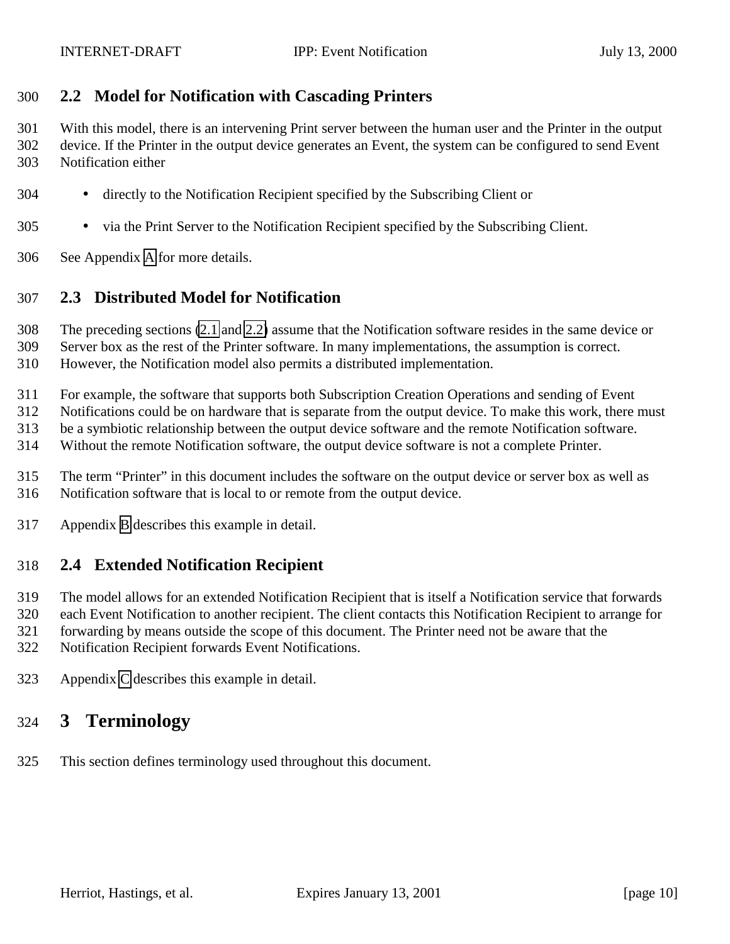#### <span id="page-9-0"></span>**2.2 Model for Notification with Cascading Printers**

 With this model, there is an intervening Print server between the human user and the Printer in the output device. If the Printer in the output device generates an Event, the system can be configured to send Event Notification either

- directly to the Notification Recipient specified by the Subscribing Client or
- via the Print Server to the Notification Recipient specified by the Subscribing Client.
- See Appendix [A](#page-60-0) for more details.

#### **2.3 Distributed Model for Notification**

The preceding sections [\(2.1](#page-8-0) and 2.2) assume that the Notification software resides in the same device or

Server box as the rest of the Printer software. In many implementations, the assumption is correct.

However, the Notification model also permits a distributed implementation.

For example, the software that supports both Subscription Creation Operations and sending of Event

Notifications could be on hardware that is separate from the output device. To make this work, there must

be a symbiotic relationship between the output device software and the remote Notification software.

Without the remote Notification software, the output device software is not a complete Printer.

- The term "Printer" in this document includes the software on the output device or server box as well as Notification software that is local to or remote from the output device.
- Appendix [B](#page-61-0) describes this example in detail.

#### **2.4 Extended Notification Recipient**

The model allows for an extended Notification Recipient that is itself a Notification service that forwards

each Event Notification to another recipient. The client contacts this Notification Recipient to arrange for

forwarding by means outside the scope of this document. The Printer need not be aware that the

Notification Recipient forwards Event Notifications.

Appendix [C](#page-62-0) describes this example in detail.

# **3 Terminology**

This section defines terminology used throughout this document.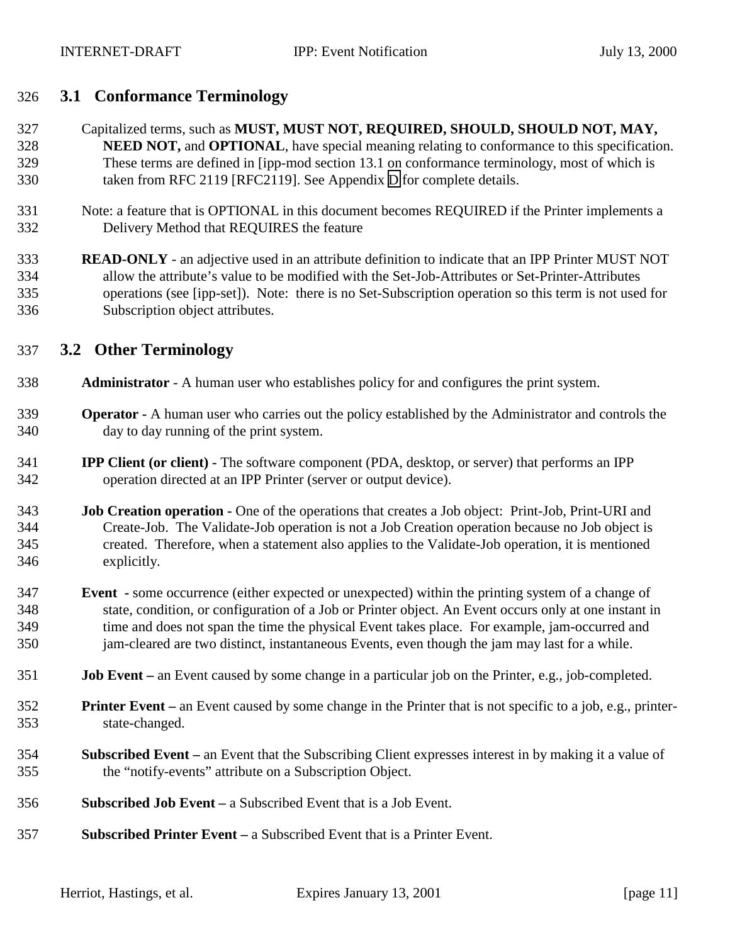#### <span id="page-10-0"></span>**3.1 Conformance Terminology**

- Capitalized terms, such as **MUST, MUST NOT, REQUIRED, SHOULD, SHOULD NOT, MAY, NEED NOT,** and **OPTIONAL**, have special meaning relating to conformance to this specification. These terms are defined in [ipp-mod section 13.1 on conformance terminology, most of which is taken from RFC 2119 [RFC2119]. See Appendix [D](#page-63-0) for complete details.
- Note: a feature that is OPTIONAL in this document becomes REQUIRED if the Printer implements a Delivery Method that REQUIRES the feature
- **READ-ONLY** an adjective used in an attribute definition to indicate that an IPP Printer MUST NOT allow the attribute's value to be modified with the Set-Job-Attributes or Set-Printer-Attributes operations (see [ipp-set]). Note: there is no Set-Subscription operation so this term is not used for Subscription object attributes.

#### **3.2 Other Terminology**

- **Administrator**  A human user who establishes policy for and configures the print system.
- **Operator** A human user who carries out the policy established by the Administrator and controls the day to day running of the print system.
- **IPP Client (or client)** The software component (PDA, desktop, or server) that performs an IPP operation directed at an IPP Printer (server or output device).
- **Job Creation operation** One of the operations that creates a Job object: Print-Job, Print-URI and Create-Job. The Validate-Job operation is not a Job Creation operation because no Job object is created. Therefore, when a statement also applies to the Validate-Job operation, it is mentioned explicitly.
- **Event** some occurrence (either expected or unexpected) within the printing system of a change of state, condition, or configuration of a Job or Printer object. An Event occurs only at one instant in time and does not span the time the physical Event takes place. For example, jam-occurred and jam-cleared are two distinct, instantaneous Events, even though the jam may last for a while.
- **Job Event** an Event caused by some change in a particular job on the Printer, e.g., job-completed.
- **Printer Event** an Event caused by some change in the Printer that is not specific to a job, e.g., printer-state-changed.
- **Subscribed Event** an Event that the Subscribing Client expresses interest in by making it a value of the "notify-events" attribute on a Subscription Object.
- **Subscribed Job Event** a Subscribed Event that is a Job Event.
- **Subscribed Printer Event** a Subscribed Event that is a Printer Event.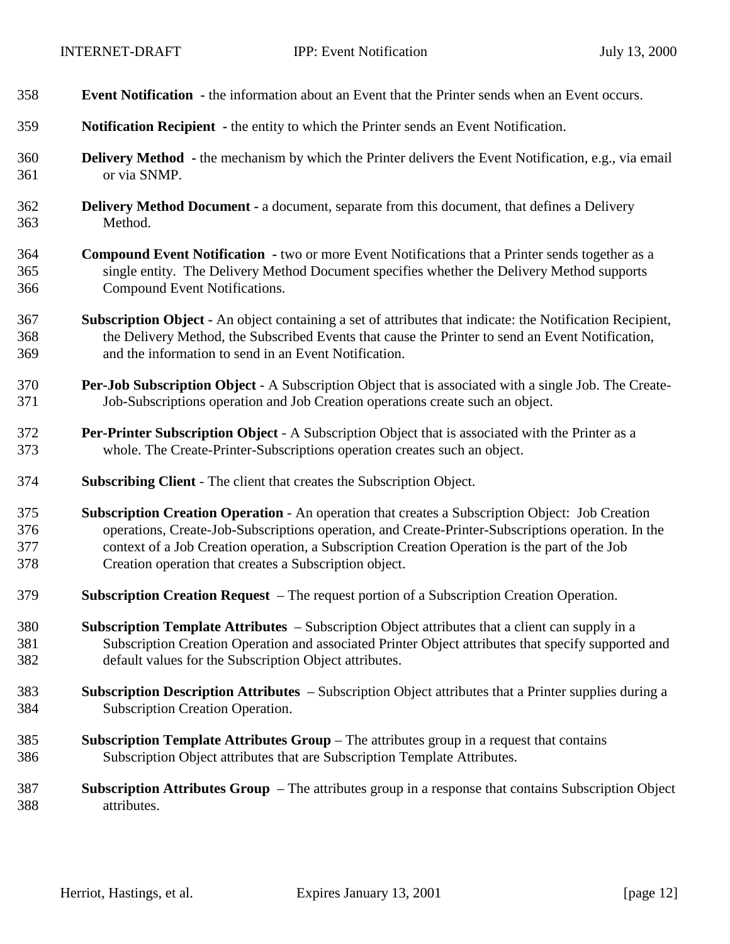| 358 | <b>Event Notification</b> - the information about an Event that the Printer sends when an Event occurs.          |
|-----|------------------------------------------------------------------------------------------------------------------|
| 359 | Notification Recipient - the entity to which the Printer sends an Event Notification.                            |
| 360 | <b>Delivery Method</b> - the mechanism by which the Printer delivers the Event Notification, e.g., via email     |
| 361 | or via SNMP.                                                                                                     |
| 362 | <b>Delivery Method Document - a document, separate from this document, that defines a Delivery</b>               |
| 363 | Method.                                                                                                          |
| 364 | <b>Compound Event Notification</b> - two or more Event Notifications that a Printer sends together as a          |
| 365 | single entity. The Delivery Method Document specifies whether the Delivery Method supports                       |
| 366 | Compound Event Notifications.                                                                                    |
| 367 | <b>Subscription Object -</b> An object containing a set of attributes that indicate: the Notification Recipient, |
| 368 | the Delivery Method, the Subscribed Events that cause the Printer to send an Event Notification,                 |
| 369 | and the information to send in an Event Notification.                                                            |
| 370 | Per-Job Subscription Object - A Subscription Object that is associated with a single Job. The Create-            |
| 371 | Job-Subscriptions operation and Job Creation operations create such an object.                                   |
| 372 | <b>Per-Printer Subscription Object</b> - A Subscription Object that is associated with the Printer as a          |
| 373 | whole. The Create-Printer-Subscriptions operation creates such an object.                                        |
| 374 | <b>Subscribing Client - The client that creates the Subscription Object.</b>                                     |
| 375 | Subscription Creation Operation - An operation that creates a Subscription Object: Job Creation                  |
| 376 | operations, Create-Job-Subscriptions operation, and Create-Printer-Subscriptions operation. In the               |
| 377 | context of a Job Creation operation, a Subscription Creation Operation is the part of the Job                    |
| 378 | Creation operation that creates a Subscription object.                                                           |
| 379 | Subscription Creation Request – The request portion of a Subscription Creation Operation.                        |
| 380 | <b>Subscription Template Attributes</b> – Subscription Object attributes that a client can supply in a           |
| 381 | Subscription Creation Operation and associated Printer Object attributes that specify supported and              |
| 382 | default values for the Subscription Object attributes.                                                           |
| 383 | Subscription Description Attributes – Subscription Object attributes that a Printer supplies during a            |
| 384 | Subscription Creation Operation.                                                                                 |
| 385 | Subscription Template Attributes Group - The attributes group in a request that contains                         |
| 386 | Subscription Object attributes that are Subscription Template Attributes.                                        |
| 387 | <b>Subscription Attributes Group</b> – The attributes group in a response that contains Subscription Object      |
| 388 | attributes.                                                                                                      |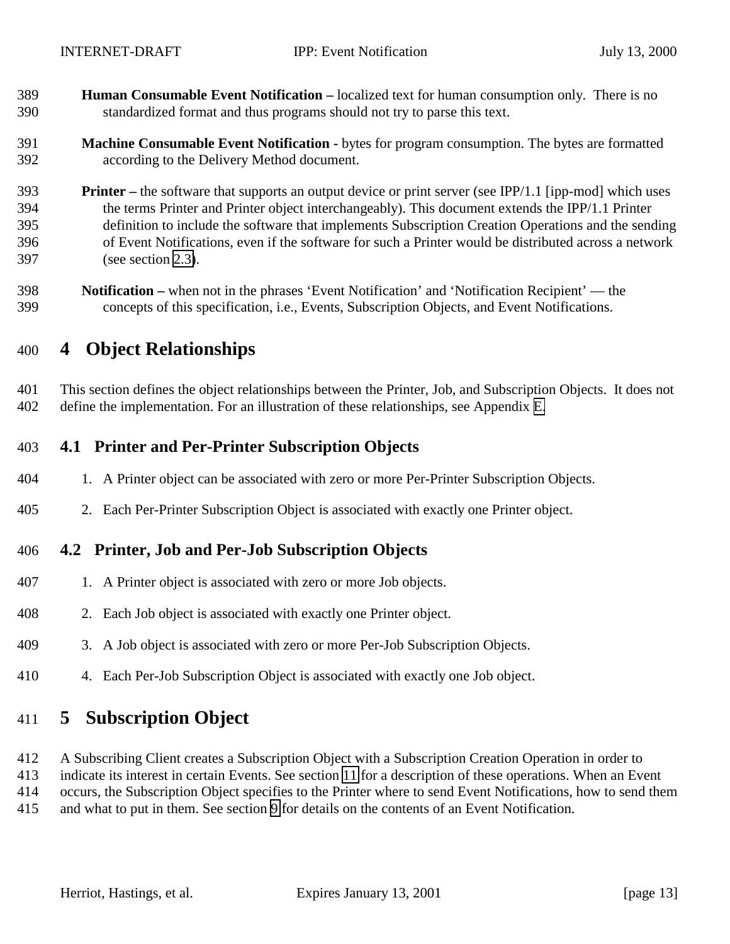<span id="page-12-0"></span> **Human Consumable Event Notification –** localized text for human consumption only. There is no standardized format and thus programs should not try to parse this text.

#### **Machine Consumable Event Notification -** bytes for program consumption. The bytes are formatted according to the Delivery Method document.

- **Printer** the software that supports an output device or print server (see IPP/1.1 [ipp-mod] which uses the terms Printer and Printer object interchangeably). This document extends the IPP/1.1 Printer definition to include the software that implements Subscription Creation Operations and the sending of Event Notifications, even if the software for such a Printer would be distributed across a network (see section [2.3\)](#page-9-0).
- **Notification –** when not in the phrases 'Event Notification' and 'Notification Recipient' the concepts of this specification, i.e., Events, Subscription Objects, and Event Notifications.

# **4 Object Relationships**

 This section defines the object relationships between the Printer, Job, and Subscription Objects. It does not define the implementation. For an illustration of these relationships, see Appendix [E.](#page-63-0)

## **4.1 Printer and Per-Printer Subscription Objects**

- 1. A Printer object can be associated with zero or more Per-Printer Subscription Objects.
- 2. Each Per-Printer Subscription Object is associated with exactly one Printer object.

#### **4.2 Printer, Job and Per-Job Subscription Objects**

- 1. A Printer object is associated with zero or more Job objects.
- 2. Each Job object is associated with exactly one Printer object.
- 3. A Job object is associated with zero or more Per-Job Subscription Objects.
- 4. Each Per-Job Subscription Object is associated with exactly one Job object.

# **5 Subscription Object**

- A Subscribing Client creates a Subscription Object with a Subscription Creation Operation in order to
- indicate its interest in certain Events. See section [11](#page-40-0) for a description of these operations. When an Event
- occurs, the Subscription Object specifies to the Printer where to send Event Notifications, how to send them
- and what to put in them. See section [9](#page-31-0) for details on the contents of an Event Notification.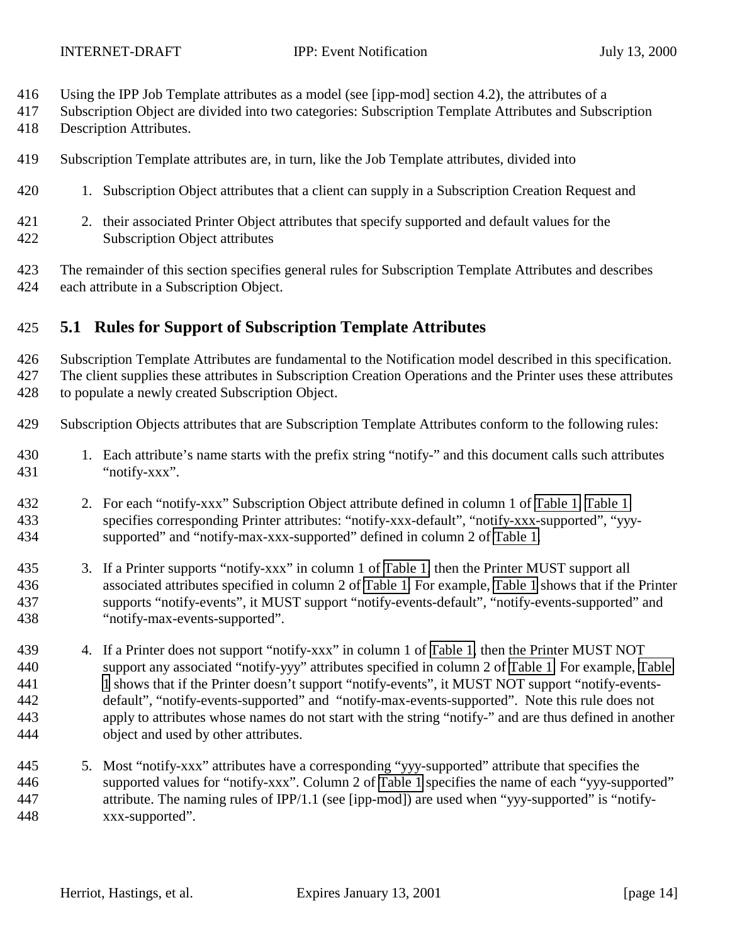- <span id="page-13-0"></span>Using the IPP Job Template attributes as a model (see [ipp-mod] section 4.2), the attributes of a
- Subscription Object are divided into two categories: Subscription Template Attributes and Subscription
- Description Attributes.
- Subscription Template attributes are, in turn, like the Job Template attributes, divided into
- 1. Subscription Object attributes that a client can supply in a Subscription Creation Request and
- 2. their associated Printer Object attributes that specify supported and default values for the Subscription Object attributes
- The remainder of this section specifies general rules for Subscription Template Attributes and describes each attribute in a Subscription Object.

## **5.1 Rules for Support of Subscription Template Attributes**

 Subscription Template Attributes are fundamental to the Notification model described in this specification. The client supplies these attributes in Subscription Creation Operations and the Printer uses these attributes to populate a newly created Subscription Object.

- Subscription Objects attributes that are Subscription Template Attributes conform to the following rules:
- 430 1. Each attribute's name starts with the prefix string "notify-" and this document calls such attributes "notify-xxx".
- 2. For each "notify-xxx" Subscription Object attribute defined in column 1 of [Table 1, Table 1](#page-17-0) specifies corresponding Printer attributes: "notify-xxx-default", "notify-xxx-supported", "yyy-supported" and "notify-max-xxx-supported" defined in column 2 of [Table 1.](#page-17-0)
- 3. If a Printer supports "notify-xxx" in column 1 of [Table 1,](#page-17-0) then the Printer MUST support all associated attributes specified in column 2 of [Table 1.](#page-17-0) For example, [Table 1](#page-17-0) shows that if the Printer supports "notify-events", it MUST support "notify-events-default", "notify-events-supported" and "notify-max-events-supported".
- 439 4. If a Printer does not support "notify-xxx" in column 1 of [Table 1,](#page-17-0) then the Printer MUST NOT support any associated "notify-yyy" attributes specified in column 2 of [Table 1.](#page-17-0) For example, [Table](#page-17-0) [1](#page-17-0) shows that if the Printer doesn't support "notify-events", it MUST NOT support "notify-events- default", "notify-events-supported" and "notify-max-events-supported". Note this rule does not apply to attributes whose names do not start with the string "notify-" and are thus defined in another object and used by other attributes.
- 5. Most "notify-xxx" attributes have a corresponding "yyy-supported" attribute that specifies the supported values for "notify-xxx". Column 2 of [Table 1](#page-17-0) specifies the name of each "yyy-supported" attribute. The naming rules of IPP/1.1 (see [ipp-mod]) are used when "yyy-supported" is "notify-xxx-supported".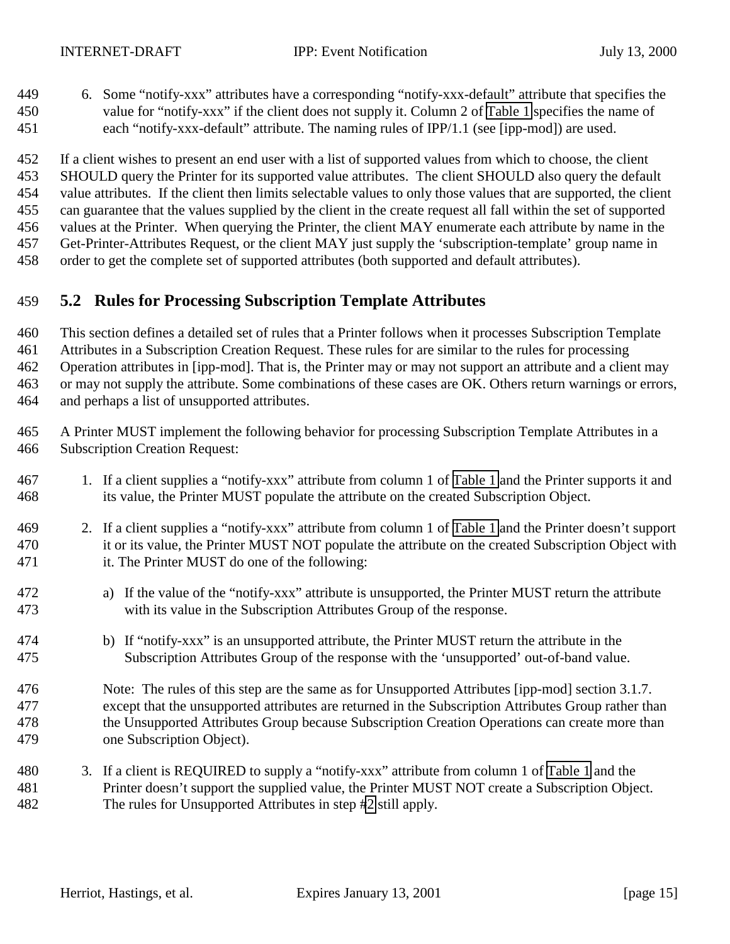<span id="page-14-0"></span> 6. Some "notify-xxx" attributes have a corresponding "notify-xxx-default" attribute that specifies the value for "notify-xxx" if the client does not supply it. Column 2 of [Table 1](#page-17-0) specifies the name of each "notify-xxx-default" attribute. The naming rules of IPP/1.1 (see [ipp-mod]) are used.

 If a client wishes to present an end user with a list of supported values from which to choose, the client SHOULD query the Printer for its supported value attributes. The client SHOULD also query the default value attributes. If the client then limits selectable values to only those values that are supported, the client can guarantee that the values supplied by the client in the create request all fall within the set of supported values at the Printer. When querying the Printer, the client MAY enumerate each attribute by name in the Get-Printer-Attributes Request, or the client MAY just supply the 'subscription-template' group name in order to get the complete set of supported attributes (both supported and default attributes).

### **5.2 Rules for Processing Subscription Template Attributes**

 This section defines a detailed set of rules that a Printer follows when it processes Subscription Template Attributes in a Subscription Creation Request. These rules for are similar to the rules for processing Operation attributes in [ipp-mod]. That is, the Printer may or may not support an attribute and a client may or may not supply the attribute. Some combinations of these cases are OK. Others return warnings or errors, and perhaps a list of unsupported attributes.

 A Printer MUST implement the following behavior for processing Subscription Template Attributes in a Subscription Creation Request:

- 1. If a client supplies a "notify-xxx" attribute from column 1 of [Table 1](#page-17-0) and the Printer supports it and its value, the Printer MUST populate the attribute on the created Subscription Object.
- 2. If a client supplies a "notify-xxx" attribute from column 1 of [Table 1](#page-17-0) and the Printer doesn't support 470 it or its value, the Printer MUST NOT populate the attribute on the created Subscription Object with it. The Printer MUST do one of the following:
- a) If the value of the "notify-xxx" attribute is unsupported, the Printer MUST return the attribute with its value in the Subscription Attributes Group of the response.
- b) If "notify-xxx" is an unsupported attribute, the Printer MUST return the attribute in the Subscription Attributes Group of the response with the 'unsupported' out-of-band value.
- Note: The rules of this step are the same as for Unsupported Attributes [ipp-mod] section 3.1.7. except that the unsupported attributes are returned in the Subscription Attributes Group rather than the Unsupported Attributes Group because Subscription Creation Operations can create more than one Subscription Object).
- 3. If a client is REQUIRED to supply a "notify-xxx" attribute from column 1 of [Table 1](#page-17-0) and the Printer doesn't support the supplied value, the Printer MUST NOT create a Subscription Object. The rules for Unsupported Attributes in step #2 still apply.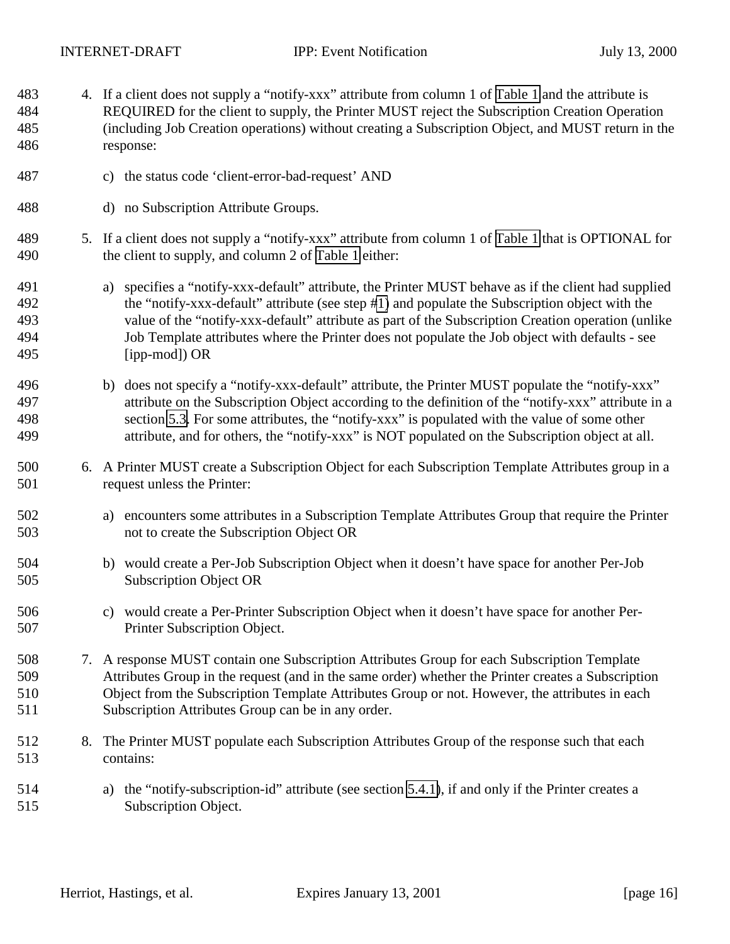<span id="page-15-0"></span>4. If a client does not supply a "notify-xxx" attribute from column 1 of [Table 1](#page-17-0) and the attribute is

 REQUIRED for the client to supply, the Printer MUST reject the Subscription Creation Operation (including Job Creation operations) without creating a Subscription Object, and MUST return in the response: c) the status code 'client-error-bad-request' AND d) no Subscription Attribute Groups. 5. If a client does not supply a "notify-xxx" attribute from column 1 of [Table 1](#page-17-0) that is OPTIONAL for the client to supply, and column 2 of [Table 1](#page-17-0) either: a) specifies a "notify-xxx-default" attribute, the Printer MUST behave as if the client had supplied the "notify-xxx-default" attribute (see step [#1\)](#page-14-0) and populate the Subscription object with the value of the "notify-xxx-default" attribute as part of the Subscription Creation operation (unlike Job Template attributes where the Printer does not populate the Job object with defaults - see [ipp-mod]) OR 496 b) does not specify a "notify-xxx-default" attribute, the Printer MUST populate the "notify-xxx" attribute on the Subscription Object according to the definition of the "notify-xxx" attribute in a section [5.3.](#page-16-0) For some attributes, the "notify-xxx" is populated with the value of some other attribute, and for others, the "notify-xxx" is NOT populated on the Subscription object at all. 6. A Printer MUST create a Subscription Object for each Subscription Template Attributes group in a request unless the Printer: a) encounters some attributes in a Subscription Template Attributes Group that require the Printer not to create the Subscription Object OR b) would create a Per-Job Subscription Object when it doesn't have space for another Per-Job Subscription Object OR c) would create a Per-Printer Subscription Object when it doesn't have space for another Per- Printer Subscription Object. 7. A response MUST contain one Subscription Attributes Group for each Subscription Template Attributes Group in the request (and in the same order) whether the Printer creates a Subscription Object from the Subscription Template Attributes Group or not. However, the attributes in each Subscription Attributes Group can be in any order. 8. The Printer MUST populate each Subscription Attributes Group of the response such that each contains: a) the "notify-subscription-id" attribute (see section [5.4.1\)](#page-26-0), if and only if the Printer creates a Subscription Object.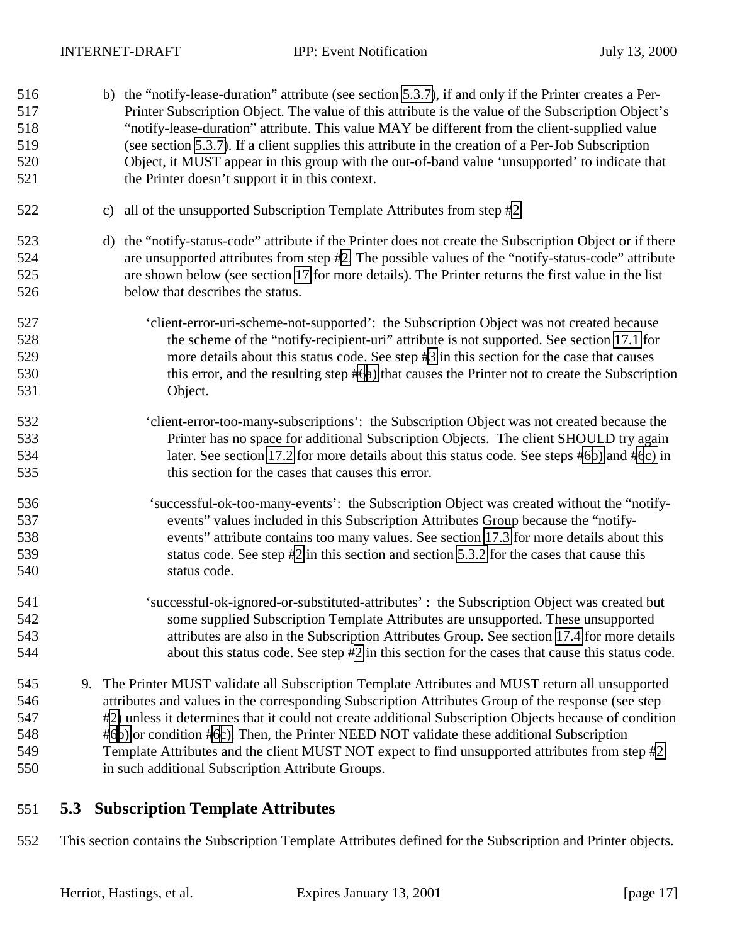<span id="page-16-0"></span> b) the "notify-lease-duration" attribute (see section [5.3.7\)](#page-24-0), if and only if the Printer creates a Per- Printer Subscription Object. The value of this attribute is the value of the Subscription Object's "notify-lease-duration" attribute. This value MAY be different from the client-supplied value (see section [5.3.7\)](#page-24-0). If a client supplies this attribute in the creation of a Per-Job Subscription Object, it MUST appear in this group with the out-of-band value 'unsupported' to indicate that the Printer doesn't support it in this context. c) all of the unsupported Subscription Template Attributes from step [#2.](#page-14-0) d) the "notify-status-code" attribute if the Printer does not create the Subscription Object or if there are unsupported attributes from step [#2.](#page-14-0) The possible values of the "notify-status-code" attribute are shown below (see section [17](#page-57-0) for more details). The Printer returns the first value in the list below that describes the status. 'client-error-uri-scheme-not-supported': the Subscription Object was not created because the scheme of the "notify-recipient-uri" attribute is not supported. See section [17.1](#page-57-0) for more details about this status code. See step [#3](#page-14-0) in this section for the case that causes 530 this error, and the resulting step [#6a\)](#page-15-0) that causes the Printer not to create the Subscription Object. 'client-error-too-many-subscriptions': the Subscription Object was not created because the Printer has no space for additional Subscription Objects. The client SHOULD try again later. See section [17.2](#page-57-0) for more details about this status code. See steps [#6b\)](#page-15-0) and [#6c\)](#page-15-0) in this section for the cases that causes this error. 536 'successful-ok-too-many-events': the Subscription Object was created without the "notify- events" values included in this Subscription Attributes Group because the "notify- events" attribute contains too many values. See section [17.3](#page-57-0) for more details about this status code. See step [#2](#page-14-0) in this section and section [5.3.2](#page-18-0) for the cases that cause this status code. 'successful-ok-ignored-or-substituted-attributes' : the Subscription Object was created but some supplied Subscription Template Attributes are unsupported. These unsupported attributes are also in the Subscription Attributes Group. See section [17.4](#page-57-0) for more details 544 bout this status code. See step [#2](#page-14-0) in this section for the cases that cause this status code. 9. The Printer MUST validate all Subscription Template Attributes and MUST return all unsupported attributes and values in the corresponding Subscription Attributes Group of the response (see step [#2\)](#page-14-0) unless it determines that it could not create additional Subscription Objects because of condition [#6b\)](#page-15-0) or condition [#6c\).](#page-15-0) Then, the Printer NEED NOT validate these additional Subscription Template Attributes and the client MUST NOT expect to find unsupported attributes from step [#2](#page-14-0) in such additional Subscription Attribute Groups.

# **5.3 Subscription Template Attributes**

This section contains the Subscription Template Attributes defined for the Subscription and Printer objects.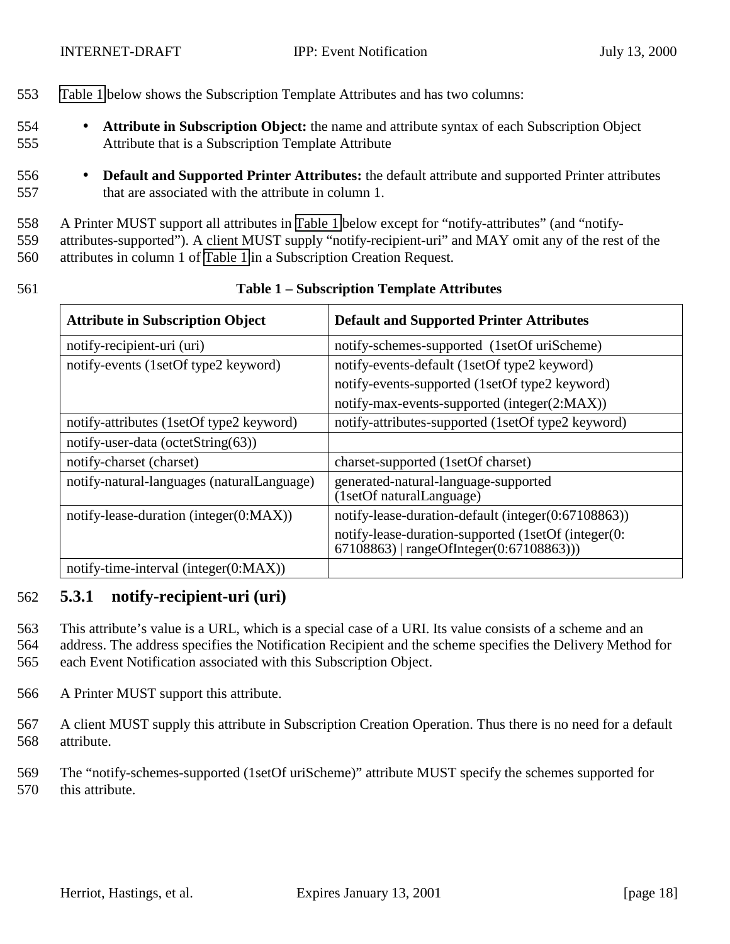- <span id="page-17-0"></span>553 Table 1 below shows the Subscription Template Attributes and has two columns:
- 554 **Attribute in Subscription Object:** the name and attribute syntax of each Subscription Object 555 Attribute that is a Subscription Template Attribute
- 556 **Default and Supported Printer Attributes:** the default attribute and supported Printer attributes 557 that are associated with the attribute in column 1.

558 A Printer MUST support all attributes in Table 1 below except for "notify-attributes" (and "notify-

559 attributes-supported"). A client MUST supply "notify-recipient-uri" and MAY omit any of the rest of the

560 attributes in column 1 of Table 1 in a Subscription Creation Request.

| 561 | <b>Table 1 – Subscription Template Attributes</b> |
|-----|---------------------------------------------------|
|     |                                                   |

| <b>Attribute in Subscription Object</b>    | <b>Default and Supported Printer Attributes</b>                                                 |  |
|--------------------------------------------|-------------------------------------------------------------------------------------------------|--|
| notify-recipient-uri (uri)                 | notify-schemes-supported (1setOf uriScheme)                                                     |  |
| notify-events (1setOf type2 keyword)       | notify-events-default (1setOf type2 keyword)                                                    |  |
|                                            | notify-events-supported (1setOf type2 keyword)                                                  |  |
|                                            | notify-max-events-supported (integer(2:MAX))                                                    |  |
| notify-attributes (1setOf type2 keyword)   | notify-attributes-supported (1setOf type2 keyword)                                              |  |
| notify-user-data (octetString(63))         |                                                                                                 |  |
| notify-charset (charset)                   | charset-supported (1setOf charset)                                                              |  |
| notify-natural-languages (naturalLanguage) | generated-natural-language-supported<br>(1setOf naturalLanguage)                                |  |
| notify-lease-duration (integer $(0:MAX)$ ) | notify-lease-duration-default (integer(0:67108863))                                             |  |
|                                            | notify-lease-duration-supported (1setOf (integer(0:<br>67108863)   rangeOfInteger(0:67108863))) |  |
| notify-time-interval (integer $(0:MAX)$ )  |                                                                                                 |  |

#### 562 **5.3.1 notify-recipient-uri (uri)**

563 This attribute's value is a URL, which is a special case of a URI. Its value consists of a scheme and an

564 address. The address specifies the Notification Recipient and the scheme specifies the Delivery Method for

- 565 each Event Notification associated with this Subscription Object.
- 566 A Printer MUST support this attribute.
- 567 A client MUST supply this attribute in Subscription Creation Operation. Thus there is no need for a default 568 attribute.
- 569 The "notify-schemes-supported (1setOf uriScheme)" attribute MUST specify the schemes supported for 570 this attribute.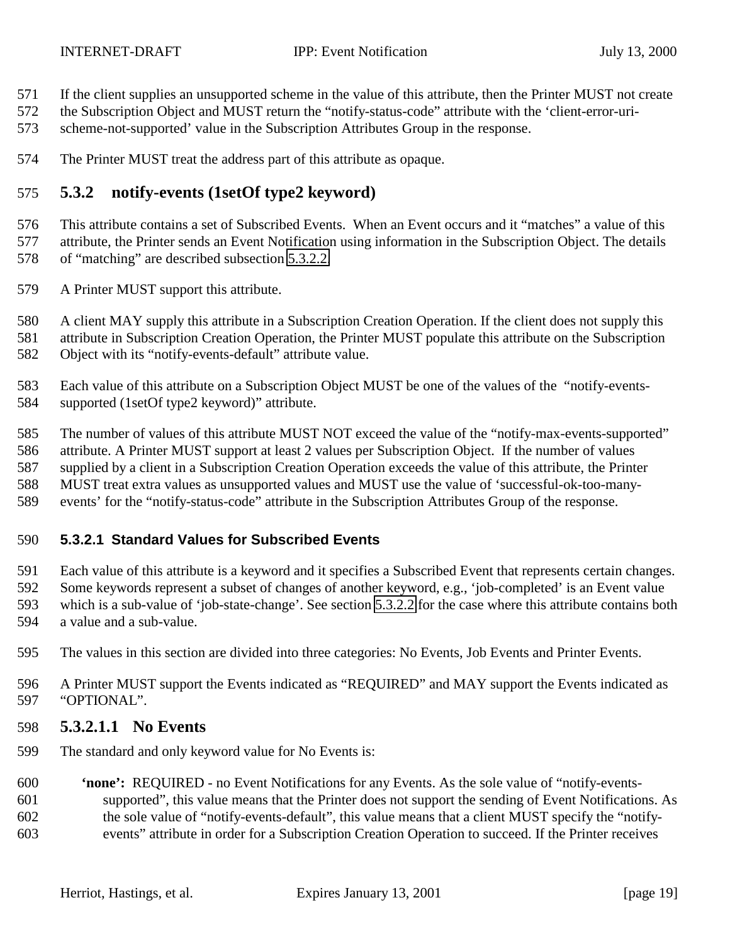- <span id="page-18-0"></span>If the client supplies an unsupported scheme in the value of this attribute, then the Printer MUST not create
- the Subscription Object and MUST return the "notify-status-code" attribute with the 'client-error-uri-
- scheme-not-supported' value in the Subscription Attributes Group in the response.
- The Printer MUST treat the address part of this attribute as opaque.

## **5.3.2 notify-events (1setOf type2 keyword)**

 This attribute contains a set of Subscribed Events. When an Event occurs and it "matches" a value of this attribute, the Printer sends an Event Notification using information in the Subscription Object. The details of "matching" are described subsection [5.3.2.2.](#page-21-0)

- A Printer MUST support this attribute.
- A client MAY supply this attribute in a Subscription Creation Operation. If the client does not supply this
- attribute in Subscription Creation Operation, the Printer MUST populate this attribute on the Subscription
- Object with its "notify-events-default" attribute value.
- Each value of this attribute on a Subscription Object MUST be one of the values of the "notify-events-supported (1setOf type2 keyword)" attribute.
- The number of values of this attribute MUST NOT exceed the value of the "notify-max-events-supported"
- attribute. A Printer MUST support at least 2 values per Subscription Object. If the number of values
- supplied by a client in a Subscription Creation Operation exceeds the value of this attribute, the Printer
- MUST treat extra values as unsupported values and MUST use the value of 'successful-ok-too-many-
- events' for the "notify-status-code" attribute in the Subscription Attributes Group of the response.

#### **5.3.2.1 Standard Values for Subscribed Events**

Each value of this attribute is a keyword and it specifies a Subscribed Event that represents certain changes.

- Some keywords represent a subset of changes of another keyword, e.g., 'job-completed' is an Event value
- which is a sub-value of 'job-state-change'. See section [5.3.2.2](#page-21-0) for the case where this attribute contains both
- a value and a sub-value.
- The values in this section are divided into three categories: No Events, Job Events and Printer Events.
- A Printer MUST support the Events indicated as "REQUIRED" and MAY support the Events indicated as "OPTIONAL".
- **5.3.2.1.1 No Events**
- The standard and only keyword value for No Events is:
- **'none':** REQUIRED no Event Notifications for any Events. As the sole value of "notify-events- supported", this value means that the Printer does not support the sending of Event Notifications. As the sole value of "notify-events-default", this value means that a client MUST specify the "notify-
- events" attribute in order for a Subscription Creation Operation to succeed. If the Printer receives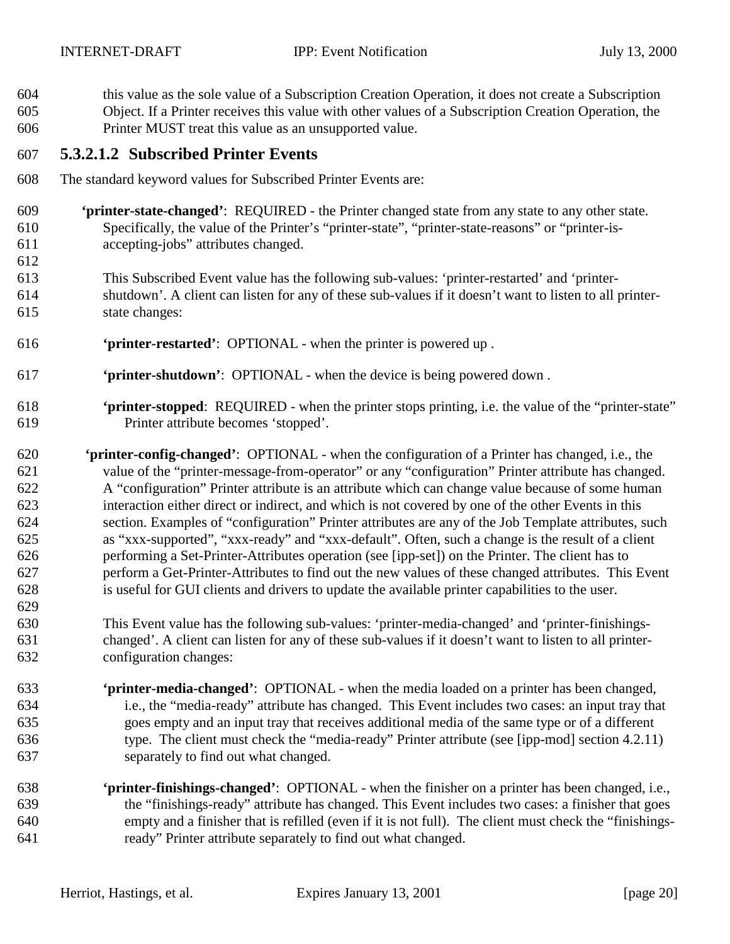- this value as the sole value of a Subscription Creation Operation, it does not create a Subscription Object. If a Printer receives this value with other values of a Subscription Creation Operation, the
- Printer MUST treat this value as an unsupported value.

# **5.3.2.1.2 Subscribed Printer Events**

- The standard keyword values for Subscribed Printer Events are:
- **'printer-state-changed'**: REQUIRED the Printer changed state from any state to any other state. Specifically, the value of the Printer's "printer-state", "printer-state-reasons" or "printer-is-accepting-jobs" attributes changed.
- 
- This Subscribed Event value has the following sub-values: 'printer-restarted' and 'printer- shutdown'. A client can listen for any of these sub-values if it doesn't want to listen to all printer-state changes:
- **'printer-restarted'**: OPTIONAL when the printer is powered up .
- **'printer-shutdown'**: OPTIONAL when the device is being powered down .
- **'printer-stopped**: REQUIRED when the printer stops printing, i.e. the value of the "printer-state" Printer attribute becomes 'stopped'.
- **'printer-config-changed'**:OPTIONAL when the configuration of a Printer has changed, i.e., the value of the "printer-message-from-operator" or any "configuration" Printer attribute has changed. A "configuration" Printer attribute is an attribute which can change value because of some human interaction either direct or indirect, and which is not covered by one of the other Events in this section. Examples of "configuration" Printer attributes are any of the Job Template attributes, such as "xxx-supported", "xxx-ready" and "xxx-default". Often, such a change is the result of a client performing a Set-Printer-Attributes operation (see [ipp-set]) on the Printer. The client has to perform a Get-Printer-Attributes to find out the new values of these changed attributes. This Event is useful for GUI clients and drivers to update the available printer capabilities to the user.
- This Event value has the following sub-values: 'printer-media-changed' and 'printer-finishings- changed'. A client can listen for any of these sub-values if it doesn't want to listen to all printer-configuration changes:
- **'printer-media-changed'**:OPTIONAL when the media loaded on a printer has been changed, i.e., the "media-ready" attribute has changed. This Event includes two cases: an input tray that goes empty and an input tray that receives additional media of the same type or of a different type. The client must check the "media-ready" Printer attribute (see [ipp-mod] section 4.2.11) separately to find out what changed.
- **'printer-finishings-changed'**:OPTIONAL when the finisher on a printer has been changed, i.e., the "finishings-ready" attribute has changed. This Event includes two cases: a finisher that goes empty and a finisher that is refilled (even if it is not full). The client must check the "finishings-ready" Printer attribute separately to find out what changed.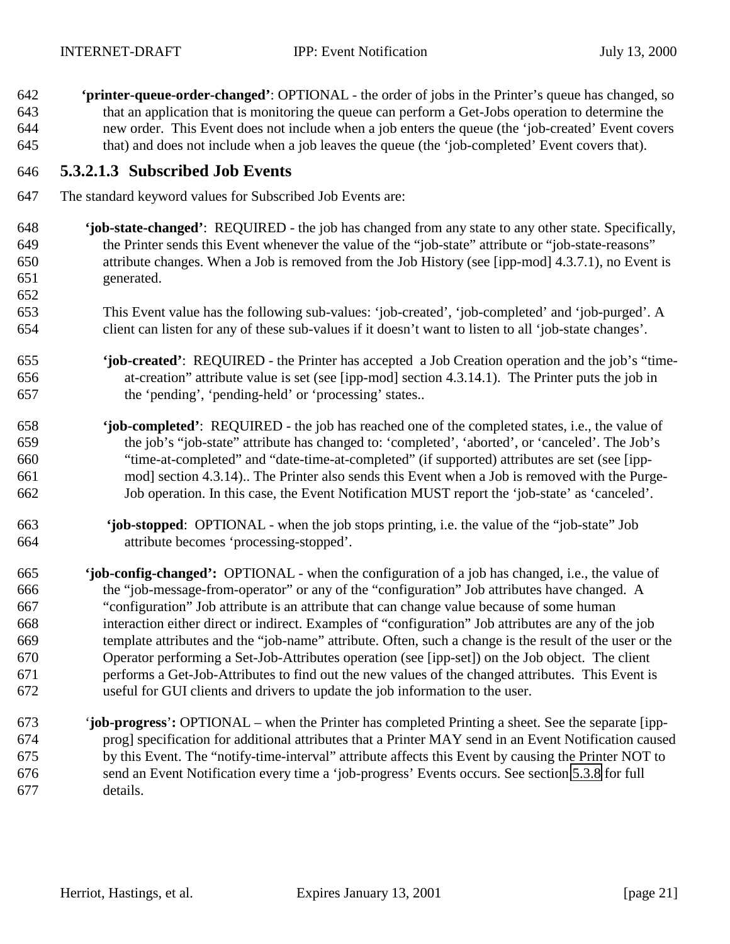**'printer-queue-order-changed'**: OPTIONAL - the order of jobs in the Printer's queue has changed, so that an application that is monitoring the queue can perform a Get-Jobs operation to determine the new order. This Event does not include when a job enters the queue (the 'job-created' Event covers that) and does not include when a job leaves the queue (the 'job-completed' Event covers that).

#### **5.3.2.1.3 Subscribed Job Events**

- The standard keyword values for Subscribed Job Events are:
- **'job-state-changed'**: REQUIRED the job has changed from any state to any other state. Specifically, the Printer sends this Event whenever the value of the "job-state" attribute or "job-state-reasons" attribute changes. When a Job is removed from the Job History (see [ipp-mod] 4.3.7.1), no Event is generated.
- This Event value has the following sub-values: 'job-created', 'job-completed' and 'job-purged'. A client can listen for any of these sub-values if it doesn't want to listen to all 'job-state changes'.
- **'job-created'**: REQUIRED the Printer has accepted a Job Creation operation and the job's "time- at-creation" attribute value is set (see [ipp-mod] section 4.3.14.1). The Printer puts the job in the 'pending', 'pending-held' or 'processing' states..
- **'job-completed'**: REQUIRED the job has reached one of the completed states, i.e., the value of the job's "job-state" attribute has changed to: 'completed', 'aborted', or 'canceled'. The Job's "time-at-completed" and "date-time-at-completed" (if supported) attributes are set (see [ipp- mod] section 4.3.14).. The Printer also sends this Event when a Job is removed with the Purge-Job operation. In this case, the Event Notification MUST report the 'job-state' as 'canceled'.
- **'job-stopped**: OPTIONAL when the job stops printing, i.e. the value of the "job-state" Job attribute becomes 'processing-stopped'.
- **'job-config-changed':** OPTIONAL when the configuration of a job has changed, i.e., the value of the "job-message-from-operator" or any of the "configuration" Job attributes have changed. A "configuration" Job attribute is an attribute that can change value because of some human interaction either direct or indirect. Examples of "configuration" Job attributes are any of the job template attributes and the "job-name" attribute. Often, such a change is the result of the user or the Operator performing a Set-Job-Attributes operation (see [ipp-set]) on the Job object. The client performs a Get-Job-Attributes to find out the new values of the changed attributes. This Event is useful for GUI clients and drivers to update the job information to the user.
- 673 '**job-progress**'**:** OPTIONAL when the Printer has completed Printing a sheet. See the separate [ipp- prog] specification for additional attributes that a Printer MAY send in an Event Notification caused by this Event. The "notify-time-interval" attribute affects this Event by causing the Printer NOT to send an Event Notification every time a 'job-progress' Events occurs. See section [5.3.8](#page-25-0) for full details.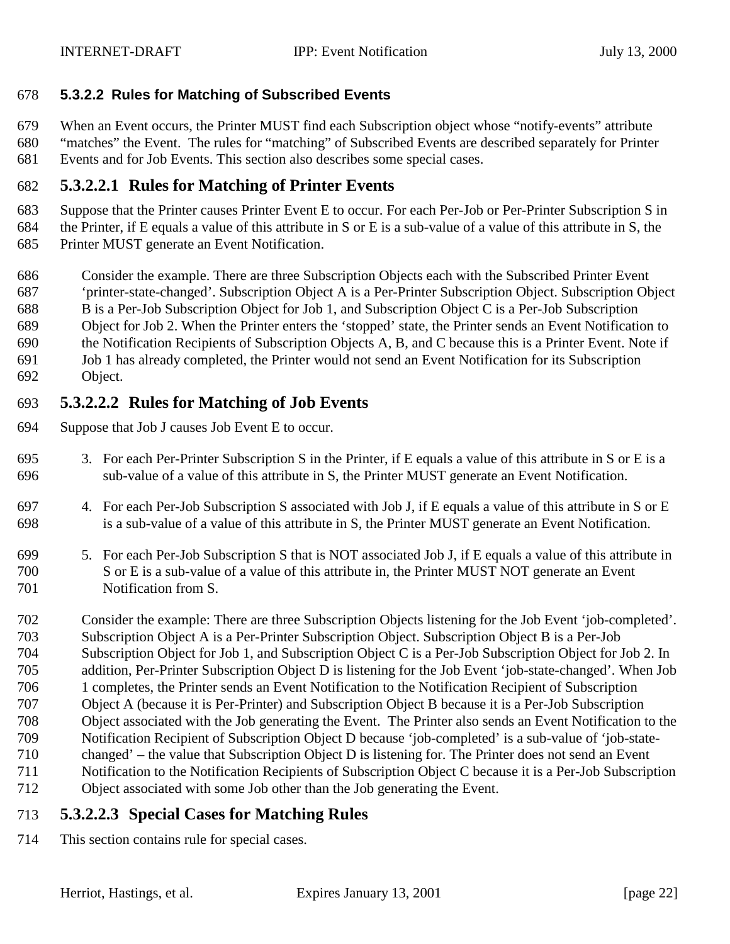#### <span id="page-21-0"></span>**5.3.2.2 Rules for Matching of Subscribed Events**

When an Event occurs, the Printer MUST find each Subscription object whose "notify-events" attribute

 "matches" the Event. The rules for "matching" of Subscribed Events are described separately for Printer Events and for Job Events. This section also describes some special cases.

### **5.3.2.2.1 Rules for Matching of Printer Events**

 Suppose that the Printer causes Printer Event E to occur. For each Per-Job or Per-Printer Subscription S in the Printer, if E equals a value of this attribute in S or E is a sub-value of a value of this attribute in S, the Printer MUST generate an Event Notification.

- Consider the example. There are three Subscription Objects each with the Subscribed Printer Event
- 'printer-state-changed'. Subscription Object A is a Per-Printer Subscription Object. Subscription Object
- B is a Per-Job Subscription Object for Job 1, and Subscription Object C is a Per-Job Subscription
- Object for Job 2. When the Printer enters the 'stopped' state, the Printer sends an Event Notification to
- the Notification Recipients of Subscription Objects A, B, and C because this is a Printer Event. Note if
- Job 1 has already completed, the Printer would not send an Event Notification for its Subscription
- Object.

## **5.3.2.2.2 Rules for Matching of Job Events**

- Suppose that Job J causes Job Event E to occur.
- 3. For each Per-Printer Subscription S in the Printer, if E equals a value of this attribute in S or E is a sub-value of a value of this attribute in S, the Printer MUST generate an Event Notification.
- 4. For each Per-Job Subscription S associated with Job J, if E equals a value of this attribute in S or E is a sub-value of a value of this attribute in S, the Printer MUST generate an Event Notification.
- 5. For each Per-Job Subscription S that is NOT associated Job J, if E equals a value of this attribute in S or E is a sub-value of a value of this attribute in, the Printer MUST NOT generate an Event Notification from S.
- Consider the example: There are three Subscription Objects listening for the Job Event 'job-completed'. Subscription Object A is a Per-Printer Subscription Object. Subscription Object B is a Per-Job Subscription Object for Job 1, and Subscription Object C is a Per-Job Subscription Object for Job 2. In addition, Per-Printer Subscription Object D is listening for the Job Event 'job-state-changed'. When Job 1 completes, the Printer sends an Event Notification to the Notification Recipient of Subscription Object A (because it is Per-Printer) and Subscription Object B because it is a Per-Job Subscription Object associated with the Job generating the Event. The Printer also sends an Event Notification to the Notification Recipient of Subscription Object D because 'job-completed' is a sub-value of 'job-state- changed' – the value that Subscription Object D is listening for. The Printer does not send an Event Notification to the Notification Recipients of Subscription Object C because it is a Per-Job Subscription Object associated with some Job other than the Job generating the Event.

# **5.3.2.2.3 Special Cases for Matching Rules**

This section contains rule for special cases.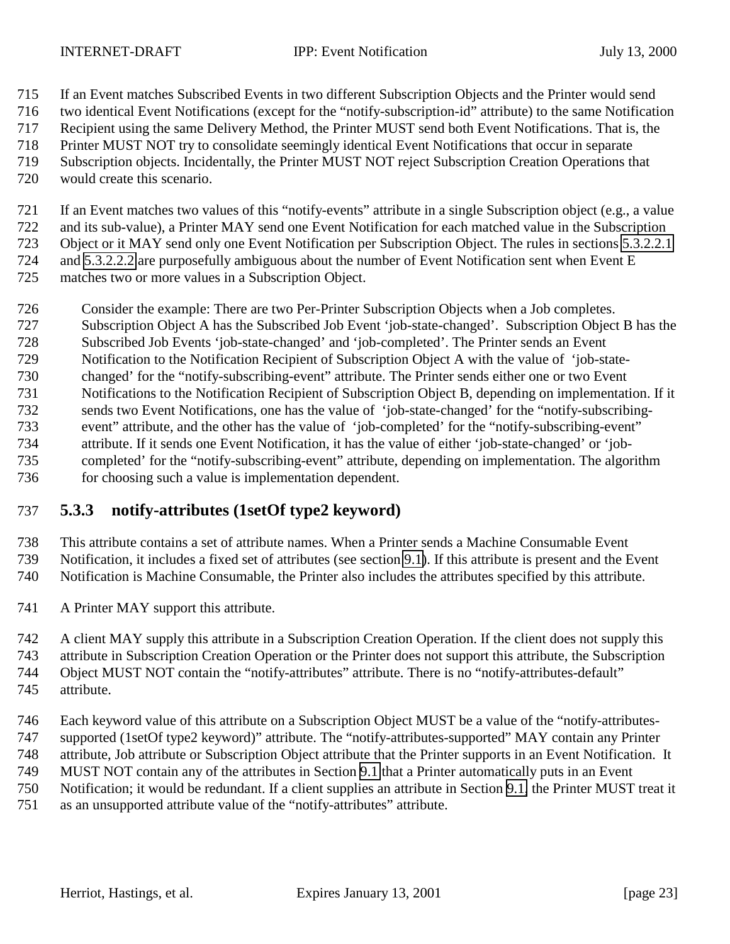<span id="page-22-0"></span>

- If an Event matches Subscribed Events in two different Subscription Objects and the Printer would send
- two identical Event Notifications (except for the "notify-subscription-id" attribute) to the same Notification
- Recipient using the same Delivery Method, the Printer MUST send both Event Notifications. That is, the
- Printer MUST NOT try to consolidate seemingly identical Event Notifications that occur in separate
- Subscription objects. Incidentally, the Printer MUST NOT reject Subscription Creation Operations that
- would create this scenario.
- If an Event matches two values of this "notify-events" attribute in a single Subscription object (e.g., a value and its sub-value), a Printer MAY send one Event Notification for each matched value in the Subscription Object or it MAY send only one Event Notification per Subscription Object. The rules in sections [5.3.2.2.1](#page-21-0) and [5.3.2.2.2](#page-21-0) are purposefully ambiguous about the number of Event Notification sent when Event E matches two or more values in a Subscription Object.
- Consider the example: There are two Per-Printer Subscription Objects when a Job completes.
- Subscription Object A has the Subscribed Job Event 'job-state-changed'. Subscription Object B has the
- Subscribed Job Events 'job-state-changed' and 'job-completed'. The Printer sends an Event
- Notification to the Notification Recipient of Subscription Object A with the value of 'job-state-
- changed' for the "notify-subscribing-event" attribute. The Printer sends either one or two Event
- Notifications to the Notification Recipient of Subscription Object B, depending on implementation. If it
- sends two Event Notifications, one has the value of 'job-state-changed' for the "notify-subscribing-
- event" attribute, and the other has the value of 'job-completed' for the "notify-subscribing-event"
- attribute. If it sends one Event Notification, it has the value of either 'job-state-changed' or 'job-
- completed' for the "notify-subscribing-event" attribute, depending on implementation. The algorithm 736 for choosing such a value is implementation dependent.

# **5.3.3 notify-attributes (1setOf type2 keyword)**

 This attribute contains a set of attribute names. When a Printer sends a Machine Consumable Event Notification, it includes a fixed set of attributes (see section [9.1\)](#page-33-0). If this attribute is present and the Event

Notification is Machine Consumable, the Printer also includes the attributes specified by this attribute.

- A Printer MAY support this attribute.
- A client MAY supply this attribute in a Subscription Creation Operation. If the client does not supply this attribute in Subscription Creation Operation or the Printer does not support this attribute, the Subscription Object MUST NOT contain the "notify-attributes" attribute. There is no "notify-attributes-default" attribute.
- Each keyword value of this attribute on a Subscription Object MUST be a value of the "notify-attributes- supported (1setOf type2 keyword)" attribute. The "notify-attributes-supported" MAY contain any Printer attribute, Job attribute or Subscription Object attribute that the Printer supports in an Event Notification. It MUST NOT contain any of the attributes in Section [9.1](#page-33-0) that a Printer automatically puts in an Event Notification; it would be redundant. If a client supplies an attribute in Section [9.1,](#page-33-0) the Printer MUST treat it
- as an unsupported attribute value of the "notify-attributes" attribute.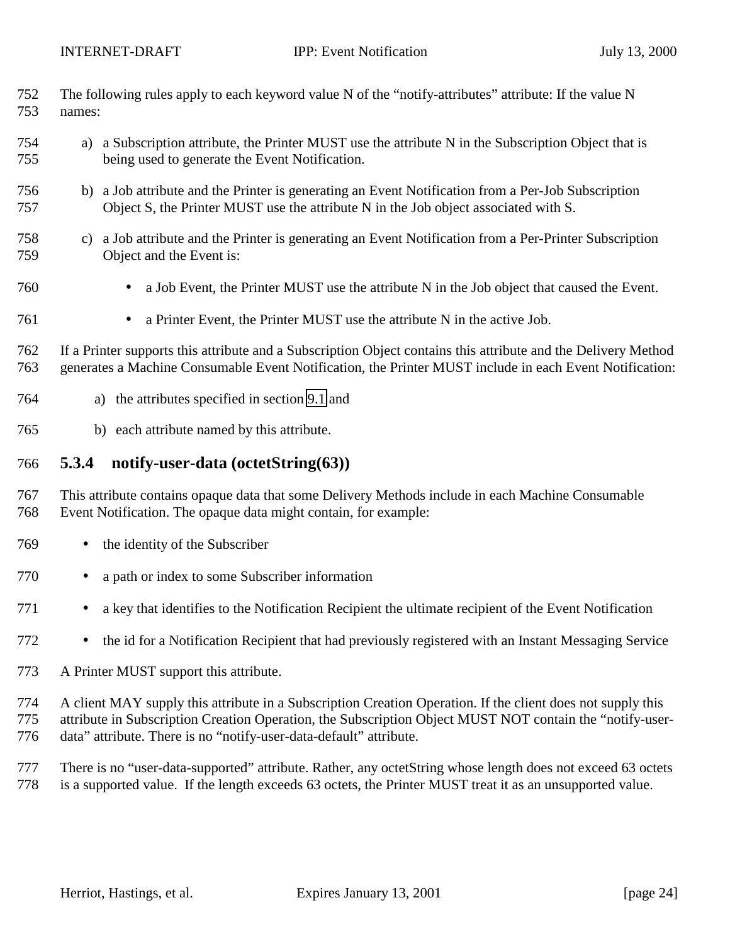<span id="page-23-0"></span>

|     | 752 The following rules apply to each keyword value N of the "notify-attributes" attribute: If the value N |
|-----|------------------------------------------------------------------------------------------------------------|
| 753 | names:                                                                                                     |

- a) a Subscription attribute, the Printer MUST use the attribute N in the Subscription Object that is being used to generate the Event Notification.
- b) a Job attribute and the Printer is generating an Event Notification from a Per-Job Subscription Object S, the Printer MUST use the attribute N in the Job object associated with S.
- c) a Job attribute and the Printer is generating an Event Notification from a Per-Printer Subscription Object and the Event is:
- a Job Event, the Printer MUST use the attribute N in the Job object that caused the Event.
- a Printer Event, the Printer MUST use the attribute N in the active Job.

 If a Printer supports this attribute and a Subscription Object contains this attribute and the Delivery Method generates a Machine Consumable Event Notification, the Printer MUST include in each Event Notification:

- a) the attributes specified in section [9.1](#page-33-0) and
- b) each attribute named by this attribute.

#### **5.3.4 notify-user-data (octetString(63))**

 This attribute contains opaque data that some Delivery Methods include in each Machine Consumable Event Notification. The opaque data might contain, for example:

- the identity of the Subscriber
- a path or index to some Subscriber information
- a key that identifies to the Notification Recipient the ultimate recipient of the Event Notification
- <sup>772</sup> the id for a Notification Recipient that had previously registered with an Instant Messaging Service
- A Printer MUST support this attribute.

 A client MAY supply this attribute in a Subscription Creation Operation. If the client does not supply this attribute in Subscription Creation Operation, the Subscription Object MUST NOT contain the "notify-user-data" attribute. There is no "notify-user-data-default" attribute.

 There is no "user-data-supported" attribute. Rather, any octetString whose length does not exceed 63 octets is a supported value. If the length exceeds 63 octets, the Printer MUST treat it as an unsupported value.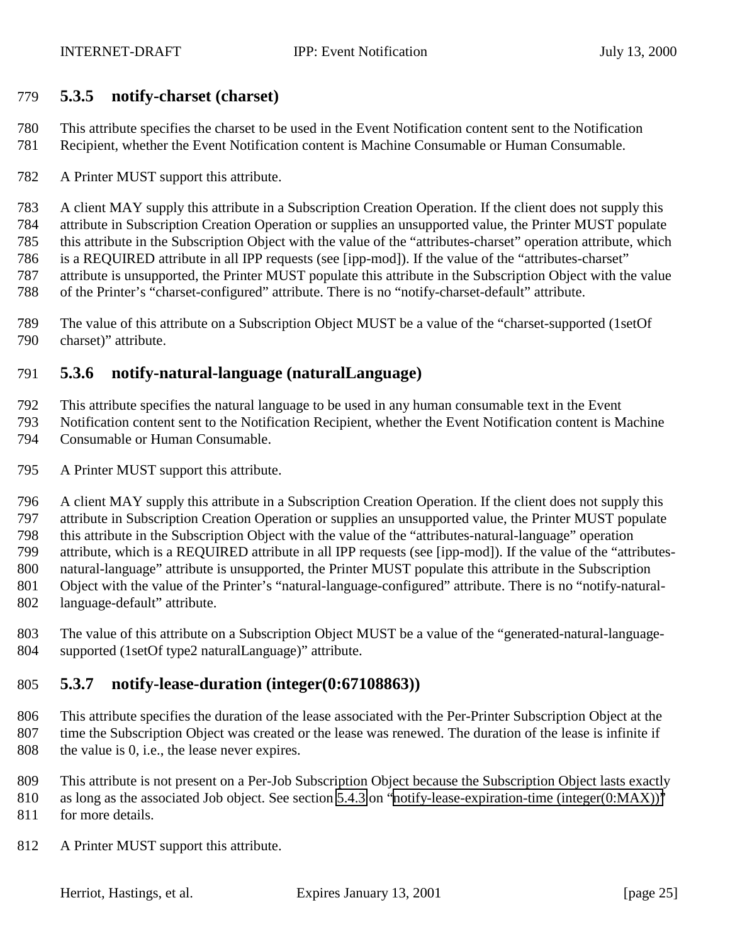#### <span id="page-24-0"></span>**5.3.5 notify-charset (charset)**

 This attribute specifies the charset to be used in the Event Notification content sent to the Notification Recipient, whether the Event Notification content is Machine Consumable or Human Consumable.

A Printer MUST support this attribute.

 A client MAY supply this attribute in a Subscription Creation Operation. If the client does not supply this attribute in Subscription Creation Operation or supplies an unsupported value, the Printer MUST populate this attribute in the Subscription Object with the value of the "attributes-charset" operation attribute, which is a REQUIRED attribute in all IPP requests (see [ipp-mod]). If the value of the "attributes-charset" attribute is unsupported, the Printer MUST populate this attribute in the Subscription Object with the value of the Printer's "charset-configured" attribute. There is no "notify-charset-default" attribute.

 The value of this attribute on a Subscription Object MUST be a value of the "charset-supported (1setOf charset)" attribute.

### **5.3.6 notify-natural-language (naturalLanguage)**

This attribute specifies the natural language to be used in any human consumable text in the Event

 Notification content sent to the Notification Recipient, whether the Event Notification content is Machine Consumable or Human Consumable.

A Printer MUST support this attribute.

 A client MAY supply this attribute in a Subscription Creation Operation. If the client does not supply this attribute in Subscription Creation Operation or supplies an unsupported value, the Printer MUST populate this attribute in the Subscription Object with the value of the "attributes-natural-language" operation attribute, which is a REQUIRED attribute in all IPP requests (see [ipp-mod]). If the value of the "attributes- natural-language" attribute is unsupported, the Printer MUST populate this attribute in the Subscription Object with the value of the Printer's "natural-language-configured" attribute. There is no "notify-natural-

- language-default" attribute.
- The value of this attribute on a Subscription Object MUST be a value of the "generated-natural-language-supported (1setOf type2 naturalLanguage)" attribute.

## **5.3.7 notify-lease-duration (integer(0:67108863))**

 This attribute specifies the duration of the lease associated with the Per-Printer Subscription Object at the time the Subscription Object was created or the lease was renewed. The duration of the lease is infinite if the value is 0, i.e., the lease never expires.

This attribute is not present on a Per-Job Subscription Object because the Subscription Object lasts exactly

810 as long as the associated Job object. See section [5.4.3](#page-27-0) on "[notify-lease-expiration-time \(integer\(0:MAX\)\)"](#page-27-0) for more details.

A Printer MUST support this attribute.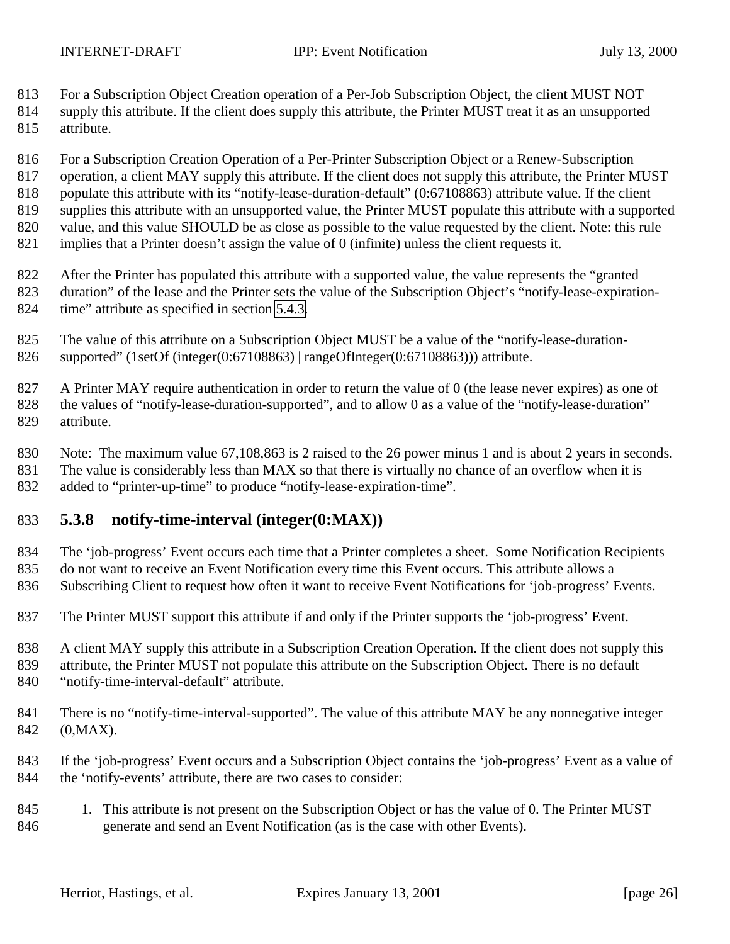- <span id="page-25-0"></span>For a Subscription Object Creation operation of a Per-Job Subscription Object, the client MUST NOT
- supply this attribute. If the client does supply this attribute, the Printer MUST treat it as an unsupported attribute.
- For a Subscription Creation Operation of a Per-Printer Subscription Object or a Renew-Subscription
- 817 operation, a client MAY supply this attribute. If the client does not supply this attribute, the Printer MUST
- 818 populate this attribute with its "notify-lease-duration-default" (0:67108863) attribute value. If the client supplies this attribute with an unsupported value, the Printer MUST populate this attribute with a supported
- value, and this value SHOULD be as close as possible to the value requested by the client. Note: this rule
- implies that a Printer doesn't assign the value of 0 (infinite) unless the client requests it.
- After the Printer has populated this attribute with a supported value, the value represents the "granted duration" of the lease and the Printer sets the value of the Subscription Object's "notify-lease-expiration-time" attribute as specified in section [5.4.3.](#page-27-0)
- The value of this attribute on a Subscription Object MUST be a value of the "notify-lease-duration-supported" (1setOf (integer(0:67108863) | rangeOfInteger(0:67108863))) attribute.
- A Printer MAY require authentication in order to return the value of 0 (the lease never expires) as one of the values of "notify-lease-duration-supported", and to allow 0 as a value of the "notify-lease-duration" attribute.
- Note: The maximum value 67,108,863 is 2 raised to the 26 power minus 1 and is about 2 years in seconds.
- 831 The value is considerably less than MAX so that there is virtually no chance of an overflow when it is added to "printer-up-time" to produce "notify-lease-expiration-time".

# **5.3.8 notify-time-interval (integer(0:MAX))**

- The 'job-progress' Event occurs each time that a Printer completes a sheet. Some Notification Recipients do not want to receive an Event Notification every time this Event occurs. This attribute allows a
- Subscribing Client to request how often it want to receive Event Notifications for 'job-progress' Events.
- The Printer MUST support this attribute if and only if the Printer supports the 'job-progress' Event.
- 838 A client MAY supply this attribute in a Subscription Creation Operation. If the client does not supply this
- attribute, the Printer MUST not populate this attribute on the Subscription Object. There is no default
- "notify-time-interval-default" attribute.
- There is no "notify-time-interval-supported". The value of this attribute MAY be any nonnegative integer (0,MAX).
- If the 'job-progress' Event occurs and a Subscription Object contains the 'job-progress' Event as a value of the 'notify-events' attribute, there are two cases to consider:
- 1. This attribute is not present on the Subscription Object or has the value of 0. The Printer MUST generate and send an Event Notification (as is the case with other Events).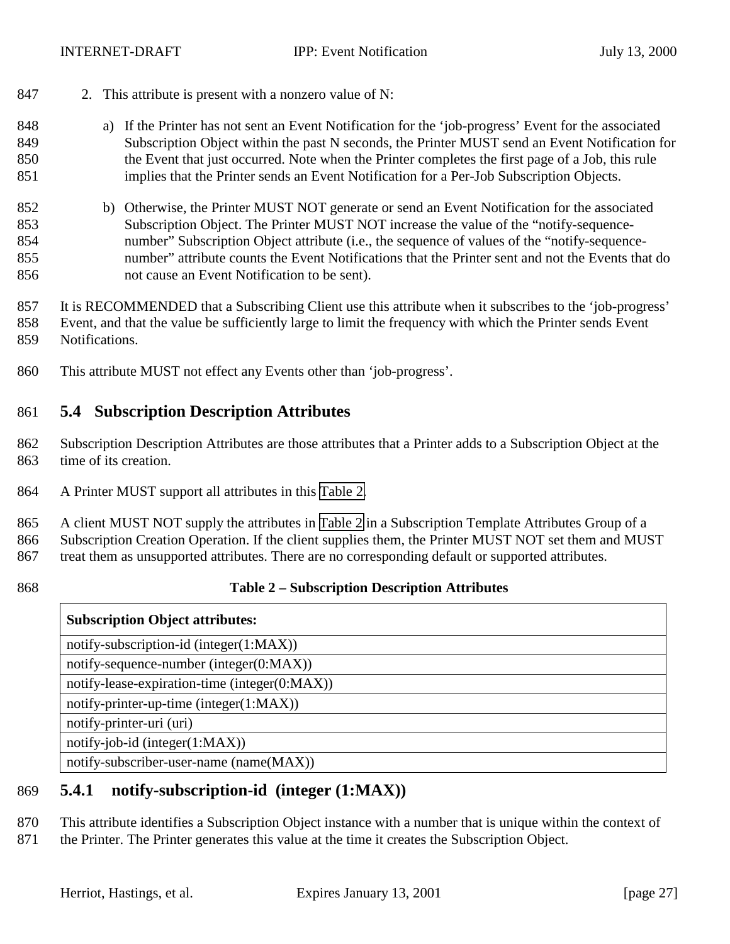- <span id="page-26-0"></span>2. This attribute is present with a nonzero value of N:
- a) If the Printer has not sent an Event Notification for the 'job-progress' Event for the associated Subscription Object within the past N seconds, the Printer MUST send an Event Notification for the Event that just occurred. Note when the Printer completes the first page of a Job, this rule implies that the Printer sends an Event Notification for a Per-Job Subscription Objects.
- b) Otherwise, the Printer MUST NOT generate or send an Event Notification for the associated Subscription Object. The Printer MUST NOT increase the value of the "notify-sequence- number" Subscription Object attribute (i.e., the sequence of values of the "notify-sequence- number" attribute counts the Event Notifications that the Printer sent and not the Events that do not cause an Event Notification to be sent).
- It is RECOMMENDED that a Subscribing Client use this attribute when it subscribes to the 'job-progress' Event, and that the value be sufficiently large to limit the frequency with which the Printer sends Event Notifications.
- This attribute MUST not effect any Events other than 'job-progress'.

#### **5.4 Subscription Description Attributes**

- Subscription Description Attributes are those attributes that a Printer adds to a Subscription Object at the time of its creation.
- A Printer MUST support all attributes in this Table 2.

 A client MUST NOT supply the attributes in Table 2 in a Subscription Template Attributes Group of a Subscription Creation Operation. If the client supplies them, the Printer MUST NOT set them and MUST treat them as unsupported attributes. There are no corresponding default or supported attributes.

#### **Table 2 – Subscription Description Attributes**

#### **Subscription Object attributes:**

notify-subscription-id (integer(1:MAX)) notify-sequence-number (integer(0:MAX)) notify-lease-expiration-time (integer(0:MAX)) notify-printer-up-time (integer(1:MAX)) notify-printer-uri (uri) notify-job-id (integer(1:MAX)) notify-subscriber-user-name (name(MAX))

**5.4.1 notify-subscription-id (integer (1:MAX))**

This attribute identifies a Subscription Object instance with a number that is unique within the context of

871 the Printer. The Printer generates this value at the time it creates the Subscription Object.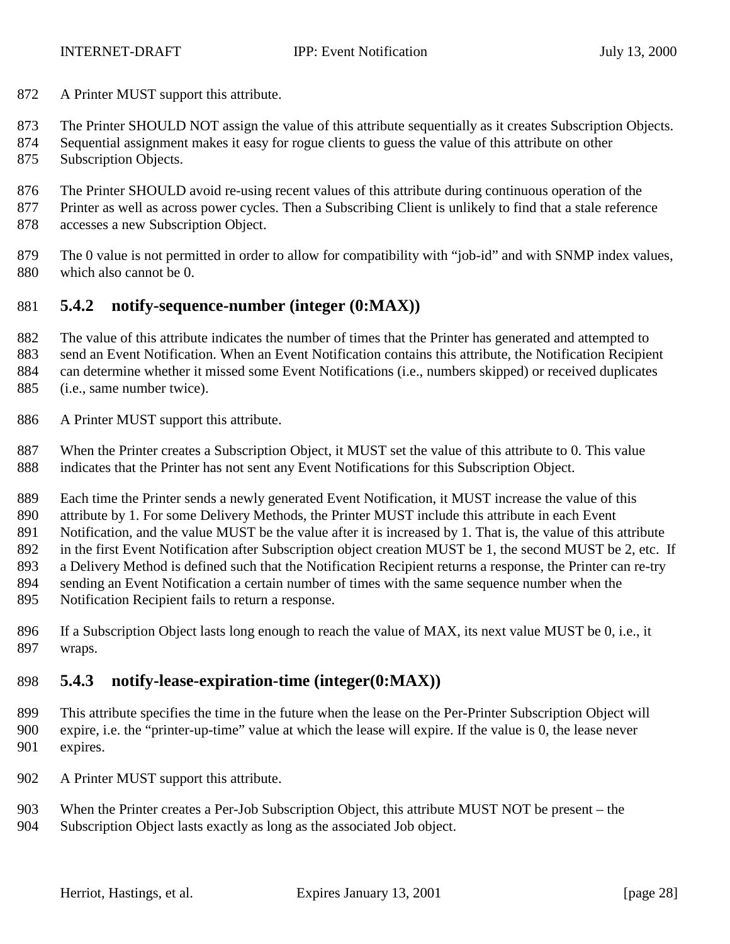<span id="page-27-0"></span>A Printer MUST support this attribute.

The Printer SHOULD NOT assign the value of this attribute sequentially as it creates Subscription Objects.

 Sequential assignment makes it easy for rogue clients to guess the value of this attribute on other Subscription Objects.

The Printer SHOULD avoid re-using recent values of this attribute during continuous operation of the

877 Printer as well as across power cycles. Then a Subscribing Client is unlikely to find that a stale reference

accesses a new Subscription Object.

 The 0 value is not permitted in order to allow for compatibility with "job-id" and with SNMP index values, which also cannot be 0.

### **5.4.2 notify-sequence-number (integer (0:MAX))**

 The value of this attribute indicates the number of times that the Printer has generated and attempted to send an Event Notification. When an Event Notification contains this attribute, the Notification Recipient can determine whether it missed some Event Notifications (i.e., numbers skipped) or received duplicates (i.e., same number twice).

A Printer MUST support this attribute.

 When the Printer creates a Subscription Object, it MUST set the value of this attribute to 0. This value indicates that the Printer has not sent any Event Notifications for this Subscription Object.

Each time the Printer sends a newly generated Event Notification, it MUST increase the value of this

attribute by 1. For some Delivery Methods, the Printer MUST include this attribute in each Event

891 Notification, and the value MUST be the value after it is increased by 1. That is, the value of this attribute

in the first Event Notification after Subscription object creation MUST be 1, the second MUST be 2, etc. If

a Delivery Method is defined such that the Notification Recipient returns a response, the Printer can re-try

sending an Event Notification a certain number of times with the same sequence number when the

Notification Recipient fails to return a response.

 If a Subscription Object lasts long enough to reach the value of MAX, its next value MUST be 0, i.e., it wraps.

# **5.4.3 notify-lease-expiration-time (integer(0:MAX))**

 This attribute specifies the time in the future when the lease on the Per-Printer Subscription Object will expire, i.e. the "printer-up-time" value at which the lease will expire. If the value is 0, the lease never expires.

- 902 A Printer MUST support this attribute.
- 903 When the Printer creates a Per-Job Subscription Object, this attribute MUST NOT be present the
- Subscription Object lasts exactly as long as the associated Job object.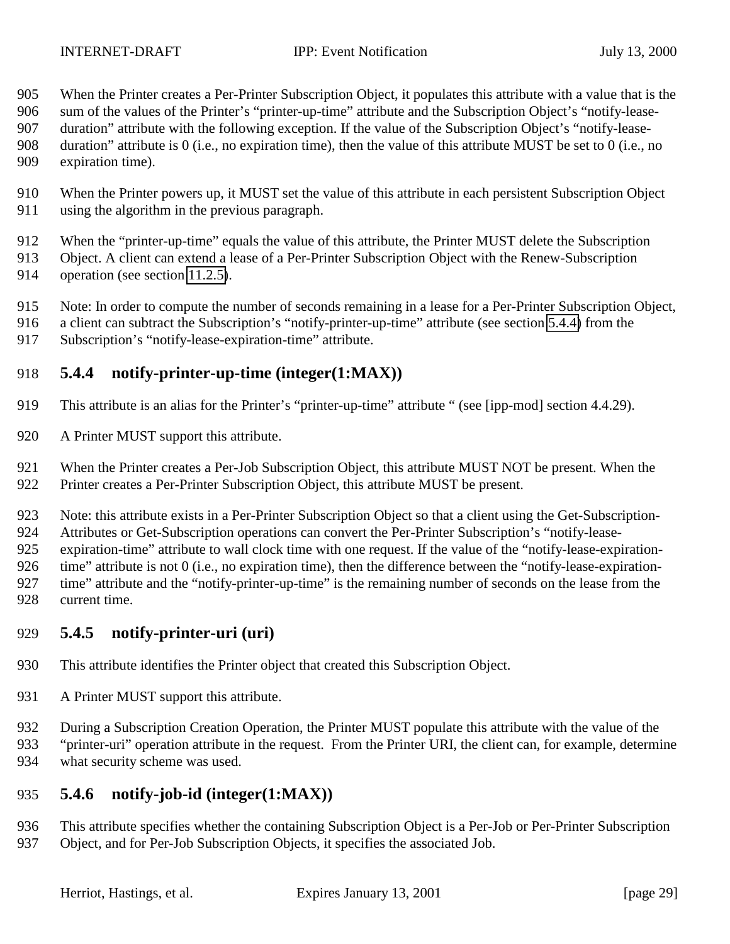<span id="page-28-0"></span>When the Printer creates a Per-Printer Subscription Object, it populates this attribute with a value that is the

sum of the values of the Printer's "printer-up-time" attribute and the Subscription Object's "notify-lease-

duration" attribute with the following exception. If the value of the Subscription Object's "notify-lease-

 duration" attribute is 0 (i.e., no expiration time), then the value of this attribute MUST be set to 0 (i.e., no expiration time).

 When the Printer powers up, it MUST set the value of this attribute in each persistent Subscription Object using the algorithm in the previous paragraph.

When the "printer-up-time" equals the value of this attribute, the Printer MUST delete the Subscription

Object. A client can extend a lease of a Per-Printer Subscription Object with the Renew-Subscription

operation (see section [11.2.5\)](#page-50-0).

Note: In order to compute the number of seconds remaining in a lease for a Per-Printer Subscription Object,

- a client can subtract the Subscription's "notify-printer-up-time" attribute (see section 5.4.4) from the
- Subscription's "notify-lease-expiration-time" attribute.

# **5.4.4 notify-printer-up-time (integer(1:MAX))**

This attribute is an alias for the Printer's "printer-up-time" attribute " (see [ipp-mod] section 4.4.29).

A Printer MUST support this attribute.

When the Printer creates a Per-Job Subscription Object, this attribute MUST NOT be present. When the

Printer creates a Per-Printer Subscription Object, this attribute MUST be present.

Note: this attribute exists in a Per-Printer Subscription Object so that a client using the Get-Subscription-

Attributes or Get-Subscription operations can convert the Per-Printer Subscription's "notify-lease-

expiration-time" attribute to wall clock time with one request. If the value of the "notify-lease-expiration-

926 time" attribute is not 0 (i.e., no expiration time), then the difference between the "notify-lease-expiration-

 time" attribute and the "notify-printer-up-time" is the remaining number of seconds on the lease from the current time.

# **5.4.5 notify-printer-uri (uri)**

This attribute identifies the Printer object that created this Subscription Object.

931 A Printer MUST support this attribute.

 During a Subscription Creation Operation, the Printer MUST populate this attribute with the value of the "printer-uri" operation attribute in the request. From the Printer URI, the client can, for example, determine what security scheme was used.

# **5.4.6 notify-job-id (integer(1:MAX))**

 This attribute specifies whether the containing Subscription Object is a Per-Job or Per-Printer Subscription Object, and for Per-Job Subscription Objects, it specifies the associated Job.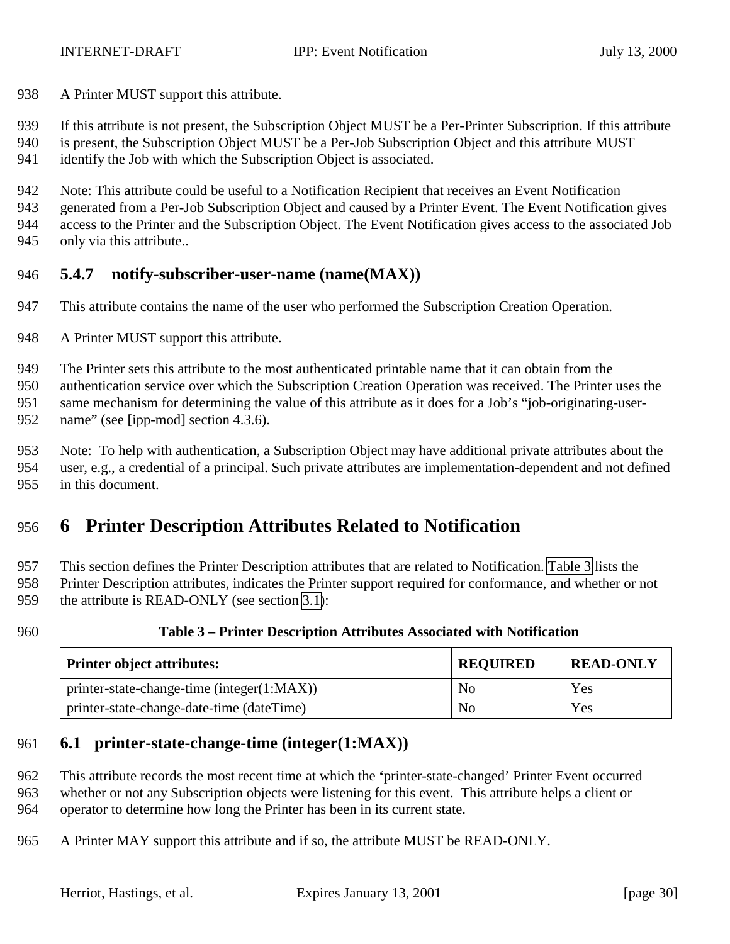<span id="page-29-0"></span>938 A Printer MUST support this attribute.

If this attribute is not present, the Subscription Object MUST be a Per-Printer Subscription. If this attribute

- is present, the Subscription Object MUST be a Per-Job Subscription Object and this attribute MUST
- identify the Job with which the Subscription Object is associated.

Note: This attribute could be useful to a Notification Recipient that receives an Event Notification

 generated from a Per-Job Subscription Object and caused by a Printer Event. The Event Notification gives access to the Printer and the Subscription Object. The Event Notification gives access to the associated Job

only via this attribute..

# **5.4.7 notify-subscriber-user-name (name(MAX))**

- This attribute contains the name of the user who performed the Subscription Creation Operation.
- 948 A Printer MUST support this attribute.

The Printer sets this attribute to the most authenticated printable name that it can obtain from the

 authentication service over which the Subscription Creation Operation was received. The Printer uses the same mechanism for determining the value of this attribute as it does for a Job's "job-originating-user-

952 name" (see [ipp-mod] section 4.3.6).

Note: To help with authentication, a Subscription Object may have additional private attributes about the

 user, e.g., a credential of a principal. Such private attributes are implementation-dependent and not defined in this document.

# **6 Printer Description Attributes Related to Notification**

This section defines the Printer Description attributes that are related to Notification. Table 3 lists the

 Printer Description attributes, indicates the Printer support required for conformance, and whether or not 959 the attribute is READ-ONLY (see section [3.1\)](#page-10-0):

#### **Table 3 – Printer Description Attributes Associated with Notification**

| <b>Printer object attributes:</b>          | <b>REQUIRED</b> | <b>READ-ONLY</b> |
|--------------------------------------------|-----------------|------------------|
| printer-state-change-time (integer(1:MAX)) | No              | Yes              |
| printer-state-change-date-time (dateTime)  | No              | Yes              |

## **6.1 printer-state-change-time (integer(1:MAX))**

 This attribute records the most recent time at which the **'**printer-state-changed' Printer Event occurred whether or not any Subscription objects were listening for this event. This attribute helps a client or operator to determine how long the Printer has been in its current state.

A Printer MAY support this attribute and if so, the attribute MUST be READ-ONLY.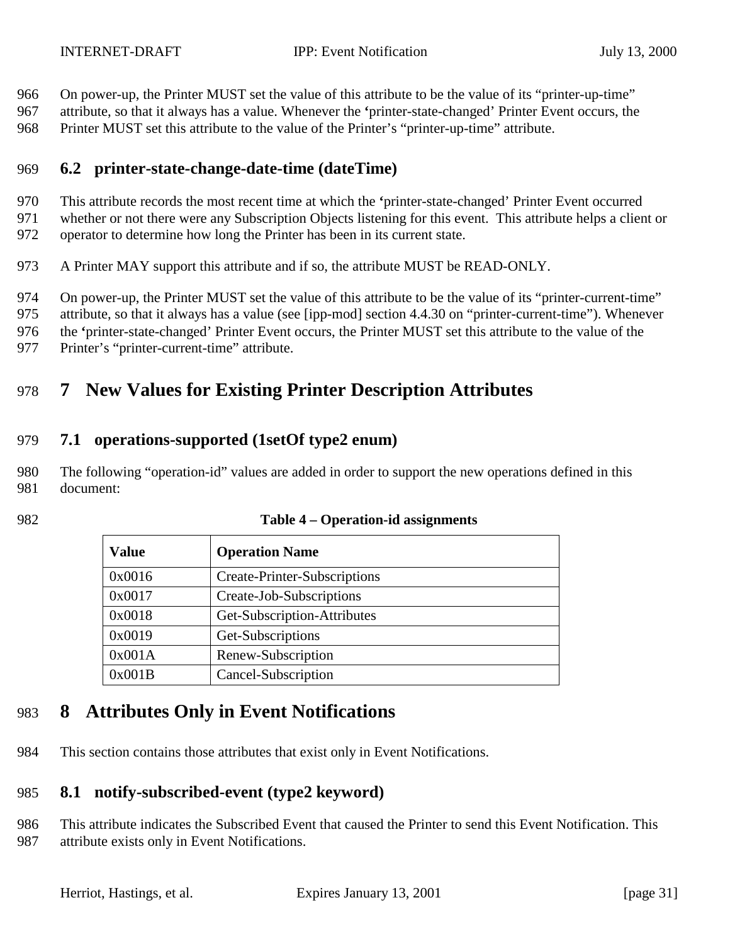<span id="page-30-0"></span>On power-up, the Printer MUST set the value of this attribute to be the value of its "printer-up-time"

 attribute, so that it always has a value. Whenever the **'**printer-state-changed' Printer Event occurs, the Printer MUST set this attribute to the value of the Printer's "printer-up-time" attribute.

## **6.2 printer-state-change-date-time (dateTime)**

This attribute records the most recent time at which the **'**printer-state-changed' Printer Event occurred

- whether or not there were any Subscription Objects listening for this event. This attribute helps a client or operator to determine how long the Printer has been in its current state.
- A Printer MAY support this attribute and if so, the attribute MUST be READ-ONLY.

On power-up, the Printer MUST set the value of this attribute to be the value of its "printer-current-time"

attribute, so that it always has a value (see [ipp-mod] section 4.4.30 on "printer-current-time"). Whenever

the **'**printer-state-changed' Printer Event occurs, the Printer MUST set this attribute to the value of the

Printer's "printer-current-time" attribute.

# **7 New Values for Existing Printer Description Attributes**

### **7.1 operations-supported (1setOf type2 enum)**

 The following "operation-id" values are added in order to support the new operations defined in this document:

| <b>Value</b> | <b>Operation Name</b>        |
|--------------|------------------------------|
| 0x0016       | Create-Printer-Subscriptions |
| 0x0017       | Create-Job-Subscriptions     |
| 0x0018       | Get-Subscription-Attributes  |

#### **Table 4 – Operation-id assignments**

# **8 Attributes Only in Event Notifications**

0x0019 Get-Subscriptions 0x001A Renew-Subscription 0x001B Cancel-Subscription

This section contains those attributes that exist only in Event Notifications.

## **8.1 notify-subscribed-event (type2 keyword)**

 This attribute indicates the Subscribed Event that caused the Printer to send this Event Notification. This attribute exists only in Event Notifications.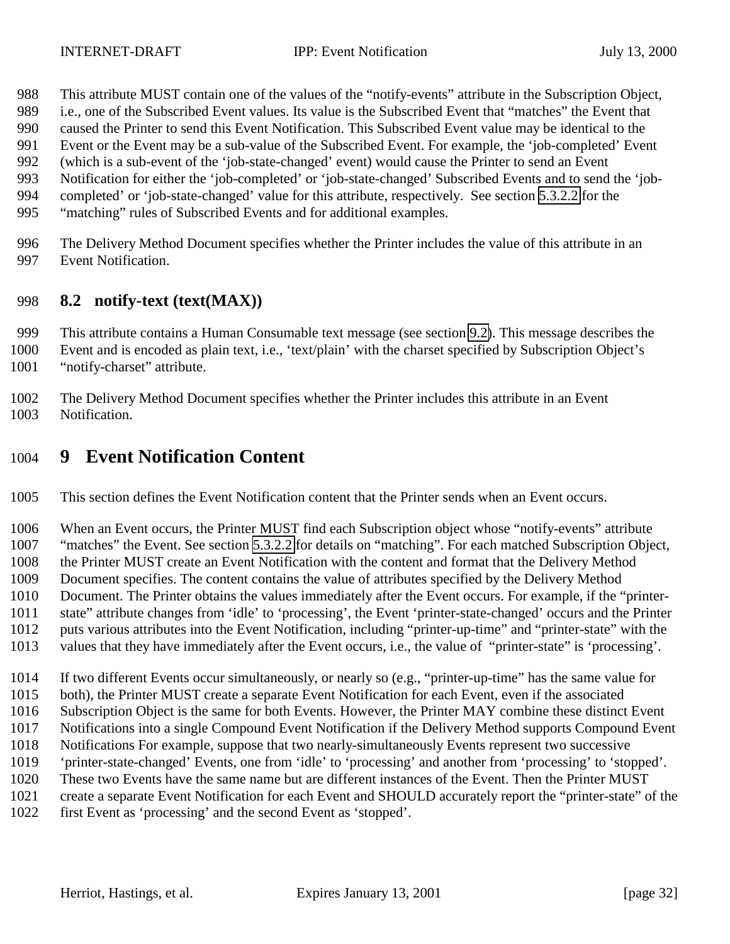- <span id="page-31-0"></span>This attribute MUST contain one of the values of the "notify-events" attribute in the Subscription Object,
- i.e., one of the Subscribed Event values. Its value is the Subscribed Event that "matches" the Event that
- caused the Printer to send this Event Notification. This Subscribed Event value may be identical to the
- Event or the Event may be a sub-value of the Subscribed Event. For example, the 'job-completed' Event (which is a sub-event of the 'job-state-changed' event) would cause the Printer to send an Event
- Notification for either the 'job-completed' or 'job-state-changed' Subscribed Events and to send the 'job-
- completed' or 'job-state-changed' value for this attribute, respectively. See section [5.3.2.2](#page-21-0) for the
- "matching" rules of Subscribed Events and for additional examples.
- The Delivery Method Document specifies whether the Printer includes the value of this attribute in an Event Notification.

### **8.2 notify-text (text(MAX))**

This attribute contains a Human Consumable text message (see section [9.2\)](#page-35-0). This message describes the

Event and is encoded as plain text, i.e., 'text/plain' with the charset specified by Subscription Object's

"notify-charset" attribute.

 The Delivery Method Document specifies whether the Printer includes this attribute in an Event Notification.

# **9 Event Notification Content**

This section defines the Event Notification content that the Printer sends when an Event occurs.

When an Event occurs, the Printer MUST find each Subscription object whose "notify-events" attribute

"matches" the Event. See section [5.3.2.2](#page-21-0) for details on "matching". For each matched Subscription Object,

the Printer MUST create an Event Notification with the content and format that the Delivery Method

Document specifies. The content contains the value of attributes specified by the Delivery Method

Document. The Printer obtains the values immediately after the Event occurs. For example, if the "printer-

- state" attribute changes from 'idle' to 'processing', the Event 'printer-state-changed' occurs and the Printer
- puts various attributes into the Event Notification, including "printer-up-time" and "printer-state" with the
- values that they have immediately after the Event occurs, i.e., the value of "printer-state" is 'processing'.

If two different Events occur simultaneously, or nearly so (e.g., "printer-up-time" has the same value for

- both), the Printer MUST create a separate Event Notification for each Event, even if the associated
- Subscription Object is the same for both Events. However, the Printer MAY combine these distinct Event
- Notifications into a single Compound Event Notification if the Delivery Method supports Compound Event
- Notifications For example, suppose that two nearly-simultaneously Events represent two successive
- 'printer-state-changed' Events, one from 'idle' to 'processing' and another from 'processing' to 'stopped'.
- These two Events have the same name but are different instances of the Event. Then the Printer MUST
- create a separate Event Notification for each Event and SHOULD accurately report the "printer-state" of the
- first Event as 'processing' and the second Event as 'stopped'.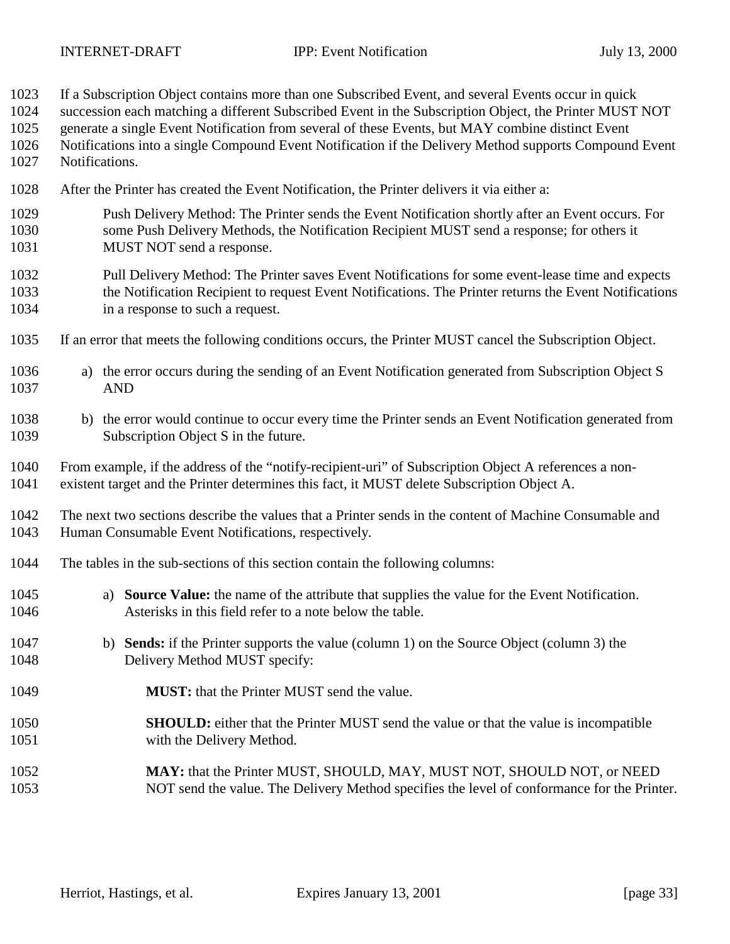If a Subscription Object contains more than one Subscribed Event, and several Events occur in quick

succession each matching a different Subscribed Event in the Subscription Object, the Printer MUST NOT

generate a single Event Notification from several of these Events, but MAY combine distinct Event

- Notifications into a single Compound Event Notification if the Delivery Method supports Compound Event Notifications.
- After the Printer has created the Event Notification, the Printer delivers it via either a:
- Push Delivery Method: The Printer sends the Event Notification shortly after an Event occurs. For some Push Delivery Methods, the Notification Recipient MUST send a response; for others it 1031 MUST NOT send a response.
- Pull Delivery Method: The Printer saves Event Notifications for some event-lease time and expects the Notification Recipient to request Event Notifications. The Printer returns the Event Notifications in a response to such a request.
- If an error that meets the following conditions occurs, the Printer MUST cancel the Subscription Object.
- a) the error occurs during the sending of an Event Notification generated from Subscription Object S AND
- b) the error would continue to occur every time the Printer sends an Event Notification generated from Subscription Object S in the future.
- From example, if the address of the "notify-recipient-uri" of Subscription Object A references a non-existent target and the Printer determines this fact, it MUST delete Subscription Object A.

 The next two sections describe the values that a Printer sends in the content of Machine Consumable and Human Consumable Event Notifications, respectively.

- The tables in the sub-sections of this section contain the following columns:
- a) **Source Value:** the name of the attribute that supplies the value for the Event Notification. Asterisks in this field refer to a note below the table.
- b) **Sends:** if the Printer supports the value (column 1) on the Source Object (column 3) the Delivery Method MUST specify:
- **MUST:** that the Printer MUST send the value.
- **SHOULD:** either that the Printer MUST send the value or that the value is incompatible with the Delivery Method.
- **MAY:** that the Printer MUST, SHOULD, MAY, MUST NOT, SHOULD NOT, or NEED NOT send the value. The Delivery Method specifies the level of conformance for the Printer.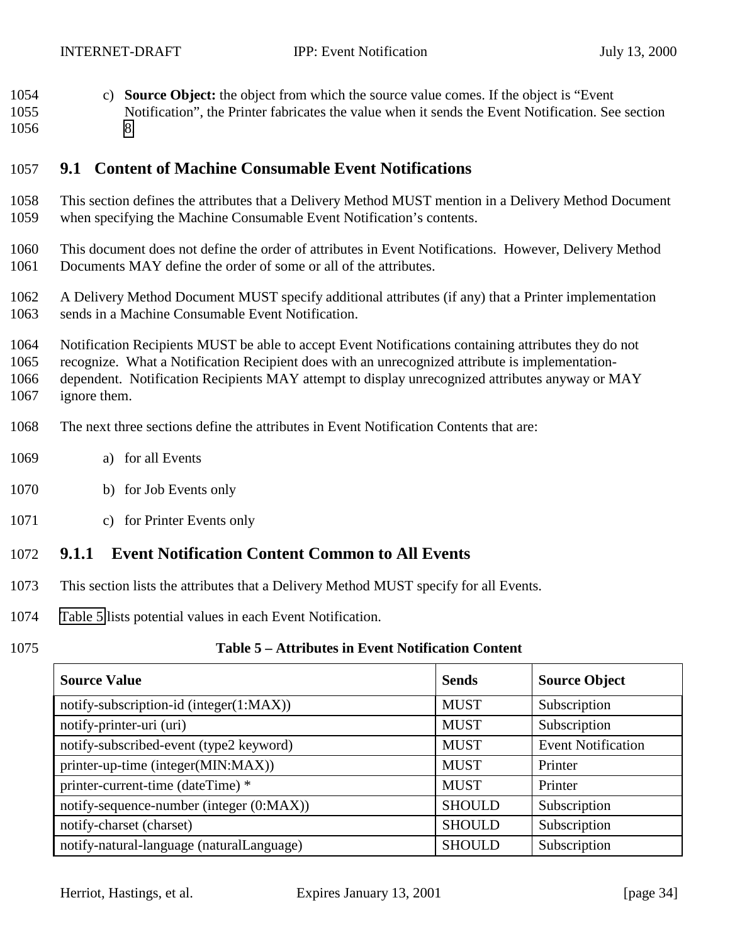<span id="page-33-0"></span> c) **Source Object:** the object from which the source value comes. If the object is "Event Notification", the Printer fabricates the value when it sends the Event Notification. See section [8.](#page-30-0)

## **9.1 Content of Machine Consumable Event Notifications**

- This section defines the attributes that a Delivery Method MUST mention in a Delivery Method Document when specifying the Machine Consumable Event Notification's contents.
- This document does not define the order of attributes in Event Notifications. However, Delivery Method Documents MAY define the order of some or all of the attributes.
- A Delivery Method Document MUST specify additional attributes (if any) that a Printer implementation sends in a Machine Consumable Event Notification.

 Notification Recipients MUST be able to accept Event Notifications containing attributes they do not recognize. What a Notification Recipient does with an unrecognized attribute is implementation- dependent. Notification Recipients MAY attempt to display unrecognized attributes anyway or MAY ignore them.

- The next three sections define the attributes in Event Notification Contents that are:
- a) for all Events
- b) for Job Events only
- c) for Printer Events only

#### **9.1.1 Event Notification Content Common to All Events**

- This section lists the attributes that a Delivery Method MUST specify for all Events.
- Table 5 lists potential values in each Event Notification.

#### **Table 5 – Attributes in Event Notification Content**

| <b>Source Value</b>                       | <b>Sends</b>  | <b>Source Object</b>      |
|-------------------------------------------|---------------|---------------------------|
| notify-subscription-id (integer(1:MAX))   | <b>MUST</b>   | Subscription              |
| notify-printer-uri (uri)                  | <b>MUST</b>   | Subscription              |
| notify-subscribed-event (type2 keyword)   | <b>MUST</b>   | <b>Event Notification</b> |
| printer-up-time (integer(MIN:MAX))        | <b>MUST</b>   | Printer                   |
| printer-current-time (dateTime) *         | <b>MUST</b>   | Printer                   |
| notify-sequence-number (integer (0:MAX))  | <b>SHOULD</b> | Subscription              |
| notify-charset (charset)                  | <b>SHOULD</b> | Subscription              |
| notify-natural-language (naturalLanguage) | <b>SHOULD</b> | Subscription              |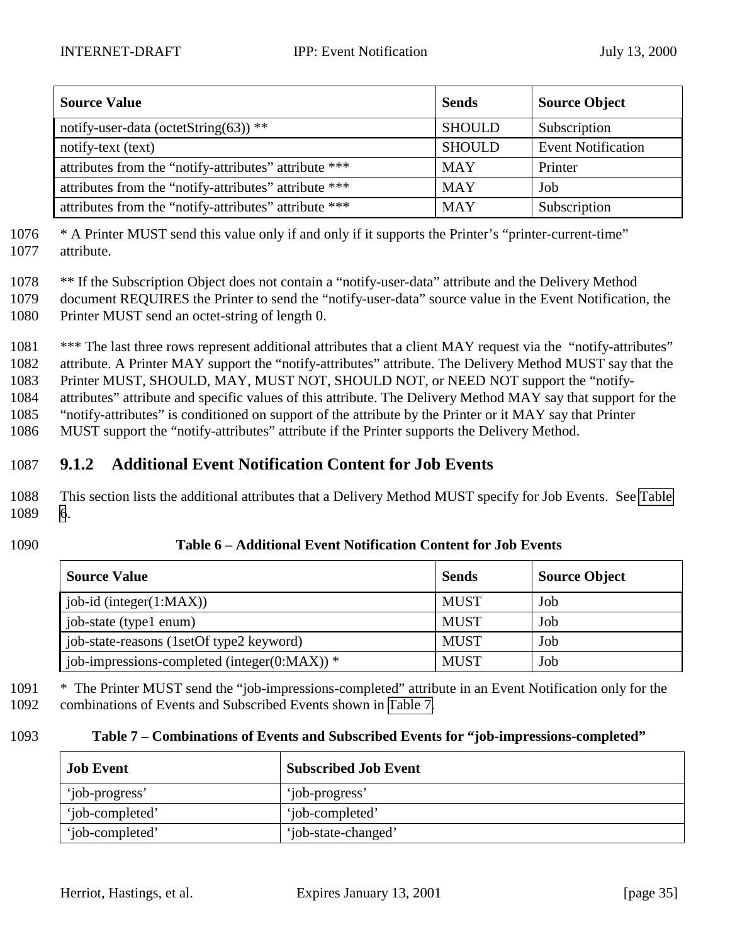<span id="page-34-0"></span>

| <b>Source Value</b>                                   | <b>Sends</b>  | <b>Source Object</b>      |
|-------------------------------------------------------|---------------|---------------------------|
| notify-user-data (octetString(63)) **                 | <b>SHOULD</b> | Subscription              |
| notify-text (text)                                    | <b>SHOULD</b> | <b>Event Notification</b> |
| attributes from the "notify-attributes" attribute *** | <b>MAY</b>    | Printer                   |
| attributes from the "notify-attributes" attribute *** | <b>MAY</b>    | Job                       |
| attributes from the "notify-attributes" attribute *** | <b>MAY</b>    | Subscription              |

1076 \* A Printer MUST send this value only if and only if it supports the Printer's "printer-current-time" 1077 attribute.

1078 \*\* If the Subscription Object does not contain a "notify-user-data" attribute and the Delivery Method

1079 document REQUIRES the Printer to send the "notify-user-data" source value in the Event Notification, the 1080 Printer MUST send an octet-string of length 0.

1081 \*\*\* The last three rows represent additional attributes that a client MAY request via the "notify-attributes" attribute. A Printer MAY support the "notify-attributes" attribute. The Delivery Method MUST say that the Printer MUST, SHOULD, MAY, MUST NOT, SHOULD NOT, or NEED NOT support the "notify- attributes" attribute and specific values of this attribute. The Delivery Method MAY say that support for the "notify-attributes" is conditioned on support of the attribute by the Printer or it MAY say that Printer MUST support the "notify-attributes" attribute if the Printer supports the Delivery Method.

# 1087 **9.1.2 Additional Event Notification Content for Job Events**

1088 This section lists the additional attributes that a Delivery Method MUST specify for Job Events. See Table 1089 6.

#### 1090 **Table 6 – Additional Event Notification Content for Job Events**

| <b>Source Value</b>                              | <b>Sends</b> | <b>Source Object</b> |
|--------------------------------------------------|--------------|----------------------|
| job-id (integer(1:MAX))                          | <b>MUST</b>  | Job                  |
| job-state (type1 enum)                           | <b>MUST</b>  | Job                  |
| job-state-reasons (1setOf type2 keyword)         | <b>MUST</b>  | Job                  |
| job-impressions-completed (integer( $0:MAX$ )) * | <b>MUST</b>  | Job                  |

1091 \* The Printer MUST send the "job-impressions-completed" attribute in an Event Notification only for the 1092 combinations of Events and Subscribed Events shown in Table 7.

#### 1093 **Table 7 – Combinations of Events and Subscribed Events for "job-impressions-completed"**

| <b>Job Event</b> | <b>Subscribed Job Event</b> |
|------------------|-----------------------------|
| 'job-progress'   | 'job-progress'              |
| 'job-completed'  | 'job-completed'             |
| 'job-completed'  | 'job-state-changed'         |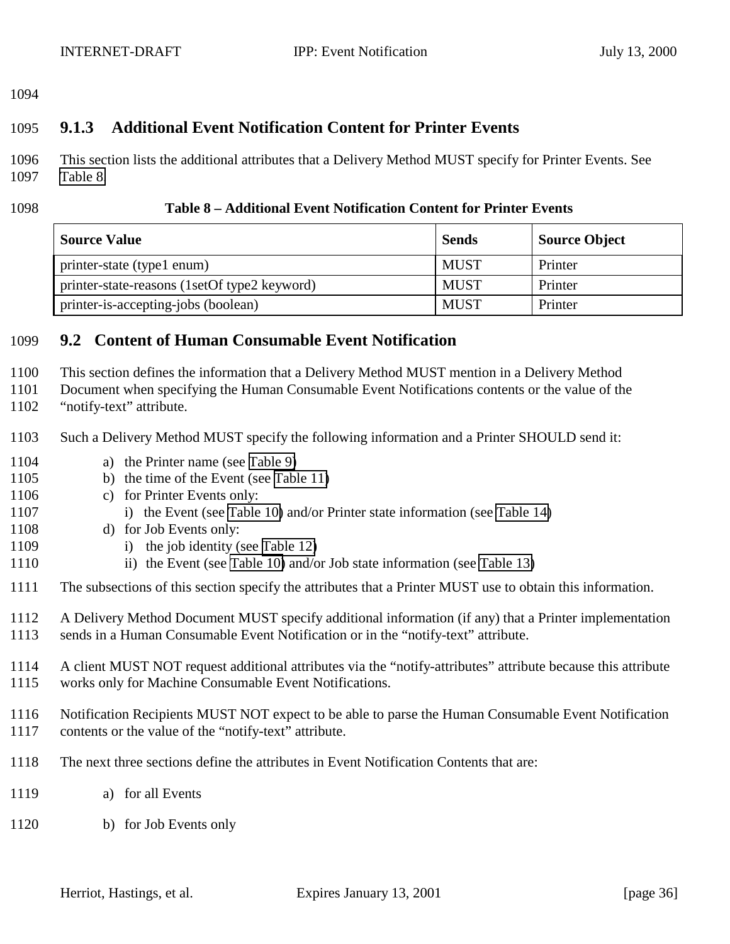<span id="page-35-0"></span>

## **9.1.3 Additional Event Notification Content for Printer Events**

 This section lists the additional attributes that a Delivery Method MUST specify for Printer Events. See Table 8.

#### **Table 8 – Additional Event Notification Content for Printer Events**

| <b>Source Value</b>                          | <b>Sends</b> | <b>Source Object</b> |
|----------------------------------------------|--------------|----------------------|
| printer-state (type1 enum)                   | <b>MUST</b>  | Printer              |
| printer-state-reasons (1setOf type2 keyword) | <b>MUST</b>  | Printer              |
| printer-is-accepting-jobs (boolean)          | <b>MUST</b>  | Printer              |

#### **9.2 Content of Human Consumable Event Notification**

This section defines the information that a Delivery Method MUST mention in a Delivery Method

Document when specifying the Human Consumable Event Notifications contents or the value of the

- "notify-text" attribute.
- Such a Delivery Method MUST specify the following information and a Printer SHOULD send it:
- a) the Printer name (see [Table 9\)](#page-36-0)
- b) the time of the Event (see [Table 11\)](#page-37-0)
- c) for Printer Events only:
- 1107 i) the Event (see [Table 10\)](#page-36-0) and/or Printer state information (see [Table 14\)](#page-38-0)
- d) for Job Events only:
- 1109 i) the job identity (see [Table 12\)](#page-37-0)
- 1110 ii) the Event (see [Table 10\)](#page-36-0) and/or Job state information (see [Table 13\)](#page-37-0)
- The subsections of this section specify the attributes that a Printer MUST use to obtain this information.
- A Delivery Method Document MUST specify additional information (if any) that a Printer implementation sends in a Human Consumable Event Notification or in the "notify-text" attribute.
- A client MUST NOT request additional attributes via the "notify-attributes" attribute because this attribute works only for Machine Consumable Event Notifications.
- Notification Recipients MUST NOT expect to be able to parse the Human Consumable Event Notification contents or the value of the "notify-text" attribute.
- The next three sections define the attributes in Event Notification Contents that are:
- a) for all Events
- b) for Job Events only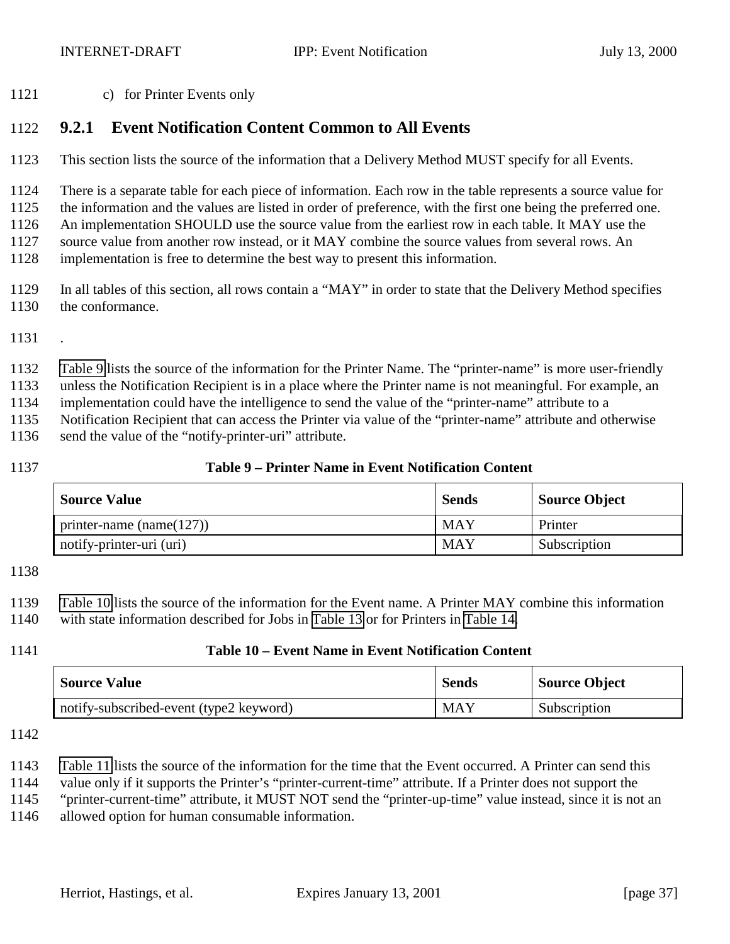c) for Printer Events only

## **9.2.1 Event Notification Content Common to All Events**

This section lists the source of the information that a Delivery Method MUST specify for all Events.

There is a separate table for each piece of information. Each row in the table represents a source value for

the information and the values are listed in order of preference, with the first one being the preferred one.

 An implementation SHOULD use the source value from the earliest row in each table. It MAY use the source value from another row instead, or it MAY combine the source values from several rows. An

implementation is free to determine the best way to present this information.

- In all tables of this section, all rows contain a "MAY" in order to state that the Delivery Method specifies the conformance.
- .

Table 9 lists the source of the information for the Printer Name. The "printer-name" is more user-friendly

unless the Notification Recipient is in a place where the Printer name is not meaningful. For example, an

implementation could have the intelligence to send the value of the "printer-name" attribute to a

Notification Recipient that can access the Printer via value of the "printer-name" attribute and otherwise

send the value of the "notify-printer-uri" attribute.

#### **Table 9 – Printer Name in Event Notification Content**

| <b>Source Value</b>          | <b>Sends</b> | Source Object |
|------------------------------|--------------|---------------|
| printer-name (name( $127$ )) | MAY          | Printer       |
| notify-printer-uri (uri)     | <b>MAY</b>   | Subscription  |

 Table 10 lists the source of the information for the Event name. A Printer MAY combine this information with state information described for Jobs in [Table 13](#page-37-0) or for Printers in [Table 14.](#page-38-0)

#### **Table 10 – Event Name in Event Notification Content**

| <b>Source Value</b>                     | <b>Sends</b> | Source Object |
|-----------------------------------------|--------------|---------------|
| notify-subscribed-event (type2 keyword) | <b>MAY</b>   | Subscription  |

[Table 11](#page-37-0) lists the source of the information for the time that the Event occurred. A Printer can send this

value only if it supports the Printer's "printer-current-time" attribute. If a Printer does not support the

"printer-current-time" attribute, it MUST NOT send the "printer-up-time" value instead, since it is not an

allowed option for human consumable information.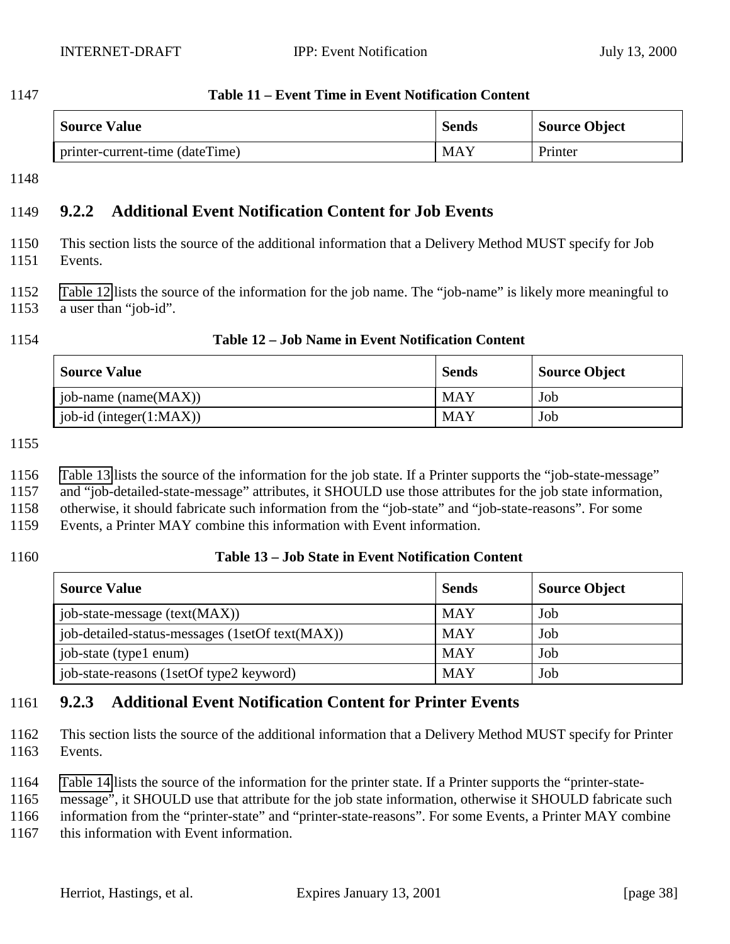<span id="page-37-0"></span>

| 1147 | Table 11 – Event Time in |
|------|--------------------------|
|      |                          |

| <b>Source Value</b>             | <b>Sends</b> | Source Object |
|---------------------------------|--------------|---------------|
| printer-current-time (dateTime) | <b>MAY</b>   | Printer       |

**Event Notification Content** 

## **9.2.2 Additional Event Notification Content for Job Events**

- This section lists the source of the additional information that a Delivery Method MUST specify for Job Events.
- Table 12 lists the source of the information for the job name. The "job-name" is likely more meaningful to a user than "job-id".

#### **Table 12 – Job Name in Event Notification Content**

| <b>Source Value</b>     | <b>Sends</b> | <b>Source Object</b> |
|-------------------------|--------------|----------------------|
| $job$ -name (name(MAX)) | MAY          | Job                  |
| job-id (integer(1:MAX)) | MAY          | Job                  |

- Table 13 lists the source of the information for the job state. If a Printer supports the "job-state-message"
- and "job-detailed-state-message" attributes, it SHOULD use those attributes for the job state information,
- otherwise, it should fabricate such information from the "job-state" and "job-state-reasons". For some
- Events, a Printer MAY combine this information with Event information.

### **Table 13 – Job State in Event Notification Content**

| <b>Source Value</b>                             | <b>Sends</b> | <b>Source Object</b> |
|-------------------------------------------------|--------------|----------------------|
| job-state-message (text(MAX))                   | <b>MAY</b>   | Job                  |
| job-detailed-status-messages (1setOf text(MAX)) | <b>MAY</b>   | Job                  |
| job-state (type1 enum)                          | <b>MAY</b>   | Job                  |
| job-state-reasons (1setOf type2 keyword)        | <b>MAY</b>   | Job                  |

## **9.2.3 Additional Event Notification Content for Printer Events**

- This section lists the source of the additional information that a Delivery Method MUST specify for Printer Events.
- [Table 14](#page-38-0) lists the source of the information for the printer state. If a Printer supports the "printer-state-
- message", it SHOULD use that attribute for the job state information, otherwise it SHOULD fabricate such
- information from the "printer-state" and "printer-state-reasons". For some Events, a Printer MAY combine
- this information with Event information.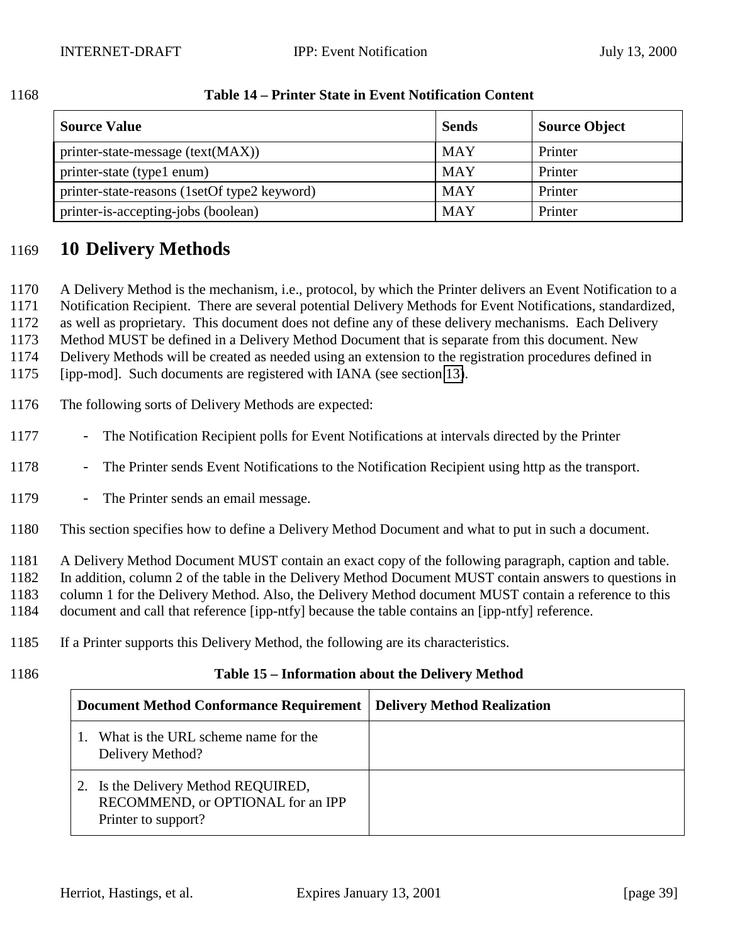| <b>Source Value</b>                          | <b>Sends</b> | <b>Source Object</b> |
|----------------------------------------------|--------------|----------------------|
| printer-state-message (text(MAX))            | <b>MAY</b>   | Printer              |
| printer-state (type1 enum)                   | <b>MAY</b>   | Printer              |
| printer-state-reasons (1setOf type2 keyword) | <b>MAY</b>   | Printer              |
| printer-is-accepting-jobs (boolean)          | <b>MAY</b>   | Printer              |

#### <span id="page-38-0"></span>1168 **Table 14 – Printer State in Event Notification Content**

## 1169 **10 Delivery Methods**

1170 A Delivery Method is the mechanism, i.e., protocol, by which the Printer delivers an Event Notification to a

1171 Notification Recipient. There are several potential Delivery Methods for Event Notifications, standardized,

1172 as well as proprietary. This document does not define any of these delivery mechanisms. Each Delivery

1173 Method MUST be defined in a Delivery Method Document that is separate from this document. New

1174 Delivery Methods will be created as needed using an extension to the registration procedures defined in

1175 [ipp-mod]. Such documents are registered with IANA (see section [13\)](#page-54-0).

- 1176 The following sorts of Delivery Methods are expected:
- 1177 The Notification Recipient polls for Event Notifications at intervals directed by the Printer
- 1178 The Printer sends Event Notifications to the Notification Recipient using http as the transport.
- 1179 The Printer sends an email message.
- 1180 This section specifies how to define a Delivery Method Document and what to put in such a document.

1181 A Delivery Method Document MUST contain an exact copy of the following paragraph, caption and table.

1182 In addition, column 2 of the table in the Delivery Method Document MUST contain answers to questions in

- 1183 column 1 for the Delivery Method. Also, the Delivery Method document MUST contain a reference to this
- 1184 document and call that reference [ipp-ntfy] because the table contains an [ipp-ntfy] reference.
- 1185 If a Printer supports this Delivery Method, the following are its characteristics.
- 

#### 1186 **Table 15 – Information about the Delivery Method**

| Document Method Conformance Requirement   Delivery Method Realization                           |  |
|-------------------------------------------------------------------------------------------------|--|
| What is the URL scheme name for the<br>Delivery Method?                                         |  |
| 2. Is the Delivery Method REQUIRED,<br>RECOMMEND, or OPTIONAL for an IPP<br>Printer to support? |  |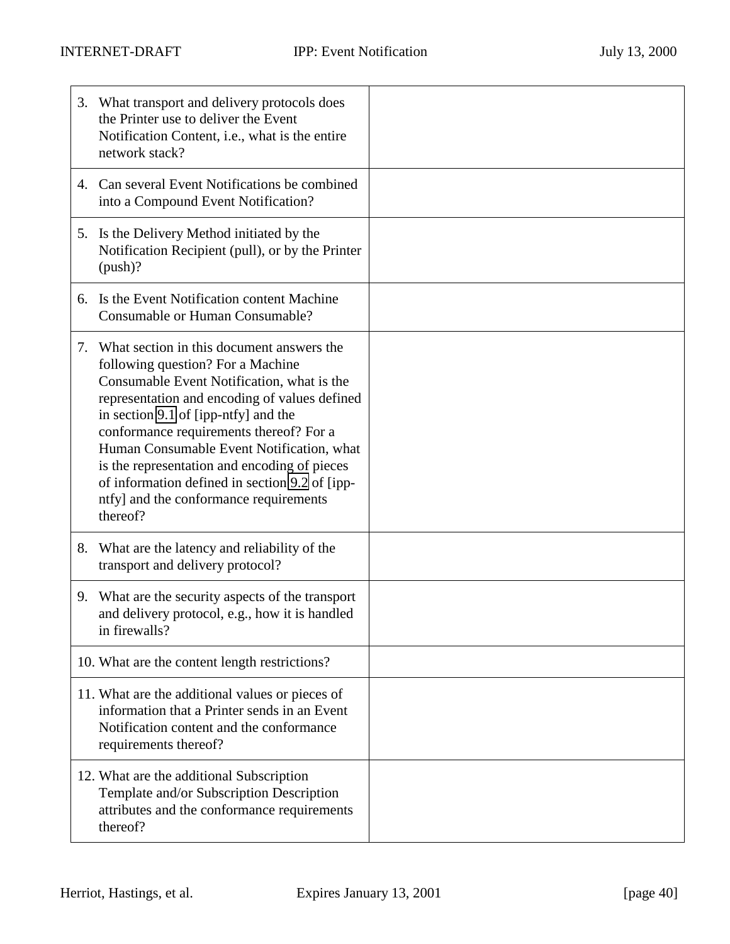|    | 3. What transport and delivery protocols does<br>the Printer use to deliver the Event<br>Notification Content, i.e., what is the entire<br>network stack?                                                                                                                                                                                                                                                                                                             |  |
|----|-----------------------------------------------------------------------------------------------------------------------------------------------------------------------------------------------------------------------------------------------------------------------------------------------------------------------------------------------------------------------------------------------------------------------------------------------------------------------|--|
|    | 4. Can several Event Notifications be combined<br>into a Compound Event Notification?                                                                                                                                                                                                                                                                                                                                                                                 |  |
|    | 5. Is the Delivery Method initiated by the<br>Notification Recipient (pull), or by the Printer<br>(push)?                                                                                                                                                                                                                                                                                                                                                             |  |
|    | 6. Is the Event Notification content Machine<br>Consumable or Human Consumable?                                                                                                                                                                                                                                                                                                                                                                                       |  |
| 7. | What section in this document answers the<br>following question? For a Machine<br>Consumable Event Notification, what is the<br>representation and encoding of values defined<br>in section 9.1 of [ipp-ntfy] and the<br>conformance requirements thereof? For a<br>Human Consumable Event Notification, what<br>is the representation and encoding of pieces<br>of information defined in section 9.2 of [ipp-<br>ntfy] and the conformance requirements<br>thereof? |  |
| 8. | What are the latency and reliability of the<br>transport and delivery protocol?                                                                                                                                                                                                                                                                                                                                                                                       |  |
|    | 9. What are the security aspects of the transport<br>and delivery protocol, e.g., how it is handled<br>in firewalls?                                                                                                                                                                                                                                                                                                                                                  |  |
|    | 10. What are the content length restrictions?                                                                                                                                                                                                                                                                                                                                                                                                                         |  |
|    | 11. What are the additional values or pieces of<br>information that a Printer sends in an Event<br>Notification content and the conformance<br>requirements thereof?                                                                                                                                                                                                                                                                                                  |  |
|    | 12. What are the additional Subscription<br>Template and/or Subscription Description<br>attributes and the conformance requirements<br>thereof?                                                                                                                                                                                                                                                                                                                       |  |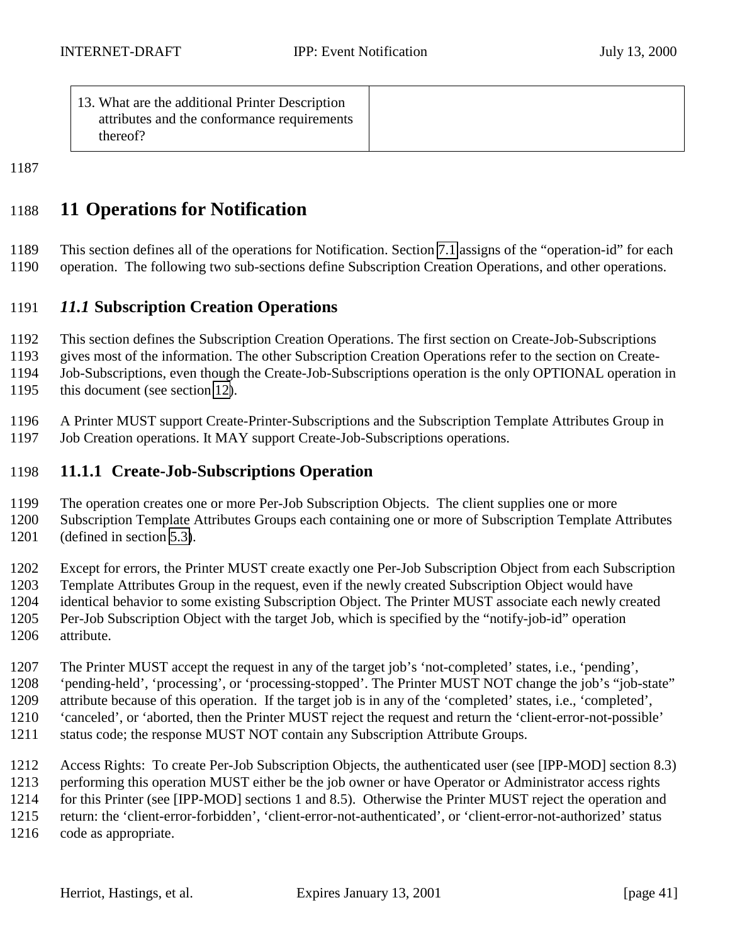<span id="page-40-0"></span>

| 13. What are the additional Printer Description |  |
|-------------------------------------------------|--|
| attributes and the conformance requirements     |  |
| thereof?                                        |  |
|                                                 |  |

# **11 Operations for Notification**

 This section defines all of the operations for Notification. Section [7.1](#page-30-0) assigns of the "operation-id" for each operation. The following two sub-sections define Subscription Creation Operations, and other operations.

## *11.1* **Subscription Creation Operations**

This section defines the Subscription Creation Operations. The first section on Create-Job-Subscriptions

gives most of the information. The other Subscription Creation Operations refer to the section on Create-

Job-Subscriptions, even though the Create-Job-Subscriptions operation is the only OPTIONAL operation in

this document (see section [12\)](#page-53-0).

 A Printer MUST support Create-Printer-Subscriptions and the Subscription Template Attributes Group in Job Creation operations. It MAY support Create-Job-Subscriptions operations.

## **11.1.1 Create-Job-Subscriptions Operation**

The operation creates one or more Per-Job Subscription Objects. The client supplies one or more

Subscription Template Attributes Groups each containing one or more of Subscription Template Attributes

(defined in section [5.3\)](#page-16-0).

 Except for errors, the Printer MUST create exactly one Per-Job Subscription Object from each Subscription Template Attributes Group in the request, even if the newly created Subscription Object would have identical behavior to some existing Subscription Object. The Printer MUST associate each newly created Per-Job Subscription Object with the target Job, which is specified by the "notify-job-id" operation attribute.

The Printer MUST accept the request in any of the target job's 'not-completed' states, i.e., 'pending',

'pending-held', 'processing', or 'processing-stopped'. The Printer MUST NOT change the job's "job-state"

 attribute because of this operation. If the target job is in any of the 'completed' states, i.e., 'completed', 'canceled', or 'aborted, then the Printer MUST reject the request and return the 'client-error-not-possible'

status code; the response MUST NOT contain any Subscription Attribute Groups.

Access Rights: To create Per-Job Subscription Objects, the authenticated user (see [IPP-MOD] section 8.3)

performing this operation MUST either be the job owner or have Operator or Administrator access rights

for this Printer (see [IPP-MOD] sections 1 and 8.5). Otherwise the Printer MUST reject the operation and

return: the 'client-error-forbidden', 'client-error-not-authenticated', or 'client-error-not-authorized' status

code as appropriate.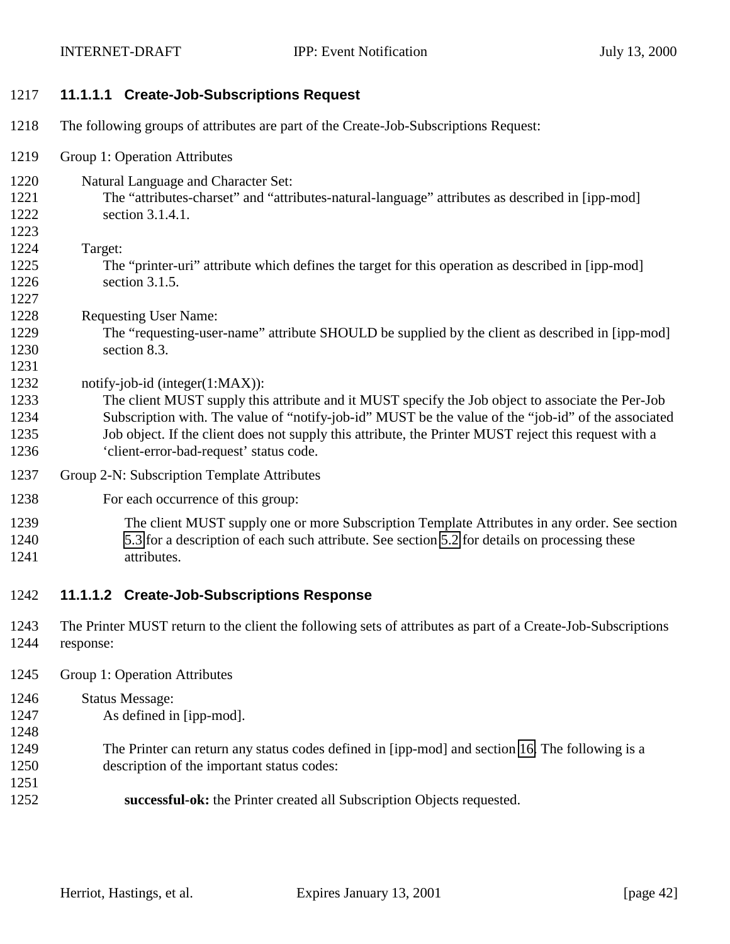<span id="page-41-0"></span>

| 1217 |  | 11.1.1.1 Create-Job-Subscriptions Request |  |
|------|--|-------------------------------------------|--|
|------|--|-------------------------------------------|--|

- The following groups of attributes are part of the Create-Job-Subscriptions Request:
- Group 1: Operation Attributes
- Natural Language and Character Set:
- The "attributes-charset" and "attributes-natural-language" attributes as described in [ipp-mod] section 3.1.4.1.
- Target:

- The "printer-uri" attribute which defines the target for this operation as described in [ipp-mod] section 3.1.5.
- Requesting User Name:
- The "requesting-user-name" attribute SHOULD be supplied by the client as described in [ipp-mod] section 8.3.
- 1232 notify-job-id (integer(1:MAX)):
- The client MUST supply this attribute and it MUST specify the Job object to associate the Per-Job Subscription with. The value of "notify-job-id" MUST be the value of the "job-id" of the associated Job object. If the client does not supply this attribute, the Printer MUST reject this request with a 'client-error-bad-request' status code.
- Group 2-N: Subscription Template Attributes
- For each occurrence of this group:
- The client MUST supply one or more Subscription Template Attributes in any order. See section [5.3](#page-16-0) for a description of each such attribute. See section [5.2](#page-14-0) for details on processing these attributes.

## **11.1.1.2 Create-Job-Subscriptions Response**

- The Printer MUST return to the client the following sets of attributes as part of a Create-Job-Subscriptions response:
- Group 1: Operation Attributes
- Status Message:
- As defined in [ipp-mod].
- 
- The Printer can return any status codes defined in [ipp-mod] and section [16.](#page-56-0) The following is a
- description of the important status codes:
- **successful-ok:** the Printer created all Subscription Objects requested.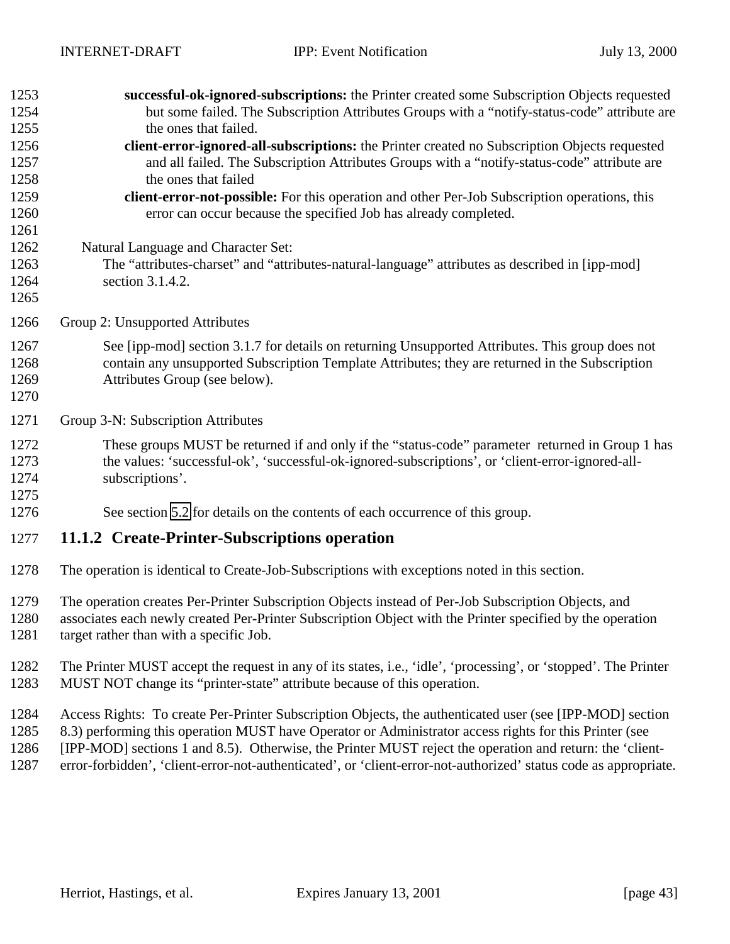<span id="page-42-0"></span>

| 1253 | successful-ok-ignored-subscriptions: the Printer created some Subscription Objects requested                    |
|------|-----------------------------------------------------------------------------------------------------------------|
| 1254 | but some failed. The Subscription Attributes Groups with a "notify-status-code" attribute are                   |
| 1255 | the ones that failed.                                                                                           |
| 1256 | client-error-ignored-all-subscriptions: the Printer created no Subscription Objects requested                   |
| 1257 | and all failed. The Subscription Attributes Groups with a "notify-status-code" attribute are                    |
| 1258 | the ones that failed                                                                                            |
| 1259 | client-error-not-possible: For this operation and other Per-Job Subscription operations, this                   |
| 1260 | error can occur because the specified Job has already completed.                                                |
| 1261 |                                                                                                                 |
| 1262 | Natural Language and Character Set:                                                                             |
| 1263 | The "attributes-charset" and "attributes-natural-language" attributes as described in [ipp-mod]                 |
| 1264 | section 3.1.4.2.                                                                                                |
| 1265 |                                                                                                                 |
| 1266 | Group 2: Unsupported Attributes                                                                                 |
| 1267 | See [ipp-mod] section 3.1.7 for details on returning Unsupported Attributes. This group does not                |
| 1268 | contain any unsupported Subscription Template Attributes; they are returned in the Subscription                 |
| 1269 | Attributes Group (see below).                                                                                   |
| 1270 |                                                                                                                 |
| 1271 | Group 3-N: Subscription Attributes                                                                              |
| 1272 | These groups MUST be returned if and only if the "status-code" parameter returned in Group 1 has                |
| 1273 | the values: 'successful-ok', 'successful-ok-ignored-subscriptions', or 'client-error-ignored-all-               |
| 1274 | subscriptions'.                                                                                                 |
| 1275 |                                                                                                                 |
| 1276 | See section 5.2 for details on the contents of each occurrence of this group.                                   |
| 1277 | 11.1.2 Create-Printer-Subscriptions operation                                                                   |
| 1278 | The operation is identical to Create-Job-Subscriptions with exceptions noted in this section.                   |
| 1279 | The operation creates Per-Printer Subscription Objects instead of Per-Job Subscription Objects, and             |
| 1280 | associates each newly created Per-Printer Subscription Object with the Printer specified by the operation       |
| 1281 | target rather than with a specific Job.                                                                         |
|      |                                                                                                                 |
| 1282 | The Printer MUST accept the request in any of its states, i.e., 'idle', 'processing', or 'stopped'. The Printer |

MUST NOT change its "printer-state" attribute because of this operation.

Access Rights: To create Per-Printer Subscription Objects, the authenticated user (see [IPP-MOD] section

 8.3) performing this operation MUST have Operator or Administrator access rights for this Printer (see [IPP-MOD] sections 1 and 8.5). Otherwise, the Printer MUST reject the operation and return: the 'client-

error-forbidden', 'client-error-not-authenticated', or 'client-error-not-authorized' status code as appropriate.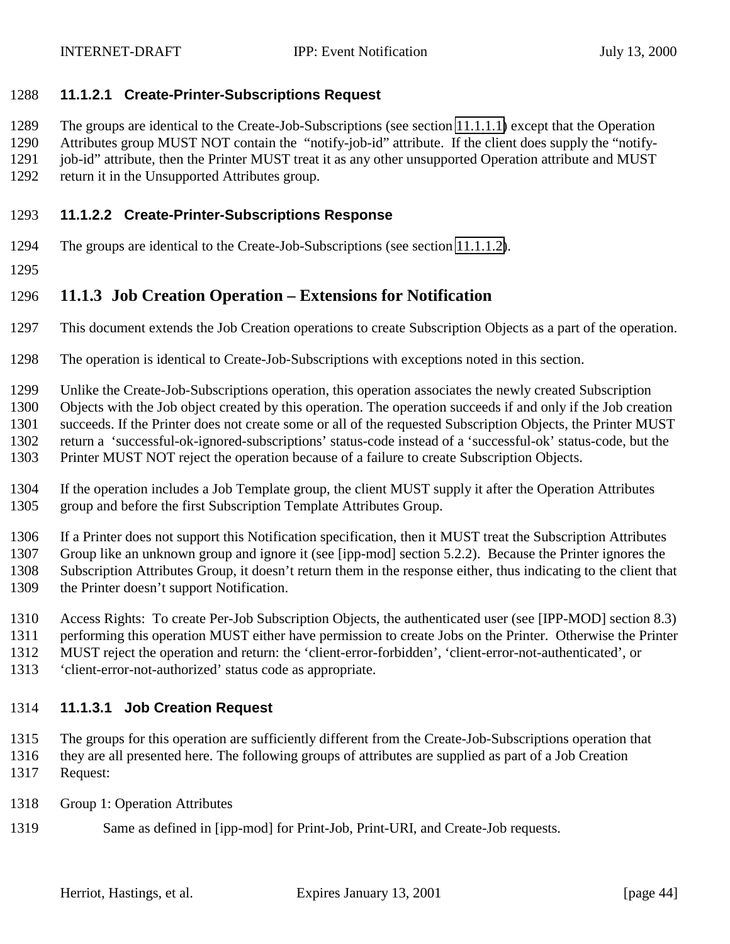#### <span id="page-43-0"></span>**11.1.2.1 Create-Printer-Subscriptions Request**

The groups are identical to the Create-Job-Subscriptions (see section [11.1.1.1\)](#page-41-0) except that the Operation

Attributes group MUST NOT contain the "notify-job-id" attribute. If the client does supply the "notify-

1291 job-id" attribute, then the Printer MUST treat it as any other unsupported Operation attribute and MUST

return it in the Unsupported Attributes group.

### **11.1.2.2 Create-Printer-Subscriptions Response**

- The groups are identical to the Create-Job-Subscriptions (see section [11.1.1.2\)](#page-41-0).
- 

## **11.1.3 Job Creation Operation – Extensions for Notification**

- This document extends the Job Creation operations to create Subscription Objects as a part of the operation.
- The operation is identical to Create-Job-Subscriptions with exceptions noted in this section.
- Unlike the Create-Job-Subscriptions operation, this operation associates the newly created Subscription
- Objects with the Job object created by this operation. The operation succeeds if and only if the Job creation
- succeeds. If the Printer does not create some or all of the requested Subscription Objects, the Printer MUST
- return a 'successful-ok-ignored-subscriptions' status-code instead of a 'successful-ok' status-code, but the
- Printer MUST NOT reject the operation because of a failure to create Subscription Objects.
- If the operation includes a Job Template group, the client MUST supply it after the Operation Attributes group and before the first Subscription Template Attributes Group.

 If a Printer does not support this Notification specification, then it MUST treat the Subscription Attributes Group like an unknown group and ignore it (see [ipp-mod] section 5.2.2). Because the Printer ignores the Subscription Attributes Group, it doesn't return them in the response either, thus indicating to the client that the Printer doesn't support Notification.

- Access Rights: To create Per-Job Subscription Objects, the authenticated user (see [IPP-MOD] section 8.3)
- performing this operation MUST either have permission to create Jobs on the Printer. Otherwise the Printer
- MUST reject the operation and return: the 'client-error-forbidden', 'client-error-not-authenticated', or
- 'client-error-not-authorized' status code as appropriate.

### **11.1.3.1 Job Creation Request**

 The groups for this operation are sufficiently different from the Create-Job-Subscriptions operation that they are all presented here. The following groups of attributes are supplied as part of a Job Creation Request:

- Group 1: Operation Attributes
- Same as defined in [ipp-mod] for Print-Job, Print-URI, and Create-Job requests.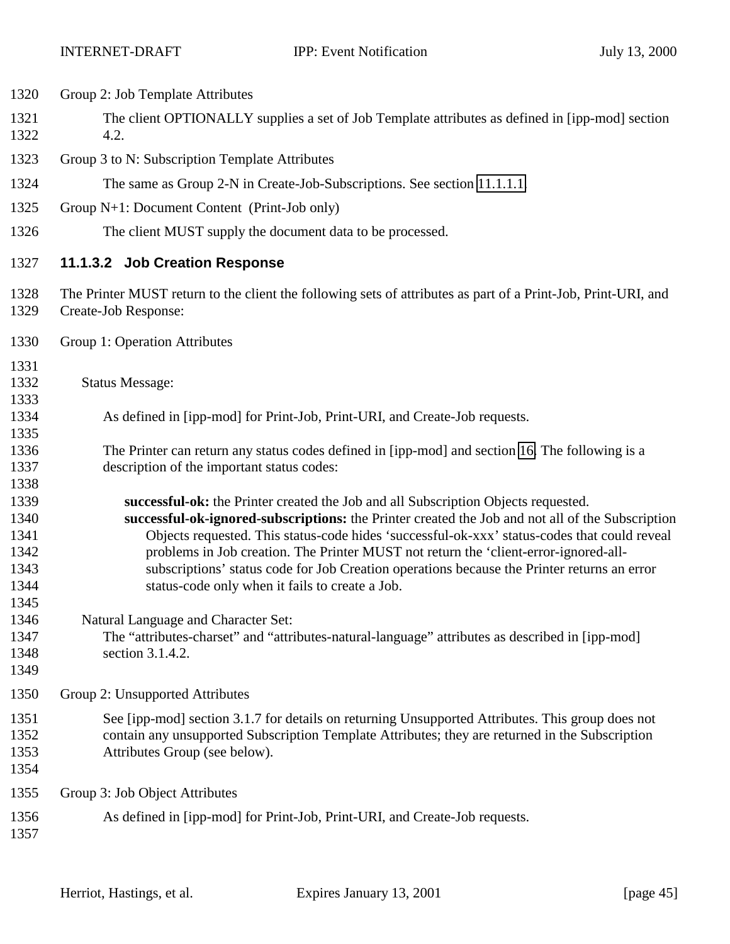| 1320                                                 | Group 2: Job Template Attributes                                                                                                                                                                                                                                                                                                                                                                                                                                                                                                 |
|------------------------------------------------------|----------------------------------------------------------------------------------------------------------------------------------------------------------------------------------------------------------------------------------------------------------------------------------------------------------------------------------------------------------------------------------------------------------------------------------------------------------------------------------------------------------------------------------|
| 1321<br>1322                                         | The client OPTIONALLY supplies a set of Job Template attributes as defined in [ipp-mod] section<br>4.2.                                                                                                                                                                                                                                                                                                                                                                                                                          |
| 1323                                                 | Group 3 to N: Subscription Template Attributes                                                                                                                                                                                                                                                                                                                                                                                                                                                                                   |
| 1324                                                 | The same as Group 2-N in Create-Job-Subscriptions. See section 11.1.1.1.                                                                                                                                                                                                                                                                                                                                                                                                                                                         |
| 1325                                                 | Group N+1: Document Content (Print-Job only)                                                                                                                                                                                                                                                                                                                                                                                                                                                                                     |
| 1326                                                 | The client MUST supply the document data to be processed.                                                                                                                                                                                                                                                                                                                                                                                                                                                                        |
| 1327                                                 | 11.1.3.2 Job Creation Response                                                                                                                                                                                                                                                                                                                                                                                                                                                                                                   |
| 1328<br>1329                                         | The Printer MUST return to the client the following sets of attributes as part of a Print-Job, Print-URI, and<br>Create-Job Response:                                                                                                                                                                                                                                                                                                                                                                                            |
| 1330                                                 | Group 1: Operation Attributes                                                                                                                                                                                                                                                                                                                                                                                                                                                                                                    |
| 1331<br>1332<br>1333                                 | <b>Status Message:</b>                                                                                                                                                                                                                                                                                                                                                                                                                                                                                                           |
| 1334<br>1335                                         | As defined in [ipp-mod] for Print-Job, Print-URI, and Create-Job requests.                                                                                                                                                                                                                                                                                                                                                                                                                                                       |
| 1336<br>1337                                         | The Printer can return any status codes defined in [ipp-mod] and section 16. The following is a<br>description of the important status codes:                                                                                                                                                                                                                                                                                                                                                                                    |
| 1338<br>1339<br>1340<br>1341<br>1342<br>1343<br>1344 | successful-ok: the Printer created the Job and all Subscription Objects requested.<br>successful-ok-ignored-subscriptions: the Printer created the Job and not all of the Subscription<br>Objects requested. This status-code hides 'successful-ok-xxx' status-codes that could reveal<br>problems in Job creation. The Printer MUST not return the 'client-error-ignored-all-<br>subscriptions' status code for Job Creation operations because the Printer returns an error<br>status-code only when it fails to create a Job. |
| 1345<br>1346<br>1347<br>1348<br>1349                 | Natural Language and Character Set:<br>The "attributes-charset" and "attributes-natural-language" attributes as described in [ipp-mod]<br>section 3.1.4.2.                                                                                                                                                                                                                                                                                                                                                                       |
| 1350                                                 | Group 2: Unsupported Attributes                                                                                                                                                                                                                                                                                                                                                                                                                                                                                                  |
| 1351<br>1352<br>1353<br>1354                         | See [ipp-mod] section 3.1.7 for details on returning Unsupported Attributes. This group does not<br>contain any unsupported Subscription Template Attributes; they are returned in the Subscription<br>Attributes Group (see below).                                                                                                                                                                                                                                                                                             |
| 1355                                                 | Group 3: Job Object Attributes                                                                                                                                                                                                                                                                                                                                                                                                                                                                                                   |
| 1356<br>1357                                         | As defined in [ipp-mod] for Print-Job, Print-URI, and Create-Job requests.                                                                                                                                                                                                                                                                                                                                                                                                                                                       |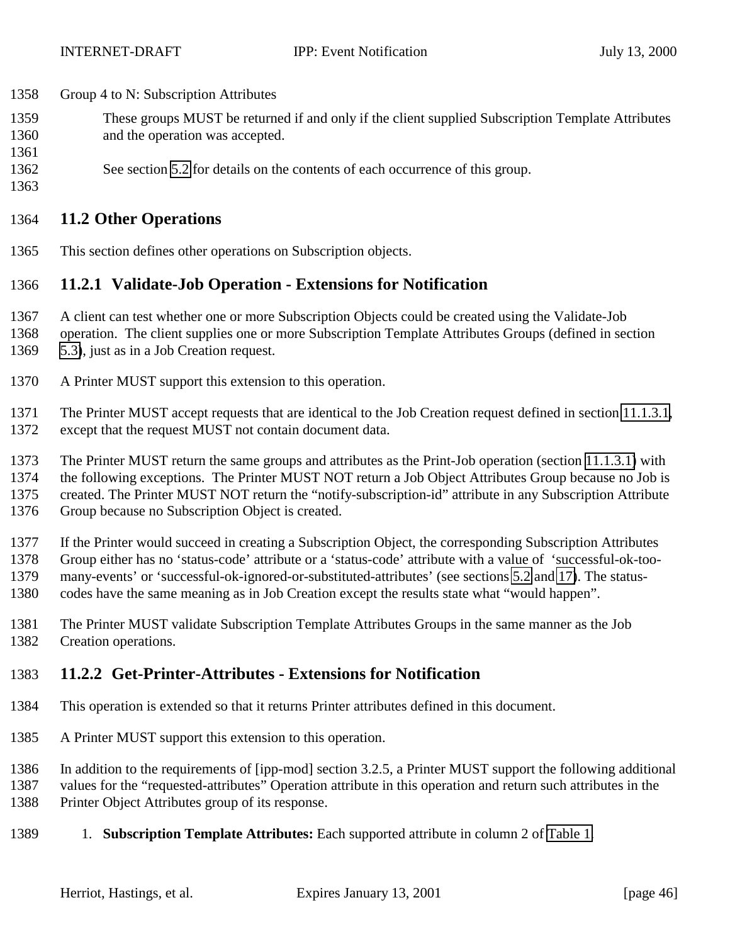- <span id="page-45-0"></span>Group 4 to N: Subscription Attributes
- These groups MUST be returned if and only if the client supplied Subscription Template Attributes
- and the operation was accepted.
- See section [5.2](#page-14-0) for details on the contents of each occurrence of this group.

## **11.2 Other Operations**

This section defines other operations on Subscription objects.

## **11.2.1 Validate-Job Operation - Extensions for Notification**

- A client can test whether one or more Subscription Objects could be created using the Validate-Job
- operation. The client supplies one or more Subscription Template Attributes Groups (defined in section [5.3\)](#page-16-0), just as in a Job Creation request.
- A Printer MUST support this extension to this operation.

 The Printer MUST accept requests that are identical to the Job Creation request defined in section [11.1.3.1,](#page-43-0) except that the request MUST not contain document data.

The Printer MUST return the same groups and attributes as the Print-Job operation (section [11.1.3.1\)](#page-43-0) with

the following exceptions. The Printer MUST NOT return a Job Object Attributes Group because no Job is

created. The Printer MUST NOT return the "notify-subscription-id" attribute in any Subscription Attribute

Group because no Subscription Object is created.

If the Printer would succeed in creating a Subscription Object, the corresponding Subscription Attributes

Group either has no 'status-code' attribute or a 'status-code' attribute with a value of 'successful-ok-too-

many-events' or 'successful-ok-ignored-or-substituted-attributes' (see sections [5.2](#page-14-0) and [17\)](#page-57-0). The status-

- codes have the same meaning as in Job Creation except the results state what "would happen".
- The Printer MUST validate Subscription Template Attributes Groups in the same manner as the Job Creation operations.

## **11.2.2 Get-Printer-Attributes - Extensions for Notification**

- This operation is extended so that it returns Printer attributes defined in this document.
- A Printer MUST support this extension to this operation.
- In addition to the requirements of [ipp-mod] section 3.2.5, a Printer MUST support the following additional
- values for the "requested-attributes" Operation attribute in this operation and return such attributes in the
- Printer Object Attributes group of its response.
- 1. **Subscription Template Attributes:** Each supported attribute in column 2 of [Table 1.](#page-17-0)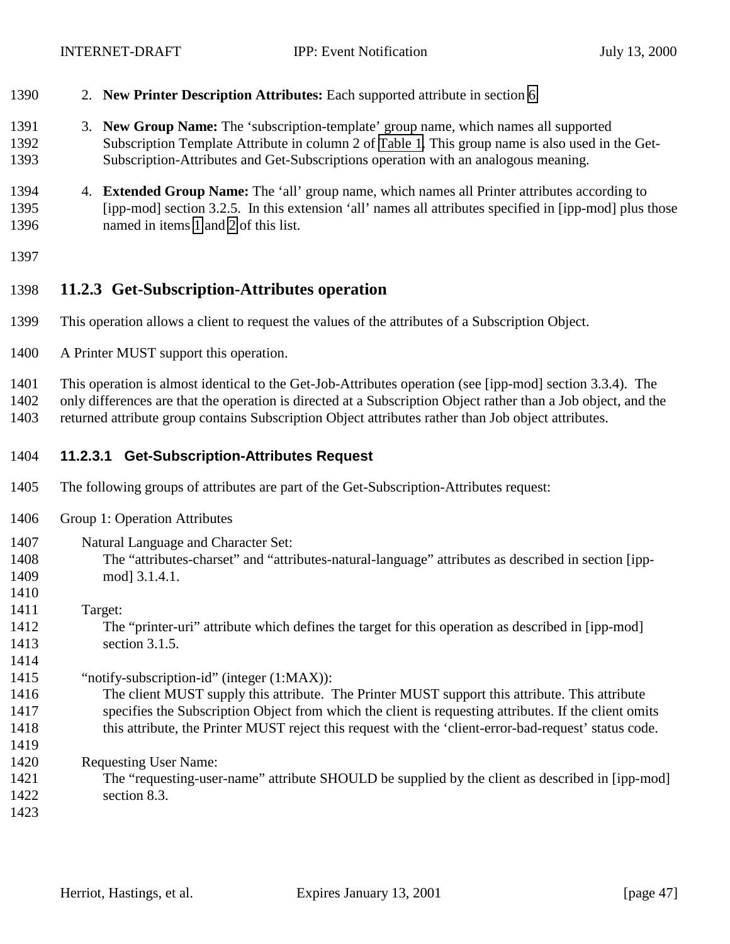- <span id="page-46-0"></span>2. **New Printer Description Attributes:** Each supported attribute in section [6.](#page-29-0)
- 3. **New Group Name:** The 'subscription-template' group name, which names all supported Subscription Template Attribute in column 2 of [Table 1.](#page-17-0) This group name is also used in the Get-Subscription-Attributes and Get-Subscriptions operation with an analogous meaning.
- 4. **Extended Group Name:** The 'all' group name, which names all Printer attributes according to [ipp-mod] section 3.2.5. In this extension 'all' names all attributes specified in [ipp-mod] plus those named in items [1](#page-45-0) and 2 of this list.
- 

## **11.2.3 Get-Subscription-Attributes operation**

- This operation allows a client to request the values of the attributes of a Subscription Object.
- A Printer MUST support this operation.

This operation is almost identical to the Get-Job-Attributes operation (see [ipp-mod] section 3.3.4). The

only differences are that the operation is directed at a Subscription Object rather than a Job object, and the

returned attribute group contains Subscription Object attributes rather than Job object attributes.

- **11.2.3.1 Get-Subscription-Attributes Request**
- The following groups of attributes are part of the Get-Subscription-Attributes request:
- Group 1: Operation Attributes

| 1407 | Natural Language and Character Set:                                                                   |
|------|-------------------------------------------------------------------------------------------------------|
| 1408 | The "attributes-charset" and "attributes-natural-language" attributes as described in section [ipp-   |
| 1409 | mod] 3.1.4.1.                                                                                         |
| 1410 |                                                                                                       |
| 1411 | Target:                                                                                               |
| 1412 | The "printer-uri" attribute which defines the target for this operation as described in [ipp-mod]     |
| 1413 | section $3.1.5$ .                                                                                     |
| 1414 |                                                                                                       |
| 1415 | "notify-subscription-id" (integer $(1:MAX)$ ):                                                        |
| 1416 | The client MUST supply this attribute. The Printer MUST support this attribute. This attribute        |
| 1417 | specifies the Subscription Object from which the client is requesting attributes. If the client omits |
| 1418 | this attribute, the Printer MUST reject this request with the 'client-error-bad-request' status code. |
| 1419 |                                                                                                       |
| 1420 | <b>Requesting User Name:</b>                                                                          |
| 1421 | The "requesting-user-name" attribute SHOULD be supplied by the client as described in [ipp-mod]       |
| 1422 | section 8.3.                                                                                          |
| 1423 |                                                                                                       |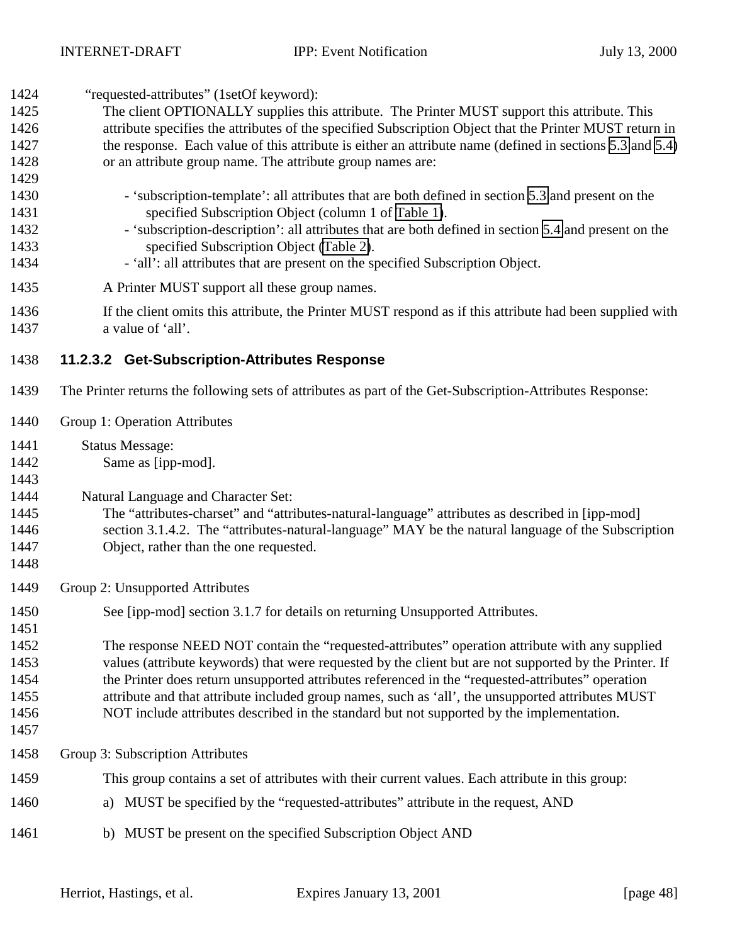<span id="page-47-0"></span>

| 1424 | "requested-attributes" (1setOf keyword):                                                                  |
|------|-----------------------------------------------------------------------------------------------------------|
| 1425 | The client OPTIONALLY supplies this attribute. The Printer MUST support this attribute. This              |
| 1426 | attribute specifies the attributes of the specified Subscription Object that the Printer MUST return in   |
| 1427 | the response. Each value of this attribute is either an attribute name (defined in sections 5.3 and 5.4)  |
| 1428 | or an attribute group name. The attribute group names are:                                                |
| 1429 |                                                                                                           |
| 1430 | - 'subscription-template': all attributes that are both defined in section 5.3 and present on the         |
| 1431 | specified Subscription Object (column 1 of Table 1).                                                      |
| 1432 | - 'subscription-description': all attributes that are both defined in section 5.4 and present on the      |
| 1433 | specified Subscription Object (Table 2).                                                                  |
| 1434 | - 'all': all attributes that are present on the specified Subscription Object.                            |
| 1435 | A Printer MUST support all these group names.                                                             |
| 1436 | If the client omits this attribute, the Printer MUST respond as if this attribute had been supplied with  |
| 1437 | a value of 'all'.                                                                                         |
| 1438 | 11.2.3.2 Get-Subscription-Attributes Response                                                             |
| 1439 | The Printer returns the following sets of attributes as part of the Get-Subscription-Attributes Response: |
| 1440 | Group 1: Operation Attributes                                                                             |
| 1441 | <b>Status Message:</b>                                                                                    |
| 1442 | Same as [ipp-mod].                                                                                        |
| 1443 |                                                                                                           |
| 1444 | Natural Language and Character Set:                                                                       |
| 1445 | The "attributes-charset" and "attributes-natural-language" attributes as described in [ipp-mod]           |
| 1446 | section 3.1.4.2. The "attributes-natural-language" MAY be the natural language of the Subscription        |
| 1447 | Object, rather than the one requested.                                                                    |
| 1448 |                                                                                                           |
| 1449 | Group 2: Unsupported Attributes                                                                           |
| 1450 | See [ipp-mod] section 3.1.7 for details on returning Unsupported Attributes.                              |
| 1451 |                                                                                                           |
| 1452 | The response NEED NOT contain the "requested-attributes" operation attribute with any supplied            |
| 1453 | values (attribute keywords) that were requested by the client but are not supported by the Printer. If    |
| 1454 | the Printer does return unsupported attributes referenced in the "requested-attributes" operation         |
| 1455 | attribute and that attribute included group names, such as 'all', the unsupported attributes MUST         |
| 1456 | NOT include attributes described in the standard but not supported by the implementation.                 |
| 1457 |                                                                                                           |
| 1458 | Group 3: Subscription Attributes                                                                          |
| 1459 | This group contains a set of attributes with their current values. Each attribute in this group:          |
| 1460 | MUST be specified by the "requested-attributes" attribute in the request, AND<br>a)                       |
| 1461 | b) MUST be present on the specified Subscription Object AND                                               |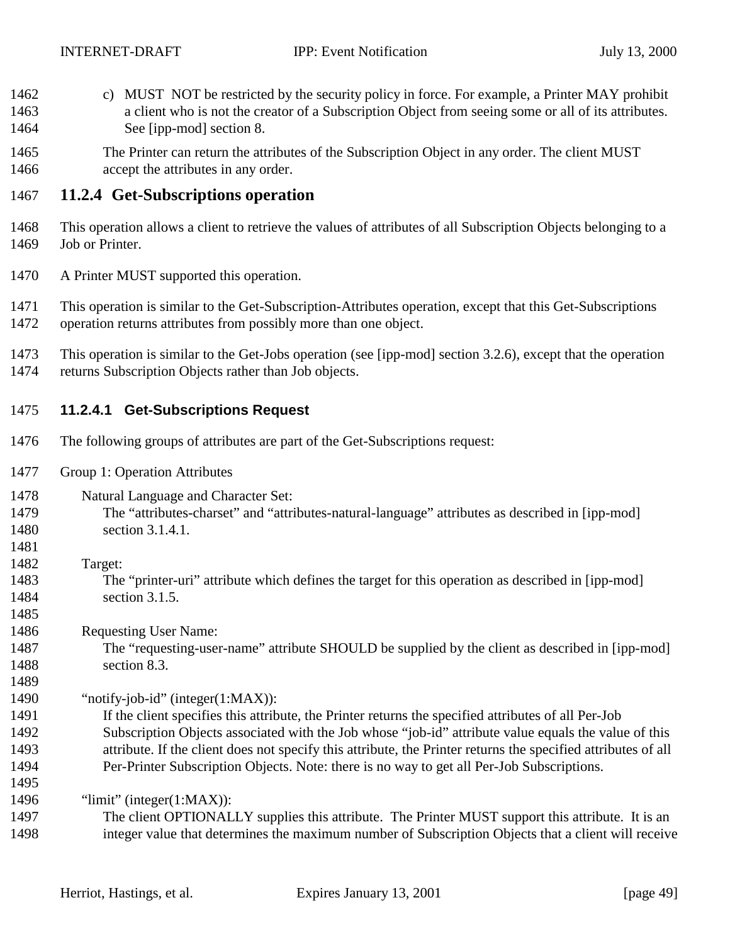- <span id="page-48-0"></span> c) MUST NOT be restricted by the security policy in force. For example, a Printer MAY prohibit a client who is not the creator of a Subscription Object from seeing some or all of its attributes. See [ipp-mod] section 8.
- The Printer can return the attributes of the Subscription Object in any order. The client MUST **accept the attributes in any order.**

## **11.2.4 Get-Subscriptions operation**

- This operation allows a client to retrieve the values of attributes of all Subscription Objects belonging to a Job or Printer.
- A Printer MUST supported this operation.
- This operation is similar to the Get-Subscription-Attributes operation, except that this Get-Subscriptions operation returns attributes from possibly more than one object.
- This operation is similar to the Get-Jobs operation (see [ipp-mod] section 3.2.6), except that the operation returns Subscription Objects rather than Job objects.

### **11.2.4.1 Get-Subscriptions Request**

- The following groups of attributes are part of the Get-Subscriptions request:
- Group 1: Operation Attributes
- Natural Language and Character Set:
- The "attributes-charset" and "attributes-natural-language" attributes as described in [ipp-mod] section 3.1.4.1.
- Target:

- The "printer-uri" attribute which defines the target for this operation as described in [ipp-mod] section 3.1.5.
- Requesting User Name:
- The "requesting-user-name" attribute SHOULD be supplied by the client as described in [ipp-mod] section 8.3.
- "notify-job-id" (integer(1:MAX)):
- If the client specifies this attribute, the Printer returns the specified attributes of all Per-Job Subscription Objects associated with the Job whose "job-id" attribute value equals the value of this attribute. If the client does not specify this attribute, the Printer returns the specified attributes of all Per-Printer Subscription Objects. Note: there is no way to get all Per-Job Subscriptions.
- "limit" (integer(1:MAX)):
- The client OPTIONALLY supplies this attribute. The Printer MUST support this attribute. It is an integer value that determines the maximum number of Subscription Objects that a client will receive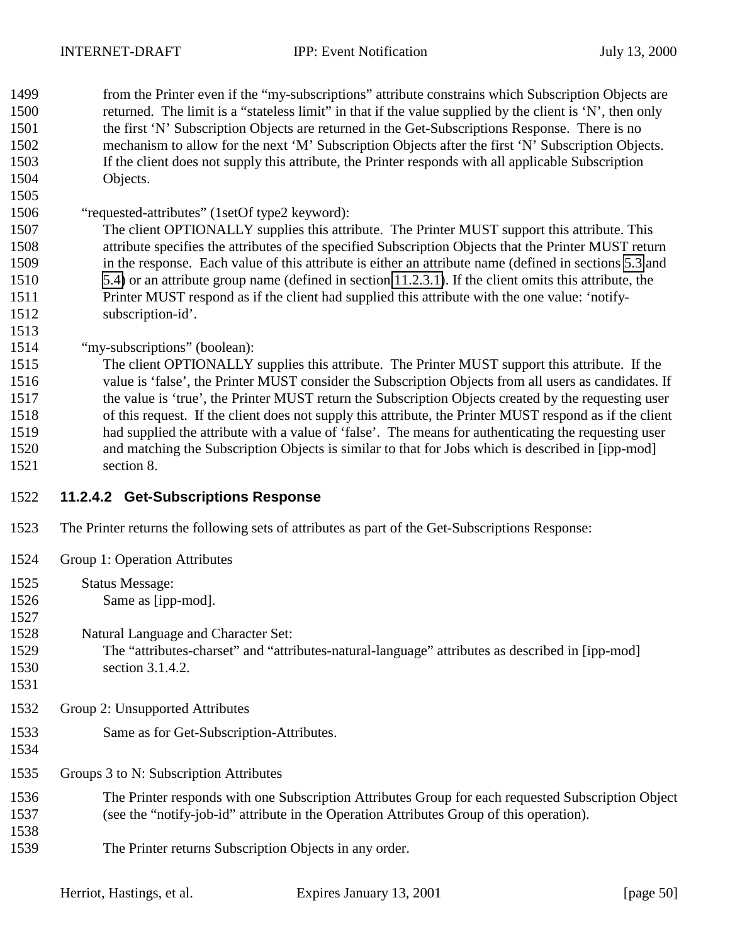from the Printer even if the "my-subscriptions" attribute constrains which Subscription Objects are returned. The limit is a "stateless limit" in that if the value supplied by the client is 'N', then only the first 'N' Subscription Objects are returned in the Get-Subscriptions Response. There is no mechanism to allow for the next 'M' Subscription Objects after the first 'N' Subscription Objects. If the client does not supply this attribute, the Printer responds with all applicable Subscription Objects.

"requested-attributes" (1setOf type2 keyword):

 The client OPTIONALLY supplies this attribute. The Printer MUST support this attribute. This attribute specifies the attributes of the specified Subscription Objects that the Printer MUST return in the response. Each value of this attribute is either an attribute name (defined in sections [5.3](#page-16-0) and [5.4\)](#page-26-0) or an attribute group name (defined in section [11.2.3.1\)](#page-46-0). If the client omits this attribute, the Printer MUST respond as if the client had supplied this attribute with the one value: 'notify-subscription-id'.

"my-subscriptions" (boolean):

 The client OPTIONALLY supplies this attribute. The Printer MUST support this attribute. If the value is 'false', the Printer MUST consider the Subscription Objects from all users as candidates. If the value is 'true', the Printer MUST return the Subscription Objects created by the requesting user of this request. If the client does not supply this attribute, the Printer MUST respond as if the client had supplied the attribute with a value of 'false'. The means for authenticating the requesting user and matching the Subscription Objects is similar to that for Jobs which is described in [ipp-mod] section 8.

- **11.2.4.2 Get-Subscriptions Response**
- The Printer returns the following sets of attributes as part of the Get-Subscriptions Response:
- Group 1: Operation Attributes
- Status Message:
- Same as [ipp-mod].
- Natural Language and Character Set:
- The "attributes-charset" and "attributes-natural-language" attributes as described in [ipp-mod] 1530 section 3.1.4.2.
- 

- Group 2: Unsupported Attributes
- Same as for Get-Subscription-Attributes.
- 

Groups 3 to N: Subscription Attributes

- The Printer responds with one Subscription Attributes Group for each requested Subscription Object (see the "notify-job-id" attribute in the Operation Attributes Group of this operation).
- The Printer returns Subscription Objects in any order.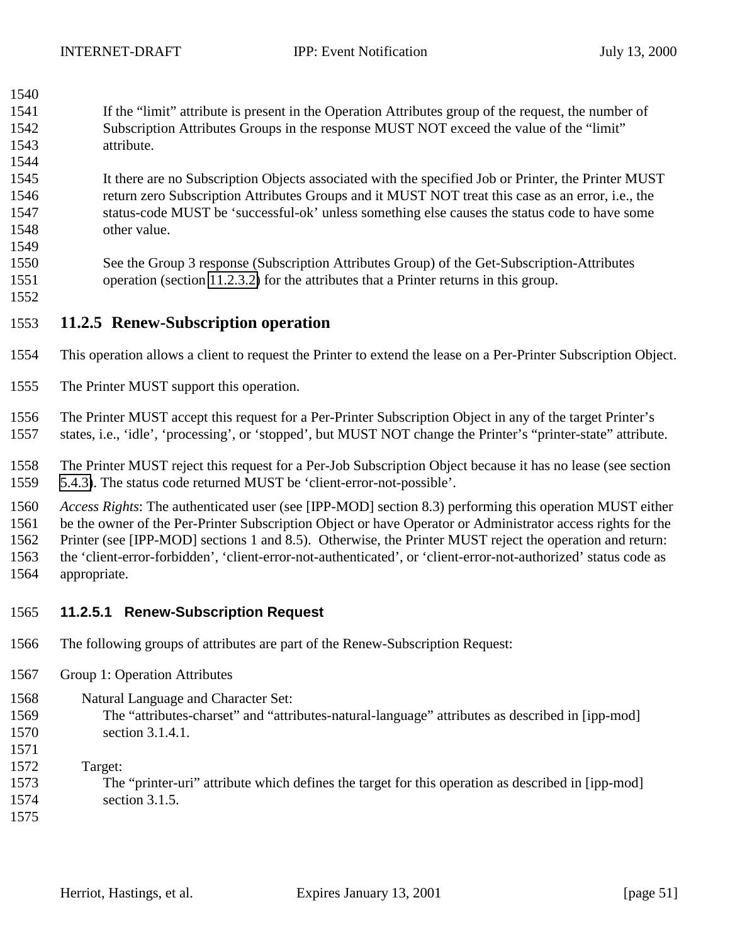If the "limit" attribute is present in the Operation Attributes group of the request, the number of Subscription Attributes Groups in the response MUST NOT exceed the value of the "limit" attribute.

 It there are no Subscription Objects associated with the specified Job or Printer, the Printer MUST return zero Subscription Attributes Groups and it MUST NOT treat this case as an error, i.e., the status-code MUST be 'successful-ok' unless something else causes the status code to have some other value.

- See the Group 3 response (Subscription Attributes Group) of the Get-Subscription-Attributes operation (section [11.2.3.2\)](#page-47-0) for the attributes that a Printer returns in this group.
- 

<span id="page-50-0"></span>

### **11.2.5 Renew-Subscription operation**

- This operation allows a client to request the Printer to extend the lease on a Per-Printer Subscription Object.
- The Printer MUST support this operation.

 The Printer MUST accept this request for a Per-Printer Subscription Object in any of the target Printer's states, i.e., 'idle', 'processing', or 'stopped', but MUST NOT change the Printer's "printer-state" attribute.

 The Printer MUST reject this request for a Per-Job Subscription Object because it has no lease (see section [5.4.3\)](#page-27-0). The status code returned MUST be 'client-error-not-possible'.

 *Access Rights*: The authenticated user (see [IPP-MOD] section 8.3) performing this operation MUST either be the owner of the Per-Printer Subscription Object or have Operator or Administrator access rights for the Printer (see [IPP-MOD] sections 1 and 8.5). Otherwise, the Printer MUST reject the operation and return: the 'client-error-forbidden', 'client-error-not-authenticated', or 'client-error-not-authorized' status code as appropriate.

### **11.2.5.1 Renew-Subscription Request**

- The following groups of attributes are part of the Renew-Subscription Request:
- Group 1: Operation Attributes
- Natural Language and Character Set:
- The "attributes-charset" and "attributes-natural-language" attributes as described in [ipp-mod] section 3.1.4.1.
- Target:
- The "printer-uri" attribute which defines the target for this operation as described in [ipp-mod]
- section 3.1.5.
-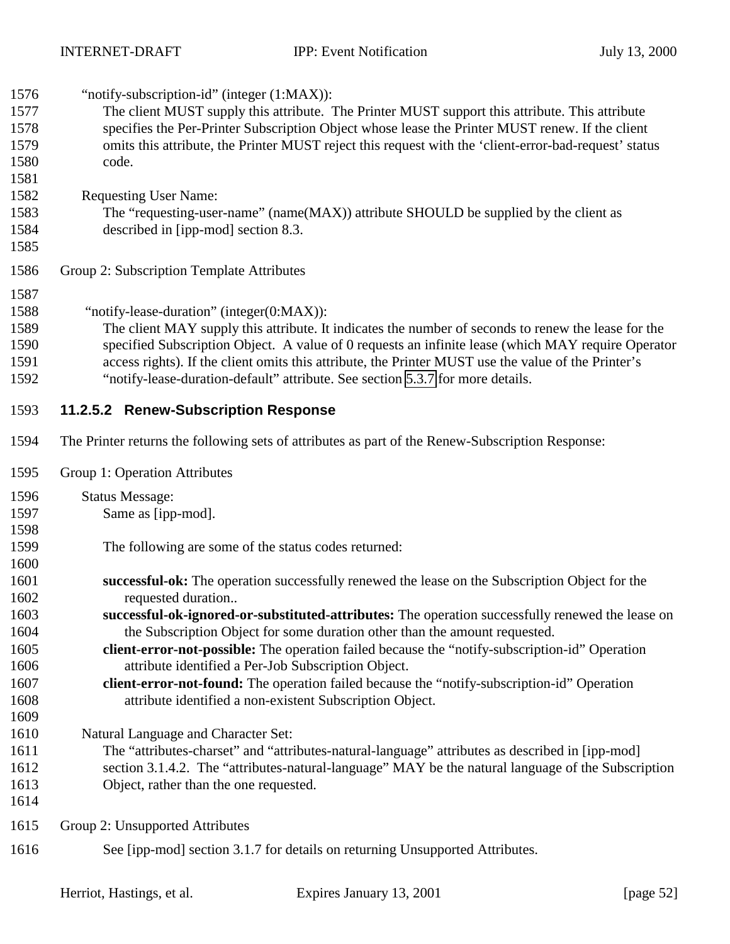| 1576<br>1577<br>1578<br>1579<br>1580<br>1581<br>1582<br>1583<br>1584 | "notify-subscription-id" (integer (1:MAX)):<br>The client MUST supply this attribute. The Printer MUST support this attribute. This attribute<br>specifies the Per-Printer Subscription Object whose lease the Printer MUST renew. If the client<br>omits this attribute, the Printer MUST reject this request with the 'client-error-bad-request' status<br>code.<br><b>Requesting User Name:</b><br>The "requesting-user-name" (name(MAX)) attribute SHOULD be supplied by the client as<br>described in [ipp-mod] section 8.3. |
|----------------------------------------------------------------------|-----------------------------------------------------------------------------------------------------------------------------------------------------------------------------------------------------------------------------------------------------------------------------------------------------------------------------------------------------------------------------------------------------------------------------------------------------------------------------------------------------------------------------------|
| 1585<br>1586                                                         | Group 2: Subscription Template Attributes                                                                                                                                                                                                                                                                                                                                                                                                                                                                                         |
| 1587<br>1588<br>1589<br>1590<br>1591<br>1592                         | "notify-lease-duration" (integer(0:MAX)):<br>The client MAY supply this attribute. It indicates the number of seconds to renew the lease for the<br>specified Subscription Object. A value of 0 requests an infinite lease (which MAY require Operator<br>access rights). If the client omits this attribute, the Printer MUST use the value of the Printer's<br>"notify-lease-duration-default" attribute. See section 5.3.7 for more details.                                                                                   |
| 1593                                                                 | 11.2.5.2 Renew-Subscription Response                                                                                                                                                                                                                                                                                                                                                                                                                                                                                              |
| 1594                                                                 | The Printer returns the following sets of attributes as part of the Renew-Subscription Response:                                                                                                                                                                                                                                                                                                                                                                                                                                  |
| 1595                                                                 | Group 1: Operation Attributes                                                                                                                                                                                                                                                                                                                                                                                                                                                                                                     |
| 1596                                                                 | <b>Status Message:</b>                                                                                                                                                                                                                                                                                                                                                                                                                                                                                                            |
| 1597                                                                 | Same as [ipp-mod].                                                                                                                                                                                                                                                                                                                                                                                                                                                                                                                |
| 1598                                                                 |                                                                                                                                                                                                                                                                                                                                                                                                                                                                                                                                   |
| 1599                                                                 | The following are some of the status codes returned:                                                                                                                                                                                                                                                                                                                                                                                                                                                                              |
| 1600                                                                 |                                                                                                                                                                                                                                                                                                                                                                                                                                                                                                                                   |
| 1601                                                                 | successful-ok: The operation successfully renewed the lease on the Subscription Object for the                                                                                                                                                                                                                                                                                                                                                                                                                                    |
| 1602                                                                 | requested duration                                                                                                                                                                                                                                                                                                                                                                                                                                                                                                                |
| 1603                                                                 | successful-ok-ignored-or-substituted-attributes: The operation successfully renewed the lease on                                                                                                                                                                                                                                                                                                                                                                                                                                  |
| 1604                                                                 | the Subscription Object for some duration other than the amount requested.                                                                                                                                                                                                                                                                                                                                                                                                                                                        |
| 1605<br>1606                                                         | client-error-not-possible: The operation failed because the "notify-subscription-id" Operation<br>attribute identified a Per-Job Subscription Object.                                                                                                                                                                                                                                                                                                                                                                             |
| 1607                                                                 | client-error-not-found: The operation failed because the "notify-subscription-id" Operation                                                                                                                                                                                                                                                                                                                                                                                                                                       |
| 1608                                                                 | attribute identified a non-existent Subscription Object.                                                                                                                                                                                                                                                                                                                                                                                                                                                                          |
| 1609                                                                 |                                                                                                                                                                                                                                                                                                                                                                                                                                                                                                                                   |
| 1610                                                                 | Natural Language and Character Set:                                                                                                                                                                                                                                                                                                                                                                                                                                                                                               |
| 1611                                                                 | The "attributes-charset" and "attributes-natural-language" attributes as described in [ipp-mod]                                                                                                                                                                                                                                                                                                                                                                                                                                   |
| 1612                                                                 | section 3.1.4.2. The "attributes-natural-language" MAY be the natural language of the Subscription                                                                                                                                                                                                                                                                                                                                                                                                                                |
| 1613                                                                 | Object, rather than the one requested.                                                                                                                                                                                                                                                                                                                                                                                                                                                                                            |
| 1614                                                                 |                                                                                                                                                                                                                                                                                                                                                                                                                                                                                                                                   |
| 1615                                                                 | Group 2: Unsupported Attributes                                                                                                                                                                                                                                                                                                                                                                                                                                                                                                   |
| 1616                                                                 | See [ipp-mod] section 3.1.7 for details on returning Unsupported Attributes.                                                                                                                                                                                                                                                                                                                                                                                                                                                      |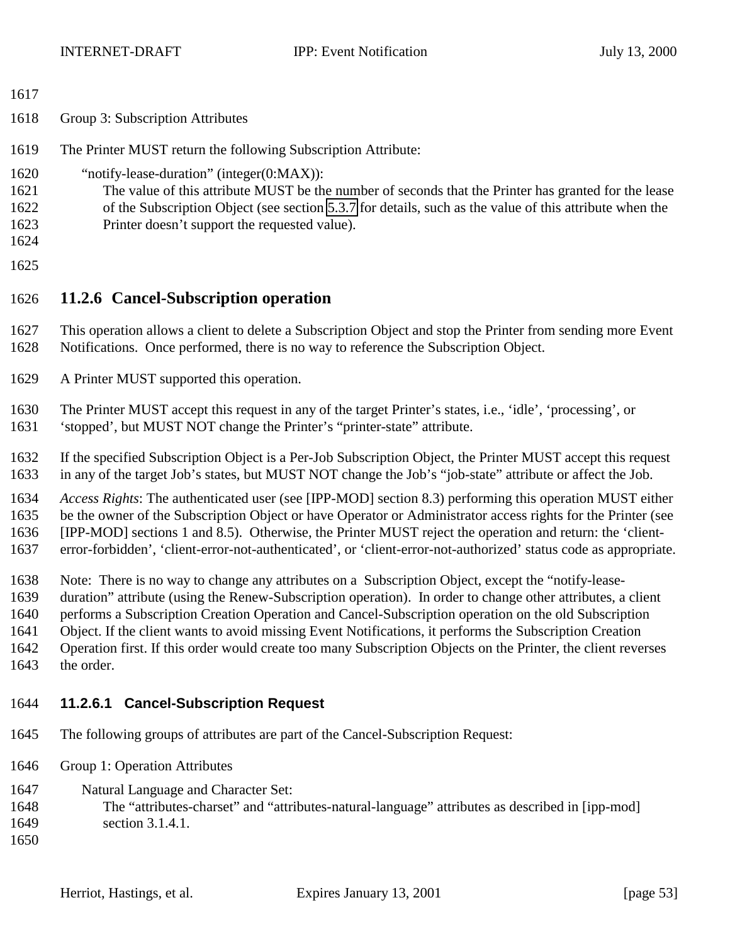<span id="page-52-0"></span>

| ۰. |  |  |  |  |
|----|--|--|--|--|
|----|--|--|--|--|

- Group 3: Subscription Attributes
- The Printer MUST return the following Subscription Attribute:
- "notify-lease-duration" (integer(0:MAX)):
- The value of this attribute MUST be the number of seconds that the Printer has granted for the lease
	- of the Subscription Object (see section [5.3.7](#page-24-0) for details, such as the value of this attribute when the Printer doesn't support the requested value).
	-
	- **11.2.6 Cancel-Subscription operation**
	- This operation allows a client to delete a Subscription Object and stop the Printer from sending more Event Notifications. Once performed, there is no way to reference the Subscription Object.
	- A Printer MUST supported this operation.
	- The Printer MUST accept this request in any of the target Printer's states, i.e., 'idle', 'processing', or
	- 'stopped', but MUST NOT change the Printer's "printer-state" attribute.
	- If the specified Subscription Object is a Per-Job Subscription Object, the Printer MUST accept this request in any of the target Job's states, but MUST NOT change the Job's "job-state" attribute or affect the Job.
	- *Access Rights*: The authenticated user (see [IPP-MOD] section 8.3) performing this operation MUST either be the owner of the Subscription Object or have Operator or Administrator access rights for the Printer (see [IPP-MOD] sections 1 and 8.5). Otherwise, the Printer MUST reject the operation and return: the 'client-error-forbidden', 'client-error-not-authenticated', or 'client-error-not-authorized' status code as appropriate.
	- Note: There is no way to change any attributes on a Subscription Object, except the "notify-lease-
	- duration" attribute (using the Renew-Subscription operation). In order to change other attributes, a client
	- performs a Subscription Creation Operation and Cancel-Subscription operation on the old Subscription
	- Object. If the client wants to avoid missing Event Notifications, it performs the Subscription Creation
	- Operation first. If this order would create too many Subscription Objects on the Printer, the client reverses
	- the order.

## **11.2.6.1 Cancel-Subscription Request**

- The following groups of attributes are part of the Cancel-Subscription Request:
- Group 1: Operation Attributes
- Natural Language and Character Set:
- The "attributes-charset" and "attributes-natural-language" attributes as described in [ipp-mod]
- section 3.1.4.1.
-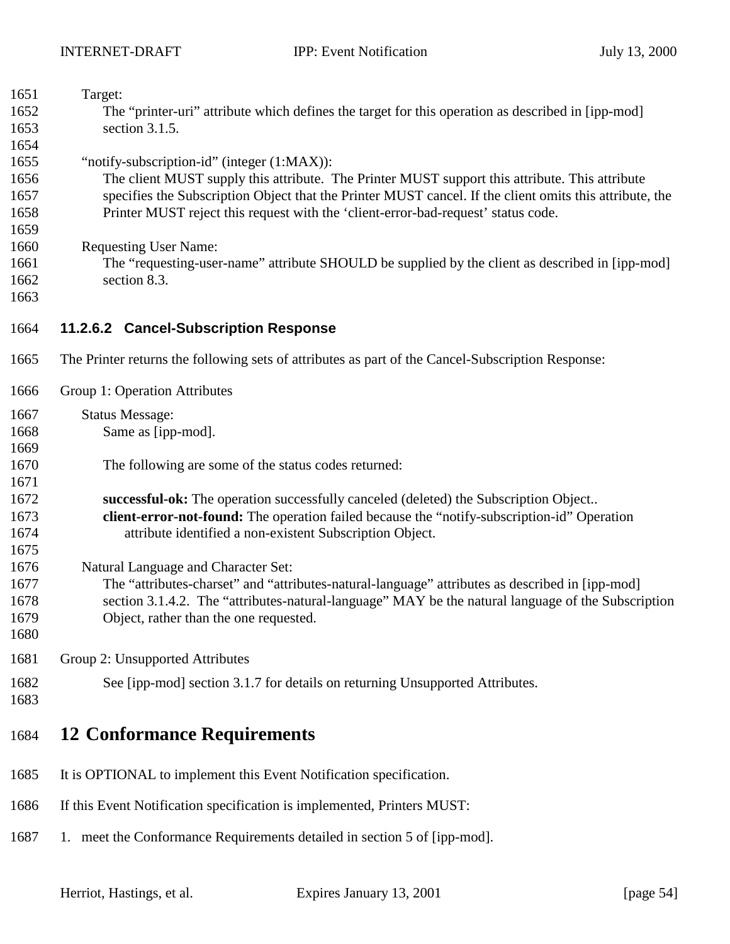<span id="page-53-0"></span>

| 1651         | Target:                                                                                                 |
|--------------|---------------------------------------------------------------------------------------------------------|
| 1652         | The "printer-uri" attribute which defines the target for this operation as described in [ipp-mod]       |
| 1653<br>1654 | section 3.1.5.                                                                                          |
| 1655         | "notify-subscription-id" (integer (1:MAX)):                                                             |
| 1656         | The client MUST supply this attribute. The Printer MUST support this attribute. This attribute          |
| 1657         | specifies the Subscription Object that the Printer MUST cancel. If the client omits this attribute, the |
| 1658         | Printer MUST reject this request with the 'client-error-bad-request' status code.                       |
| 1659         |                                                                                                         |
| 1660         | <b>Requesting User Name:</b>                                                                            |
| 1661         | The "requesting-user-name" attribute SHOULD be supplied by the client as described in [ipp-mod]         |
| 1662         | section 8.3.                                                                                            |
| 1663         |                                                                                                         |
| 1664         | 11.2.6.2 Cancel-Subscription Response                                                                   |
| 1665         | The Printer returns the following sets of attributes as part of the Cancel-Subscription Response:       |
| 1666         | Group 1: Operation Attributes                                                                           |
| 1667         | <b>Status Message:</b>                                                                                  |
| 1668         | Same as [ipp-mod].                                                                                      |
| 1669         |                                                                                                         |
| 1670         | The following are some of the status codes returned:                                                    |
| 1671         |                                                                                                         |
| 1672         | successful-ok: The operation successfully canceled (deleted) the Subscription Object                    |
| 1673         | client-error-not-found: The operation failed because the "notify-subscription-id" Operation             |
| 1674         | attribute identified a non-existent Subscription Object.                                                |
| 1675         |                                                                                                         |
| 1676         | Natural Language and Character Set:                                                                     |
| 1677         | The "attributes-charset" and "attributes-natural-language" attributes as described in [ipp-mod]         |
| 1678         | section 3.1.4.2. The "attributes-natural-language" MAY be the natural language of the Subscription      |
| 1679<br>1680 | Object, rather than the one requested.                                                                  |
| 1681         | Group 2: Unsupported Attributes                                                                         |
|              |                                                                                                         |
| 1682<br>1683 | See [ipp-mod] section 3.1.7 for details on returning Unsupported Attributes.                            |
|              |                                                                                                         |
| 1684         | <b>12 Conformance Requirements</b>                                                                      |
|              |                                                                                                         |

- It is OPTIONAL to implement this Event Notification specification.
- If this Event Notification specification is implemented, Printers MUST:
- 1. meet the Conformance Requirements detailed in section 5 of [ipp-mod].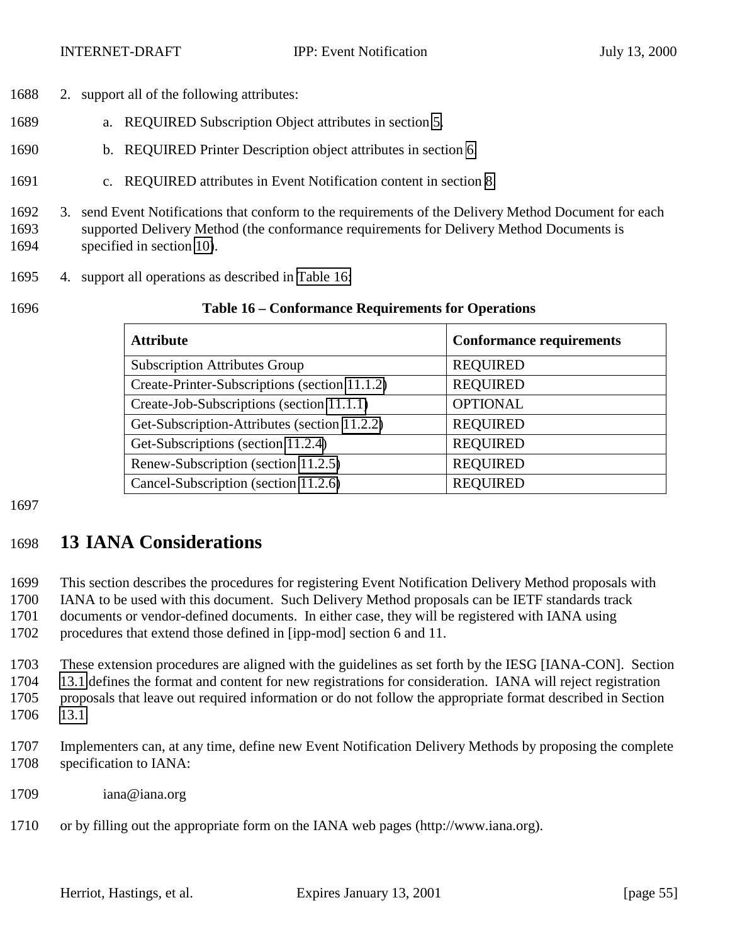- <span id="page-54-0"></span>2. support all of the following attributes:
- a. REQUIRED Subscription Object attributes in section [5.](#page-12-0)
- b. REQUIRED Printer Description object attributes in section [6.](#page-29-0)
- c. REQUIRED attributes in Event Notification content in section [8.](#page-30-0)
- 3. send Event Notifications that conform to the requirements of the Delivery Method Document for each supported Delivery Method (the conformance requirements for Delivery Method Documents is specified in section [10\)](#page-38-0).
- 4. support all operations as described in Table 16:

#### **Table 16 – Conformance Requirements for Operations**

| <b>Attribute</b>                              | <b>Conformance requirements</b> |
|-----------------------------------------------|---------------------------------|
| <b>Subscription Attributes Group</b>          | <b>REQUIRED</b>                 |
| Create-Printer-Subscriptions (section 11.1.2) | <b>REQUIRED</b>                 |
| Create-Job-Subscriptions (section 11.1.1)     | <b>OPTIONAL</b>                 |
| Get-Subscription-Attributes (section 11.2.2)  | <b>REQUIRED</b>                 |
| Get-Subscriptions (section 11.2.4)            | <b>REQUIRED</b>                 |
| Renew-Subscription (section 11.2.5)           | <b>REQUIRED</b>                 |
| Cancel-Subscription (section 11.2.6)          | <b>REQUIRED</b>                 |

## **13 IANA Considerations**

 This section describes the procedures for registering Event Notification Delivery Method proposals with IANA to be used with this document. Such Delivery Method proposals can be IETF standards track

documents or vendor-defined documents. In either case, they will be registered with IANA using

procedures that extend those defined in [ipp-mod] section 6 and 11.

 These extension procedures are aligned with the guidelines as set forth by the IESG [IANA-CON]. Section [13.1](#page-55-0) defines the format and content for new registrations for consideration. IANA will reject registration proposals that leave out required information or do not follow the appropriate format described in Section [13.1.](#page-55-0)

- Implementers can, at any time, define new Event Notification Delivery Methods by proposing the complete specification to IANA:
- iana@iana.org
- or by filling out the appropriate form on the IANA web pages (http://www.iana.org).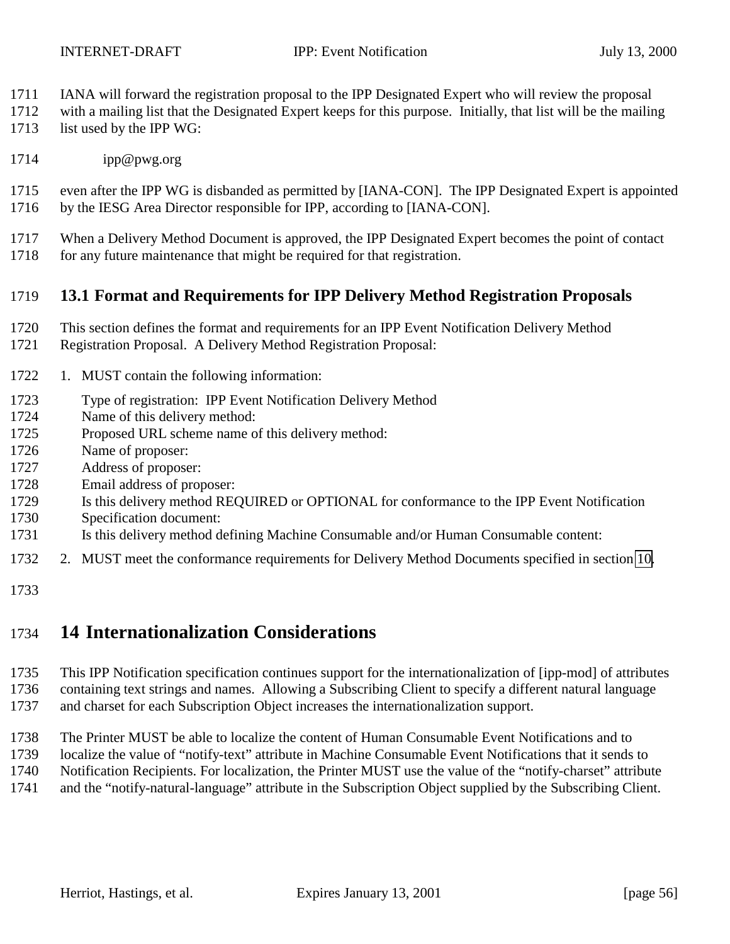- <span id="page-55-0"></span>IANA will forward the registration proposal to the IPP Designated Expert who will review the proposal
- with a mailing list that the Designated Expert keeps for this purpose. Initially, that list will be the mailing
- 1713 list used by the IPP WG:
- ipp@pwg.org

 even after the IPP WG is disbanded as permitted by [IANA-CON]. The IPP Designated Expert is appointed by the IESG Area Director responsible for IPP, according to [IANA-CON].

- When a Delivery Method Document is approved, the IPP Designated Expert becomes the point of contact
- 1718 for any future maintenance that might be required for that registration.

## **13.1 Format and Requirements for IPP Delivery Method Registration Proposals**

- This section defines the format and requirements for an IPP Event Notification Delivery Method
- Registration Proposal. A Delivery Method Registration Proposal:
- 1. MUST contain the following information:
- Type of registration: IPP Event Notification Delivery Method
- Name of this delivery method:
- Proposed URL scheme name of this delivery method:
- Name of proposer:
- Address of proposer:
- Email address of proposer:
- Is this delivery method REQUIRED or OPTIONAL for conformance to the IPP Event Notification
- Specification document:
- Is this delivery method defining Machine Consumable and/or Human Consumable content:
- 2. MUST meet the conformance requirements for Delivery Method Documents specified in section [10.](#page-38-0)
- 

## **14 Internationalization Considerations**

 This IPP Notification specification continues support for the internationalization of [ipp-mod] of attributes containing text strings and names. Allowing a Subscribing Client to specify a different natural language and charset for each Subscription Object increases the internationalization support.

 The Printer MUST be able to localize the content of Human Consumable Event Notifications and to localize the value of "notify-text" attribute in Machine Consumable Event Notifications that it sends to Notification Recipients. For localization, the Printer MUST use the value of the "notify-charset" attribute and the "notify-natural-language" attribute in the Subscription Object supplied by the Subscribing Client.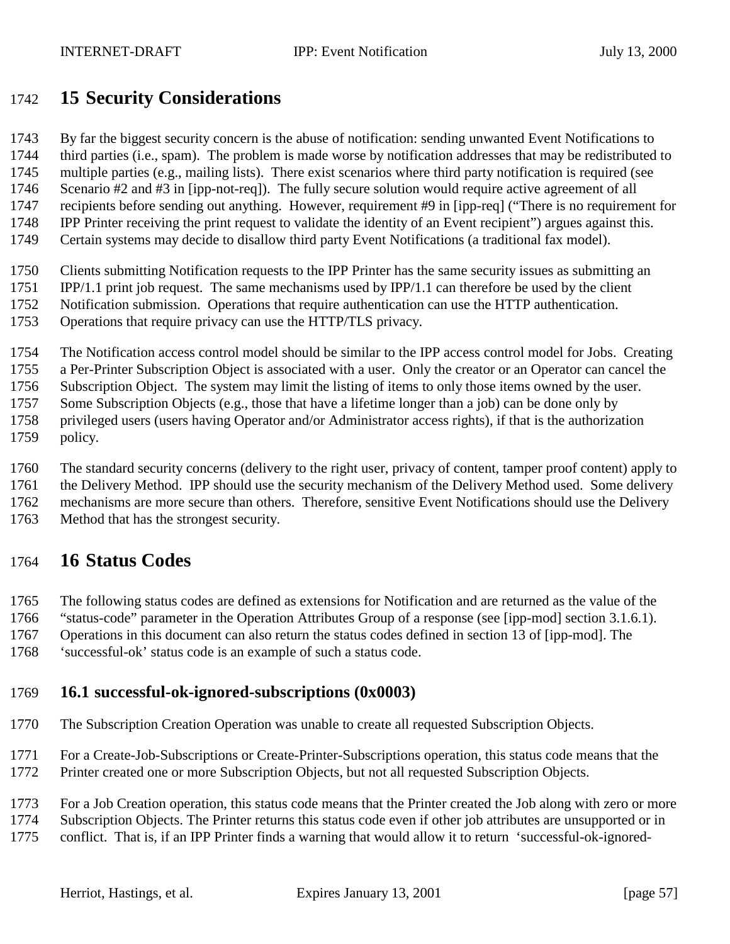## <span id="page-56-0"></span>**15 Security Considerations**

By far the biggest security concern is the abuse of notification: sending unwanted Event Notifications to

 third parties (i.e., spam). The problem is made worse by notification addresses that may be redistributed to multiple parties (e.g., mailing lists). There exist scenarios where third party notification is required (see Scenario #2 and #3 in [ipp-not-req]). The fully secure solution would require active agreement of all recipients before sending out anything. However, requirement #9 in [ipp-req] ("There is no requirement for IPP Printer receiving the print request to validate the identity of an Event recipient") argues against this.

- Certain systems may decide to disallow third party Event Notifications (a traditional fax model).
- Clients submitting Notification requests to the IPP Printer has the same security issues as submitting an
- IPP/1.1 print job request. The same mechanisms used by IPP/1.1 can therefore be used by the client
- Notification submission. Operations that require authentication can use the HTTP authentication.
- Operations that require privacy can use the HTTP/TLS privacy.
- The Notification access control model should be similar to the IPP access control model for Jobs. Creating
- a Per-Printer Subscription Object is associated with a user. Only the creator or an Operator can cancel the
- Subscription Object. The system may limit the listing of items to only those items owned by the user.
- Some Subscription Objects (e.g., those that have a lifetime longer than a job) can be done only by
- privileged users (users having Operator and/or Administrator access rights), if that is the authorization
- policy.

The standard security concerns (delivery to the right user, privacy of content, tamper proof content) apply to

- the Delivery Method. IPP should use the security mechanism of the Delivery Method used. Some delivery
- mechanisms are more secure than others. Therefore, sensitive Event Notifications should use the Delivery
- Method that has the strongest security.

## **16 Status Codes**

The following status codes are defined as extensions for Notification and are returned as the value of the

- "status-code" parameter in the Operation Attributes Group of a response (see [ipp-mod] section 3.1.6.1).
- Operations in this document can also return the status codes defined in section 13 of [ipp-mod]. The
- 'successful-ok' status code is an example of such a status code.

### **16.1 successful-ok-ignored-subscriptions (0x0003)**

- The Subscription Creation Operation was unable to create all requested Subscription Objects.
- For a Create-Job-Subscriptions or Create-Printer-Subscriptions operation, this status code means that the
- Printer created one or more Subscription Objects, but not all requested Subscription Objects.
- For a Job Creation operation, this status code means that the Printer created the Job along with zero or more
- Subscription Objects. The Printer returns this status code even if other job attributes are unsupported or in
- conflict. That is, if an IPP Printer finds a warning that would allow it to return 'successful-ok-ignored-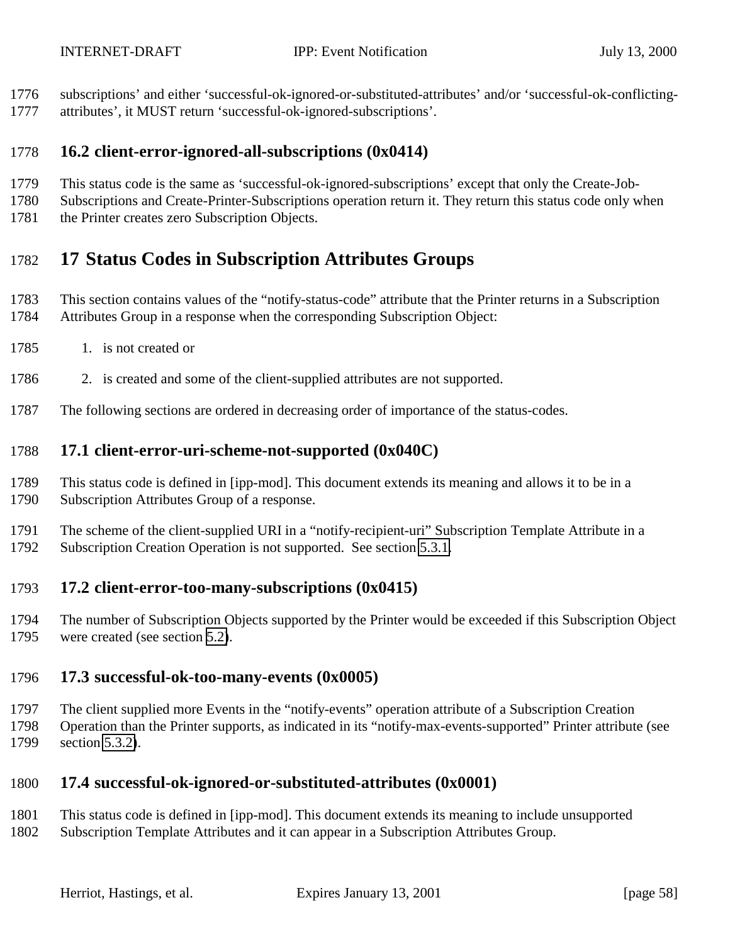- <span id="page-57-0"></span>subscriptions' and either 'successful-ok-ignored-or-substituted-attributes' and/or 'successful-ok-conflicting-
- attributes', it MUST return 'successful-ok-ignored-subscriptions'.

## **16.2 client-error-ignored-all-subscriptions (0x0414)**

- This status code is the same as 'successful-ok-ignored-subscriptions' except that only the Create-Job-
- Subscriptions and Create-Printer-Subscriptions operation return it. They return this status code only when
- 1781 the Printer creates zero Subscription Objects.

# **17 Status Codes in Subscription Attributes Groups**

- This section contains values of the "notify-status-code" attribute that the Printer returns in a Subscription Attributes Group in a response when the corresponding Subscription Object:
- 1785 1. is not created or
- 2. is created and some of the client-supplied attributes are not supported.
- The following sections are ordered in decreasing order of importance of the status-codes.

## **17.1 client-error-uri-scheme-not-supported (0x040C)**

- This status code is defined in [ipp-mod]. This document extends its meaning and allows it to be in a Subscription Attributes Group of a response.
- The scheme of the client-supplied URI in a "notify-recipient-uri" Subscription Template Attribute in a Subscription Creation Operation is not supported. See section [5.3.1.](#page-17-0)

## **17.2 client-error-too-many-subscriptions (0x0415)**

 The number of Subscription Objects supported by the Printer would be exceeded if this Subscription Object were created (see section [5.2\)](#page-14-0).

## **17.3 successful-ok-too-many-events (0x0005)**

 The client supplied more Events in the "notify-events" operation attribute of a Subscription Creation Operation than the Printer supports, as indicated in its "notify-max-events-supported" Printer attribute (see section [5.3.2\)](#page-18-0).

## **17.4 successful-ok-ignored-or-substituted-attributes (0x0001)**

- This status code is defined in [ipp-mod]. This document extends its meaning to include unsupported
- Subscription Template Attributes and it can appear in a Subscription Attributes Group.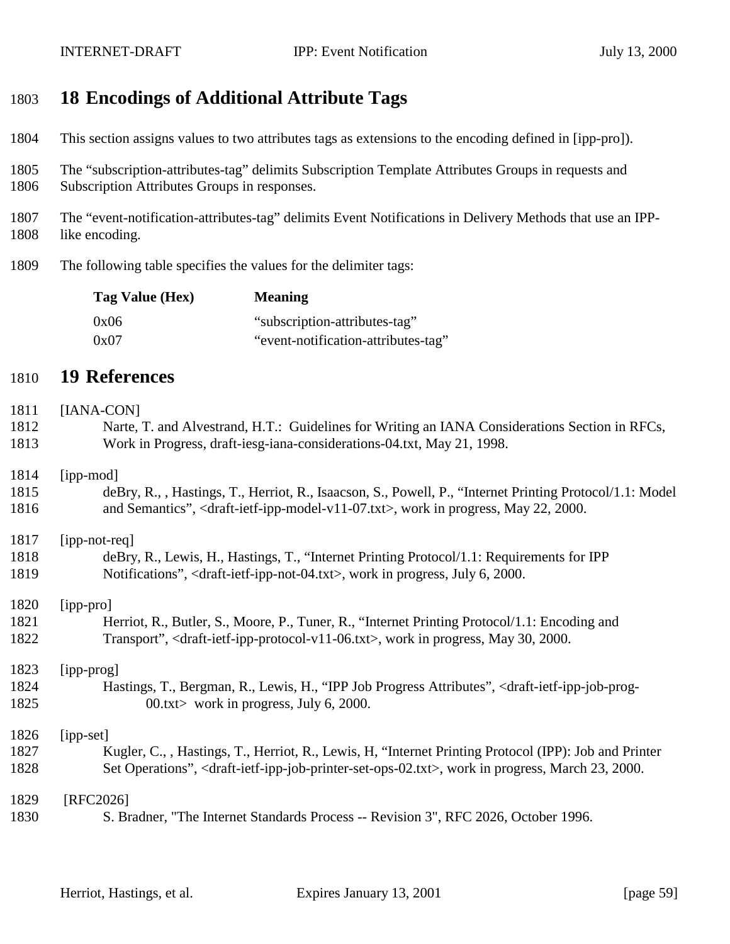## **18 Encodings of Additional Attribute Tags**

- This section assigns values to two attributes tags as extensions to the encoding defined in [ipp-pro]).
- The "subscription-attributes-tag" delimits Subscription Template Attributes Groups in requests and
- Subscription Attributes Groups in responses.
- The "event-notification-attributes-tag" delimits Event Notifications in Delivery Methods that use an IPP-1808 like encoding.
- The following table specifies the values for the delimiter tags:

| Tag Value (Hex) | <b>Meaning</b>                      |
|-----------------|-------------------------------------|
| 0x06            | "subscription-attributes-tag"       |
| 0x07            | "event-notification-attributes-tag" |

## **19 References**

# [IANA-CON] Narte, T. and Alvestrand, H.T.: Guidelines for Writing an IANA Considerations Section in RFCs, Work in Progress, draft-iesg-iana-considerations-04.txt, May 21, 1998. [ipp-mod] deBry, R., , Hastings, T., Herriot, R., Isaacson, S., Powell, P., "Internet Printing Protocol/1.1: Model and Semantics", <draft-ietf-ipp-model-v11-07.txt>, work in progress, May 22, 2000. [ipp-not-req] deBry, R., Lewis, H., Hastings, T., "Internet Printing Protocol/1.1: Requirements for IPP Notifications", <draft-ietf-ipp-not-04.txt>, work in progress, July 6, 2000. [ipp-pro] 1821 Herriot, R., Butler, S., Moore, P., Tuner, R., "Internet Printing Protocol/1.1: Encoding and Transport", <draft-ietf-ipp-protocol-v11-06.txt>, work in progress, May 30, 2000. [ipp-prog] Hastings, T., Bergman, R., Lewis, H., "IPP Job Progress Attributes", <draft-ietf-ipp-job-prog-1825 00.txt> work in progress, July 6, 2000. [ipp-set] Kugler, C., , Hastings, T., Herriot, R., Lewis, H, "Internet Printing Protocol (IPP): Job and Printer Set Operations", <draft-ietf-ipp-job-printer-set-ops-02.txt>, work in progress, March 23, 2000. 1829 [RFC2026] S. Bradner, "The Internet Standards Process -- Revision 3", RFC 2026, October 1996.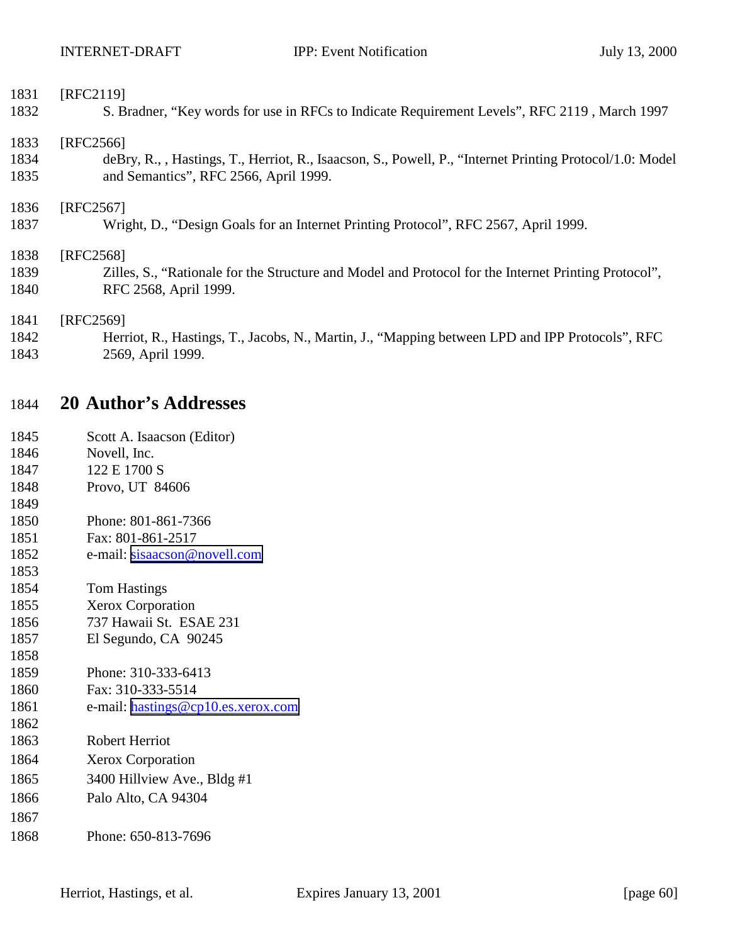| [RFC2119]                                                                                                |
|----------------------------------------------------------------------------------------------------------|
| S. Bradner, "Key words for use in RFCs to Indicate Requirement Levels", RFC 2119, March 1997             |
| [RFC2566]                                                                                                |
| deBry, R., , Hastings, T., Herriot, R., Isaacson, S., Powell, P., "Internet Printing Protocol/1.0: Model |
| and Semantics", RFC 2566, April 1999.                                                                    |
| [RFC2567]                                                                                                |
| Wright, D., "Design Goals for an Internet Printing Protocol", RFC 2567, April 1999.                      |
| [RFC2568]                                                                                                |
| Zilles, S., "Rationale for the Structure and Model and Protocol for the Internet Printing Protocol",     |
| RFC 2568, April 1999.                                                                                    |
| [RFC2569]                                                                                                |
| Herriot, R., Hastings, T., Jacobs, N., Martin, J., "Mapping between LPD and IPP Protocols", RFC          |
| 2569, April 1999.                                                                                        |
|                                                                                                          |

## **20 Author's Addresses**

| 1845 | Scott A. Isaacson (Editor) |
|------|----------------------------|
|------|----------------------------|

- Novell, Inc.
- 1847 122 E 1700 S Provo, UT 84606
- 
- Phone: 801-861-7366
- Fax: 801-861-2517
- 1852 e-mail: [sisaacson@novell.com](mailto:sisaacson@novell.com)
- Tom Hastings
- Xerox Corporation
- 737 Hawaii St. ESAE 231
- El Segundo, CA 90245
- Phone: 310-333-6413
- Fax: 310-333-5514
- 1861 e-mail: [hastings@cp10.es.xerox.com](mailto:hastings@cp10.es.xerox.com)
- Robert Herriot
- Xerox Corporation
- 3400 Hillview Ave., Bldg #1
- Palo Alto, CA 94304
- 

Phone: 650-813-7696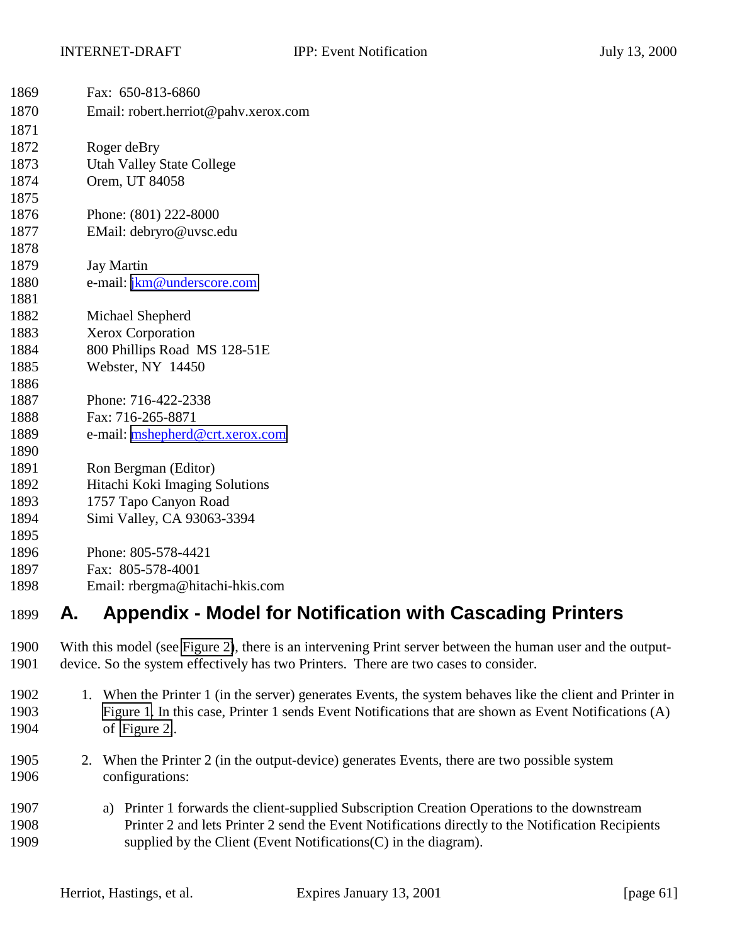| 1869 | Fax: 650-813-6860                                                      |
|------|------------------------------------------------------------------------|
| 1870 | Email: robert.herriot@pahv.xerox.com                                   |
| 1871 |                                                                        |
| 1872 | Roger deBry                                                            |
| 1873 | <b>Utah Valley State College</b>                                       |
| 1874 | Orem, UT 84058                                                         |
| 1875 |                                                                        |
| 1876 | Phone: (801) 222-8000                                                  |
| 1877 | EMail: debryro@uvsc.edu                                                |
| 1878 |                                                                        |
| 1879 | <b>Jay Martin</b>                                                      |
| 1880 | e-mail: jkm@underscore.com                                             |
| 1881 |                                                                        |
| 1882 | Michael Shepherd                                                       |
| 1883 | Xerox Corporation                                                      |
| 1884 | 800 Phillips Road MS 128-51E                                           |
| 1885 | Webster, NY 14450                                                      |
| 1886 |                                                                        |
| 1887 | Phone: 716-422-2338                                                    |
| 1888 | Fax: 716-265-8871                                                      |
| 1889 | e-mail: mshepherd@crt.xerox.com                                        |
| 1890 |                                                                        |
| 1891 | Ron Bergman (Editor)                                                   |
| 1892 | Hitachi Koki Imaging Solutions                                         |
| 1893 | 1757 Tapo Canyon Road                                                  |
| 1894 | Simi Valley, CA 93063-3394                                             |
| 1895 |                                                                        |
| 1896 | Phone: 805-578-4421                                                    |
| 1897 | Fax: 805-578-4001                                                      |
| 1898 | Email: rbergma@hitachi-hkis.com                                        |
| 1899 | <b>Appendix - Model for Notification with Cascading Printers</b><br>А. |

- With this model (see [Figure 2\)](#page-61-0), there is an intervening Print server between the human user and the output-device. So the system effectively has two Printers. There are two cases to consider.
- 1. When the Printer 1 (in the server) generates Events, the system behaves like the client and Printer in [Figure 1.](#page-8-0) In this case, Printer 1 sends Event Notifications that are shown as Event Notifications (A) of [Figure 2,](#page-61-0).
- 2. When the Printer 2 (in the output-device) generates Events, there are two possible system configurations:
- a) Printer 1 forwards the client-supplied Subscription Creation Operations to the downstream Printer 2 and lets Printer 2 send the Event Notifications directly to the Notification Recipients supplied by the Client (Event Notifications(C) in the diagram).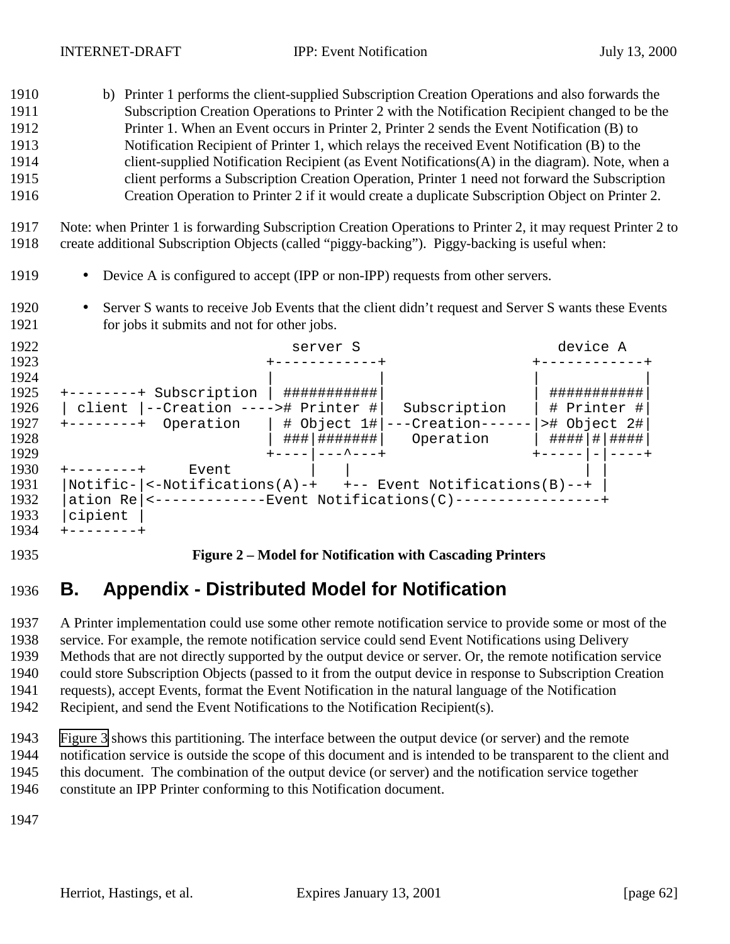- <span id="page-61-0"></span> b) Printer 1 performs the client-supplied Subscription Creation Operations and also forwards the Subscription Creation Operations to Printer 2 with the Notification Recipient changed to be the Printer 1. When an Event occurs in Printer 2, Printer 2 sends the Event Notification (B) to Notification Recipient of Printer 1, which relays the received Event Notification (B) to the client-supplied Notification Recipient (as Event Notifications(A) in the diagram). Note, when a client performs a Subscription Creation Operation, Printer 1 need not forward the Subscription Creation Operation to Printer 2 if it would create a duplicate Subscription Object on Printer 2.
- Note: when Printer 1 is forwarding Subscription Creation Operations to Printer 2, it may request Printer 2 to create additional Subscription Objects (called "piggy-backing"). Piggy-backing is useful when:
- Device A is configured to accept (IPP or non-IPP) requests from other servers.
- 1920 Server S wants to receive Job Events that the client didn't request and Server S wants these Events 1921 for jobs it submits and not for other jobs.

| 1922 | server S                                                               | device A     |
|------|------------------------------------------------------------------------|--------------|
| 1923 |                                                                        |              |
| 1924 |                                                                        |              |
| 1925 | ###########<br>+--------+ Subscription                                 | ###########  |
| 1926 | --Creation ----># Printer #<br>Subscription<br>client                  | # Printer #  |
| 1927 | ---Creation-----<br>Operation<br>$\#$ Object 1#<br>$+ - - - - - - - +$ | ># Object 2# |
| 1928 | ### <br>Operation                                                      | #### # ####  |
| 1929 | _________                                                              |              |
| 1930 | Event                                                                  |              |
| 1931 | Notific- $ $ <-Notifications(A)-+ +-- Event Notifications(B)--+        |              |
| 1932 | <--------------Event Notifications(C)-----------------+<br>ation Re    |              |
| 1933 | cipient                                                                |              |
| 1934 | --------+                                                              |              |

#### **Figure 2 – Model for Notification with Cascading Printers**

## **B. Appendix - Distributed Model for Notification**

 A Printer implementation could use some other remote notification service to provide some or most of the service. For example, the remote notification service could send Event Notifications using Delivery Methods that are not directly supported by the output device or server. Or, the remote notification service could store Subscription Objects (passed to it from the output device in response to Subscription Creation requests), accept Events, format the Event Notification in the natural language of the Notification Recipient, and send the Event Notifications to the Notification Recipient(s).

 [Figure 3](#page-62-0) shows this partitioning. The interface between the output device (or server) and the remote notification service is outside the scope of this document and is intended to be transparent to the client and this document. The combination of the output device (or server) and the notification service together constitute an IPP Printer conforming to this Notification document.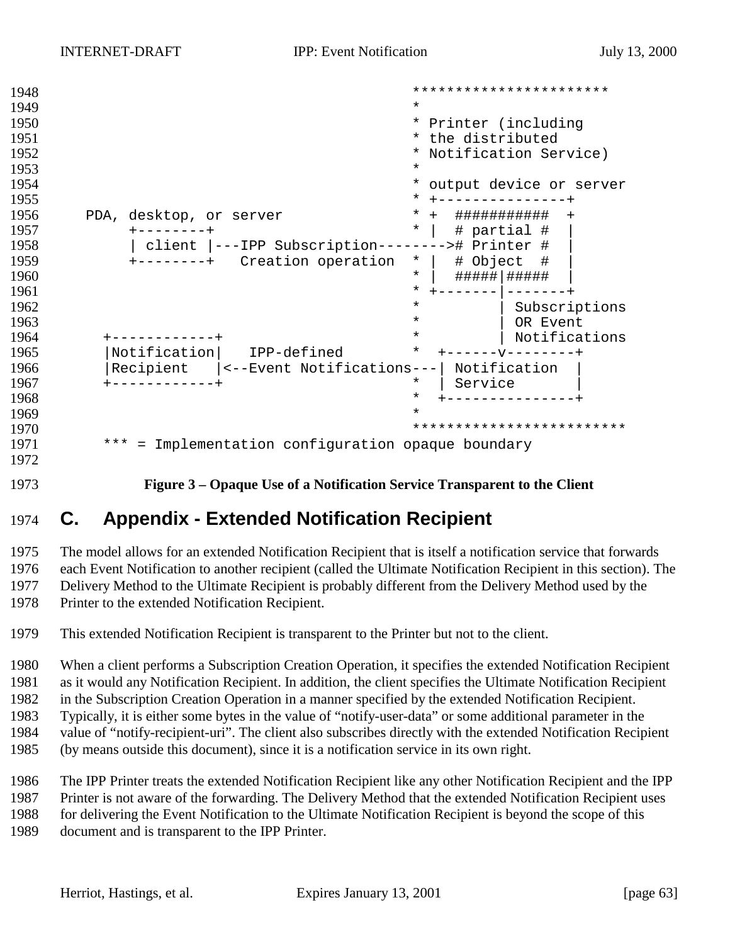```
1948 ***********************
1949 *
1950 * Printer (including
1951 * the distributed
1952 * Notification Service)<br>1953 *1953 *
1954 * output device or server
1955 * +---------------+
1956 PDA, desktop, or server * + ############# +
1957 +--------+ * | # partial # |
1958 | client |---IPP Subscription--------># Printer # |
1959 +-----++ Creation operation * | \# Object \#1960 * | #####|##### |
                        * + - - - - - - - | - - - - - - - +
1962 \overline{\hspace{1cm}} Subscriptions
1963 * | OR Event
1964 +------------+ * | Notifications
1965 |Notification | IPP-defined
1966 |Recipient |<--Event Notifications---| Notification |
1967 +------------+ * | Service |
1968 * +---------------+
1969 *
1970 *************************
1971 *** = Implementation configuration opaque boundary
1972
```
**Figure 3 – Opaque Use of a Notification Service Transparent to the Client**

# **C. Appendix - Extended Notification Recipient**

 The model allows for an extended Notification Recipient that is itself a notification service that forwards each Event Notification to another recipient (called the Ultimate Notification Recipient in this section). The Delivery Method to the Ultimate Recipient is probably different from the Delivery Method used by the Printer to the extended Notification Recipient.

This extended Notification Recipient is transparent to the Printer but not to the client.

 When a client performs a Subscription Creation Operation, it specifies the extended Notification Recipient as it would any Notification Recipient. In addition, the client specifies the Ultimate Notification Recipient in the Subscription Creation Operation in a manner specified by the extended Notification Recipient. Typically, it is either some bytes in the value of "notify-user-data" or some additional parameter in the

value of "notify-recipient-uri". The client also subscribes directly with the extended Notification Recipient

(by means outside this document), since it is a notification service in its own right.

The IPP Printer treats the extended Notification Recipient like any other Notification Recipient and the IPP

 Printer is not aware of the forwarding. The Delivery Method that the extended Notification Recipient uses for delivering the Event Notification to the Ultimate Notification Recipient is beyond the scope of this

document and is transparent to the IPP Printer.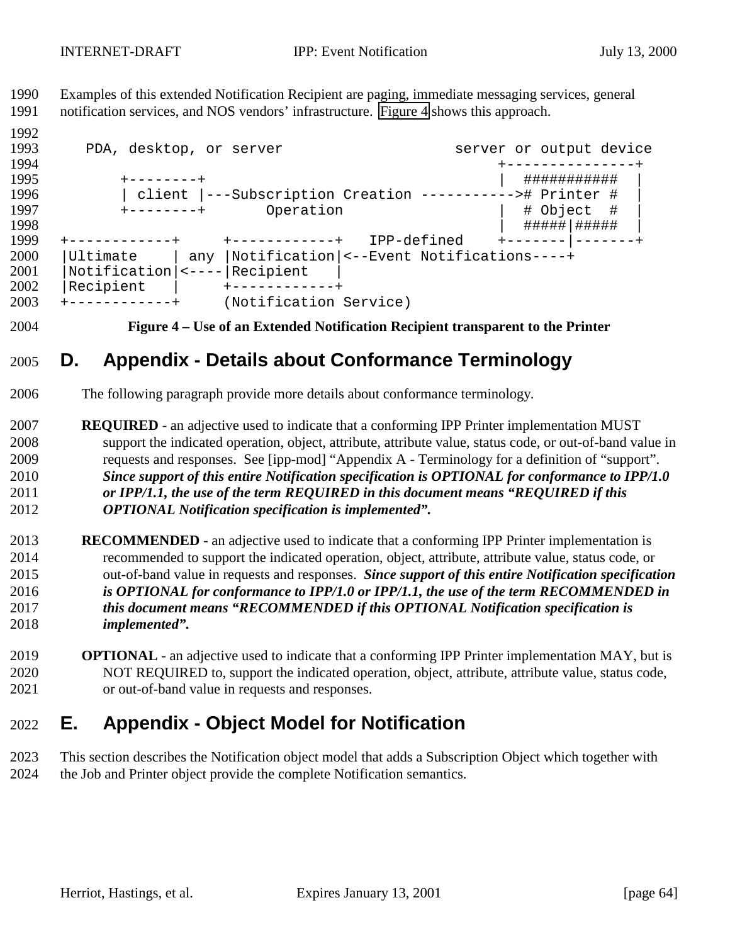Examples of this extended Notification Recipient are paging, immediate messaging services, general notification services, and NOS vendors' infrastructure. Figure 4 shows this approach.

 1993 PDA, desktop, or server server server or output device +---------------+ +--------+ | ########### | | client |---Subscription Creation -----------># Printer # | +--------+ Operation | # Object # | | #####|##### | +------------+ +------------+ IPP-defined +-------|-------+ |Ultimate | any |Notification|<--Event Notifications----+ 2001 | Notification | <---- | Recipient | |Recipient | +------------+ +------------+ (Notification Service)

**Figure 4 – Use of an Extended Notification Recipient transparent to the Printer**

## **D. Appendix - Details about Conformance Terminology**

- The following paragraph provide more details about conformance terminology.
- **REQUIRED**  an adjective used to indicate that a conforming IPP Printer implementation MUST support the indicated operation, object, attribute, attribute value, status code, or out-of-band value in requests and responses. See [ipp-mod] "Appendix A - Terminology for a definition of "support". *Since support of this entire Notification specification is OPTIONAL for conformance to IPP/1.0 or IPP/1.1, the use of the term REQUIRED in this document means "REQUIRED if this OPTIONAL Notification specification is implemented".*
- **RECOMMENDED**  an adjective used to indicate that a conforming IPP Printer implementation is recommended to support the indicated operation, object, attribute, attribute value, status code, or out-of-band value in requests and responses. *Since support of this entire Notification specification is OPTIONAL for conformance to IPP/1.0 or IPP/1.1, the use of the term RECOMMENDED in this document means "RECOMMENDED if this OPTIONAL Notification specification is implemented".*
- **OPTIONAL**  an adjective used to indicate that a conforming IPP Printer implementation MAY, but is NOT REQUIRED to, support the indicated operation, object, attribute, attribute value, status code, or out-of-band value in requests and responses.

## **E. Appendix - Object Model for Notification**

 This section describes the Notification object model that adds a Subscription Object which together with the Job and Printer object provide the complete Notification semantics.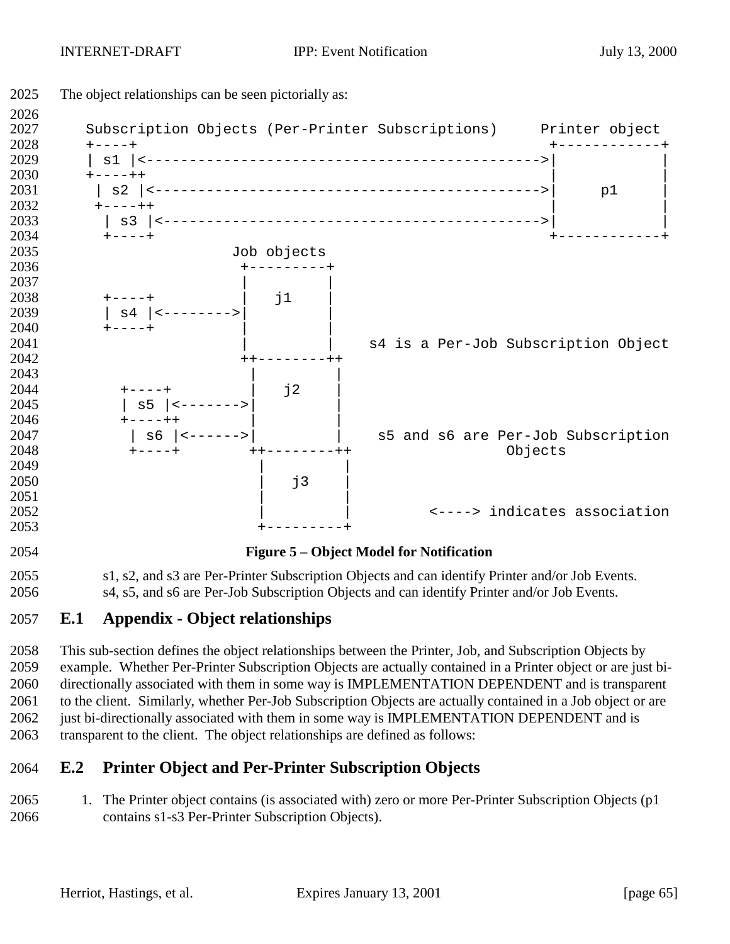

## **E.1 Appendix - Object relationships**

 This sub-section defines the object relationships between the Printer, Job, and Subscription Objects by example. Whether Per-Printer Subscription Objects are actually contained in a Printer object or are just bi- directionally associated with them in some way is IMPLEMENTATION DEPENDENT and is transparent to the client. Similarly, whether Per-Job Subscription Objects are actually contained in a Job object or are 2062 just bi-directionally associated with them in some way is IMPLEMENTATION DEPENDENT and is transparent to the client. The object relationships are defined as follows:

## **E.2 Printer Object and Per-Printer Subscription Objects**

2065 1. The Printer object contains (is associated with) zero or more Per-Printer Subscription Objects (p1 contains s1-s3 Per-Printer Subscription Objects).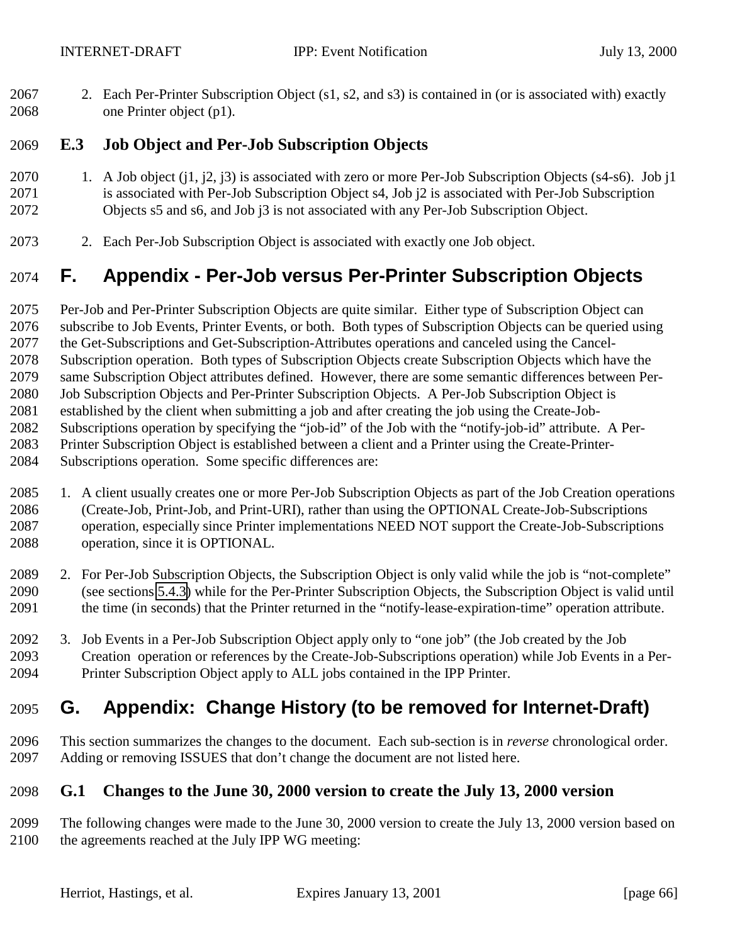2. Each Per-Printer Subscription Object (s1, s2, and s3) is contained in (or is associated with) exactly one Printer object (p1).

## **E.3 Job Object and Per-Job Subscription Objects**

- 2070 1. A Job object (j1, j2, j3) is associated with zero or more Per-Job Subscription Objects (s4-s6). Job j1 is associated with Per-Job Subscription Object s4, Job j2 is associated with Per-Job Subscription Objects s5 and s6, and Job j3 is not associated with any Per-Job Subscription Object.
- 2. Each Per-Job Subscription Object is associated with exactly one Job object.

# **F. Appendix - Per-Job versus Per-Printer Subscription Objects**

 Per-Job and Per-Printer Subscription Objects are quite similar. Either type of Subscription Object can subscribe to Job Events, Printer Events, or both. Both types of Subscription Objects can be queried using the Get-Subscriptions and Get-Subscription-Attributes operations and canceled using the Cancel- Subscription operation. Both types of Subscription Objects create Subscription Objects which have the same Subscription Object attributes defined. However, there are some semantic differences between Per- Job Subscription Objects and Per-Printer Subscription Objects. A Per-Job Subscription Object is established by the client when submitting a job and after creating the job using the Create-Job- Subscriptions operation by specifying the "job-id" of the Job with the "notify-job-id" attribute. A Per- Printer Subscription Object is established between a client and a Printer using the Create-Printer-Subscriptions operation. Some specific differences are:

- 1. A client usually creates one or more Per-Job Subscription Objects as part of the Job Creation operations (Create-Job, Print-Job, and Print-URI), rather than using the OPTIONAL Create-Job-Subscriptions operation, especially since Printer implementations NEED NOT support the Create-Job-Subscriptions operation, since it is OPTIONAL.
- 2. For Per-Job Subscription Objects, the Subscription Object is only valid while the job is "not-complete" (see sections [5.4.3\)](#page-27-0) while for the Per-Printer Subscription Objects, the Subscription Object is valid until the time (in seconds) that the Printer returned in the "notify-lease-expiration-time" operation attribute.
- 3. Job Events in a Per-Job Subscription Object apply only to "one job" (the Job created by the Job Creation operation or references by the Create-Job-Subscriptions operation) while Job Events in a Per-Printer Subscription Object apply to ALL jobs contained in the IPP Printer.

# **G. Appendix: Change History (to be removed for Internet-Draft)**

 This section summarizes the changes to the document. Each sub-section is in *reverse* chronological order. Adding or removing ISSUES that don't change the document are not listed here.

### **G.1 Changes to the June 30, 2000 version to create the July 13, 2000 version**

 The following changes were made to the June 30, 2000 version to create the July 13, 2000 version based on the agreements reached at the July IPP WG meeting: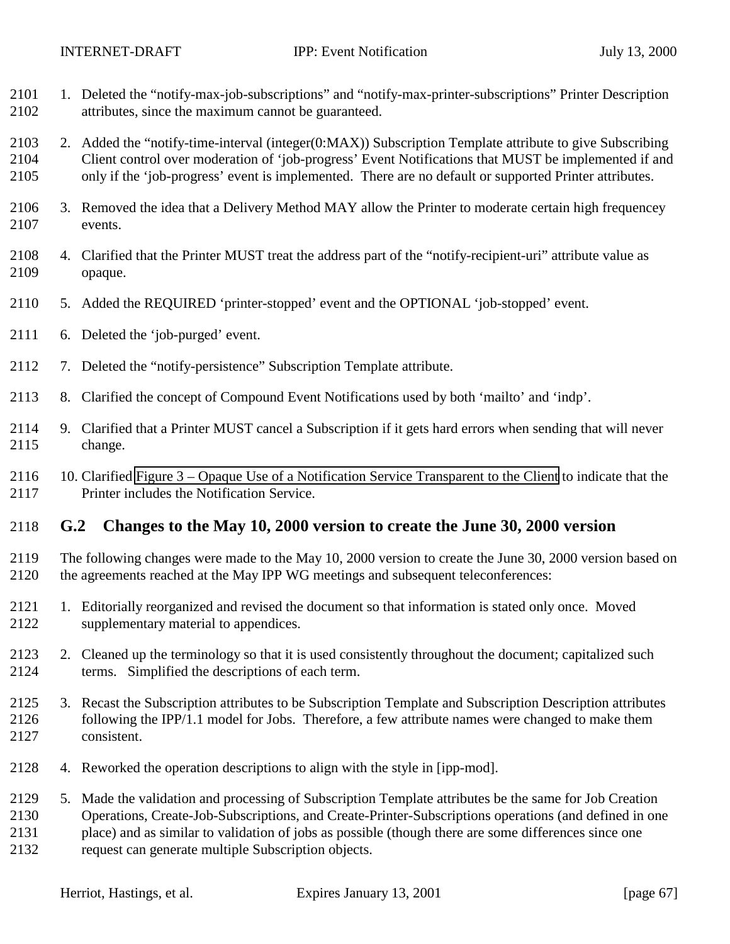- 1. Deleted the "notify-max-job-subscriptions" and "notify-max-printer-subscriptions" Printer Description attributes, since the maximum cannot be guaranteed.
- 2. Added the "notify-time-interval (integer(0:MAX)) Subscription Template attribute to give Subscribing Client control over moderation of 'job-progress' Event Notifications that MUST be implemented if and only if the 'job-progress' event is implemented. There are no default or supported Printer attributes.
- 3. Removed the idea that a Delivery Method MAY allow the Printer to moderate certain high frequencey events.
- 4. Clarified that the Printer MUST treat the address part of the "notify-recipient-uri" attribute value as opaque.
- 5. Added the REQUIRED 'printer-stopped' event and the OPTIONAL 'job-stopped' event.
- 6. Deleted the 'job-purged' event.
- 7. Deleted the "notify-persistence" Subscription Template attribute.
- 8. Clarified the concept of Compound Event Notifications used by both 'mailto' and 'indp'.
- 9. Clarified that a Printer MUST cancel a Subscription if it gets hard errors when sending that will never change.
- 10. Clarified [Figure 3 Opaque Use of a Notification Service Transparent to the Client](#page-62-0) to indicate that the Printer includes the Notification Service.

## **G.2 Changes to the May 10, 2000 version to create the June 30, 2000 version**

- The following changes were made to the May 10, 2000 version to create the June 30, 2000 version based on the agreements reached at the May IPP WG meetings and subsequent teleconferences:
- 1. Editorially reorganized and revised the document so that information is stated only once. Moved supplementary material to appendices.
- 2. Cleaned up the terminology so that it is used consistently throughout the document; capitalized such terms. Simplified the descriptions of each term.
- 3. Recast the Subscription attributes to be Subscription Template and Subscription Description attributes following the IPP/1.1 model for Jobs. Therefore, a few attribute names were changed to make them consistent.
- 4. Reworked the operation descriptions to align with the style in [ipp-mod].
- 5. Made the validation and processing of Subscription Template attributes be the same for Job Creation Operations, Create-Job-Subscriptions, and Create-Printer-Subscriptions operations (and defined in one
- place) and as similar to validation of jobs as possible (though there are some differences since one
- request can generate multiple Subscription objects.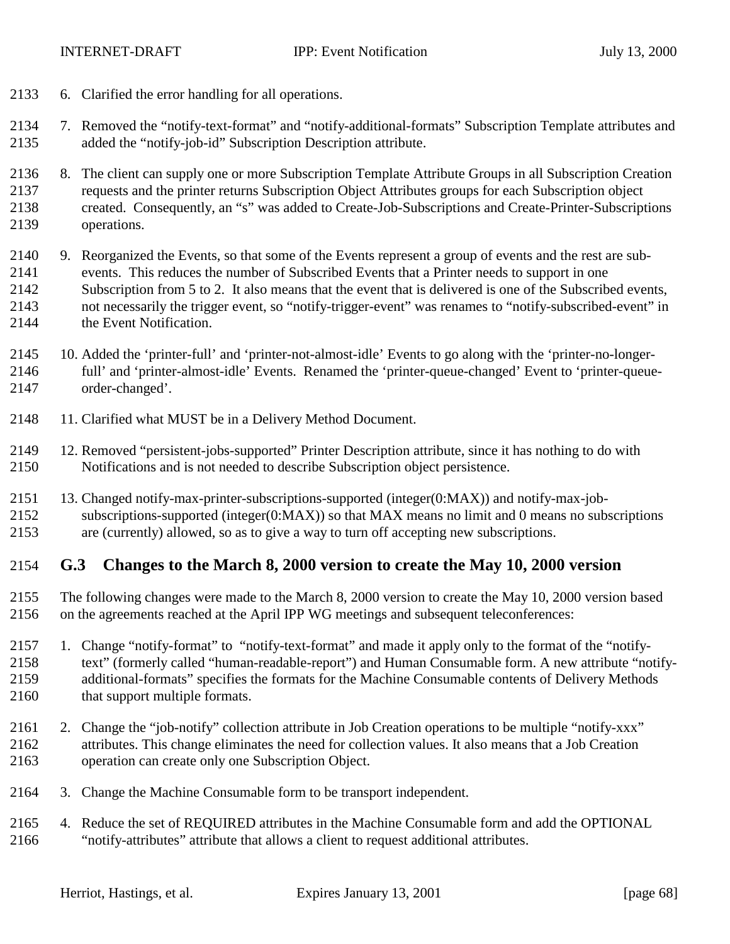6. Clarified the error handling for all operations.

 7. Removed the "notify-text-format" and "notify-additional-formats" Subscription Template attributes and added the "notify-job-id" Subscription Description attribute.

- 8. The client can supply one or more Subscription Template Attribute Groups in all Subscription Creation requests and the printer returns Subscription Object Attributes groups for each Subscription object created. Consequently, an "s" was added to Create-Job-Subscriptions and Create-Printer-Subscriptions operations.
- 9. Reorganized the Events, so that some of the Events represent a group of events and the rest are sub- events. This reduces the number of Subscribed Events that a Printer needs to support in one Subscription from 5 to 2. It also means that the event that is delivered is one of the Subscribed events, not necessarily the trigger event, so "notify-trigger-event" was renames to "notify-subscribed-event" in 2144 the Event Notification.
- 10. Added the 'printer-full' and 'printer-not-almost-idle' Events to go along with the 'printer-no-longer- full' and 'printer-almost-idle' Events. Renamed the 'printer-queue-changed' Event to 'printer-queue-order-changed'.
- 11. Clarified what MUST be in a Delivery Method Document.
- 12. Removed "persistent-jobs-supported" Printer Description attribute, since it has nothing to do with Notifications and is not needed to describe Subscription object persistence.
- 13. Changed notify-max-printer-subscriptions-supported (integer(0:MAX)) and notify-max-job-subscriptions-supported (integer(0:MAX)) so that MAX means no limit and 0 means no subscriptions
- are (currently) allowed, so as to give a way to turn off accepting new subscriptions.

### **G.3 Changes to the March 8, 2000 version to create the May 10, 2000 version**

- The following changes were made to the March 8, 2000 version to create the May 10, 2000 version based on the agreements reached at the April IPP WG meetings and subsequent teleconferences:
- 1. Change "notify-format" to "notify-text-format" and made it apply only to the format of the "notify- text" (formerly called "human-readable-report") and Human Consumable form. A new attribute "notify- additional-formats" specifies the formats for the Machine Consumable contents of Delivery Methods 2160 that support multiple formats.
- 2. Change the "job-notify" collection attribute in Job Creation operations to be multiple "notify-xxx" attributes. This change eliminates the need for collection values. It also means that a Job Creation operation can create only one Subscription Object.
- 3. Change the Machine Consumable form to be transport independent.
- 4. Reduce the set of REQUIRED attributes in the Machine Consumable form and add the OPTIONAL "notify-attributes" attribute that allows a client to request additional attributes.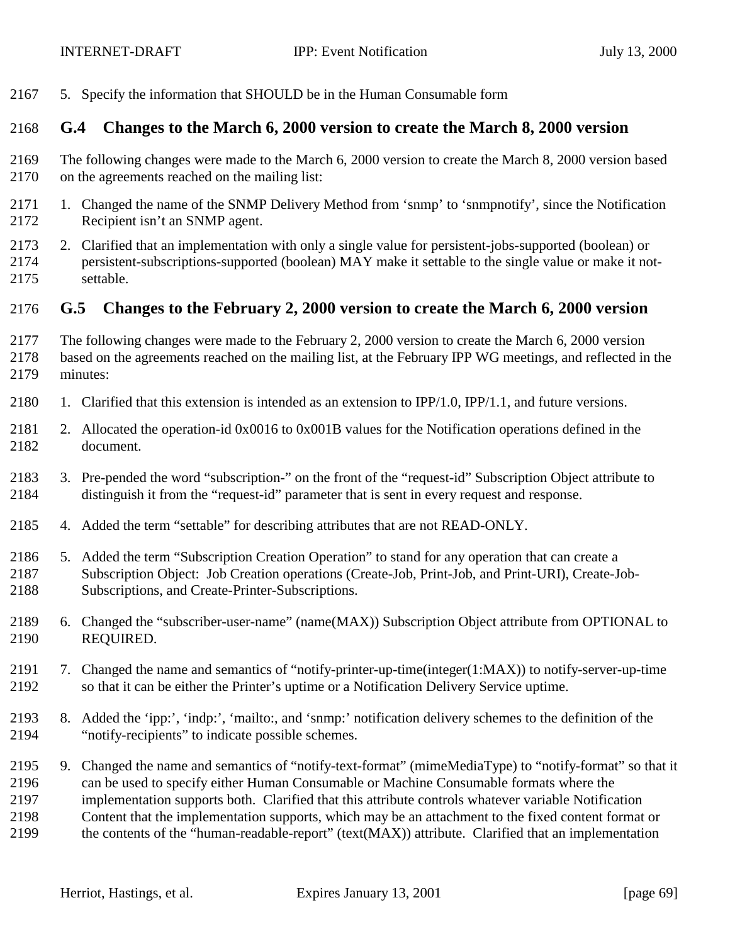5. Specify the information that SHOULD be in the Human Consumable form

### **G.4 Changes to the March 6, 2000 version to create the March 8, 2000 version**

- The following changes were made to the March 6, 2000 version to create the March 8, 2000 version based on the agreements reached on the mailing list:
- 1. Changed the name of the SNMP Delivery Method from 'snmp' to 'snmpnotify', since the Notification Recipient isn't an SNMP agent.
- 2. Clarified that an implementation with only a single value for persistent-jobs-supported (boolean) or persistent-subscriptions-supported (boolean) MAY make it settable to the single value or make it not-settable.

#### **G.5 Changes to the February 2, 2000 version to create the March 6, 2000 version**

- The following changes were made to the February 2, 2000 version to create the March 6, 2000 version based on the agreements reached on the mailing list, at the February IPP WG meetings, and reflected in the minutes:
- 1. Clarified that this extension is intended as an extension to IPP/1.0, IPP/1.1, and future versions.
- 2. Allocated the operation-id 0x0016 to 0x001B values for the Notification operations defined in the document.
- 3. Pre-pended the word "subscription-" on the front of the "request-id" Subscription Object attribute to distinguish it from the "request-id" parameter that is sent in every request and response.
- 4. Added the term "settable" for describing attributes that are not READ-ONLY.
- 5. Added the term "Subscription Creation Operation" to stand for any operation that can create a Subscription Object: Job Creation operations (Create-Job, Print-Job, and Print-URI), Create-Job-Subscriptions, and Create-Printer-Subscriptions.
- 6. Changed the "subscriber-user-name" (name(MAX)) Subscription Object attribute from OPTIONAL to REQUIRED.
- 7. Changed the name and semantics of "notify-printer-up-time(integer(1:MAX)) to notify-server-up-time so that it can be either the Printer's uptime or a Notification Delivery Service uptime.
- 8. Added the 'ipp:', 'indp:', 'mailto:, and 'snmp:' notification delivery schemes to the definition of the "notify-recipients" to indicate possible schemes.
- 9. Changed the name and semantics of "notify-text-format" (mimeMediaType) to "notify-format" so that it can be used to specify either Human Consumable or Machine Consumable formats where the implementation supports both. Clarified that this attribute controls whatever variable Notification Content that the implementation supports, which may be an attachment to the fixed content format or the contents of the "human-readable-report" (text(MAX)) attribute. Clarified that an implementation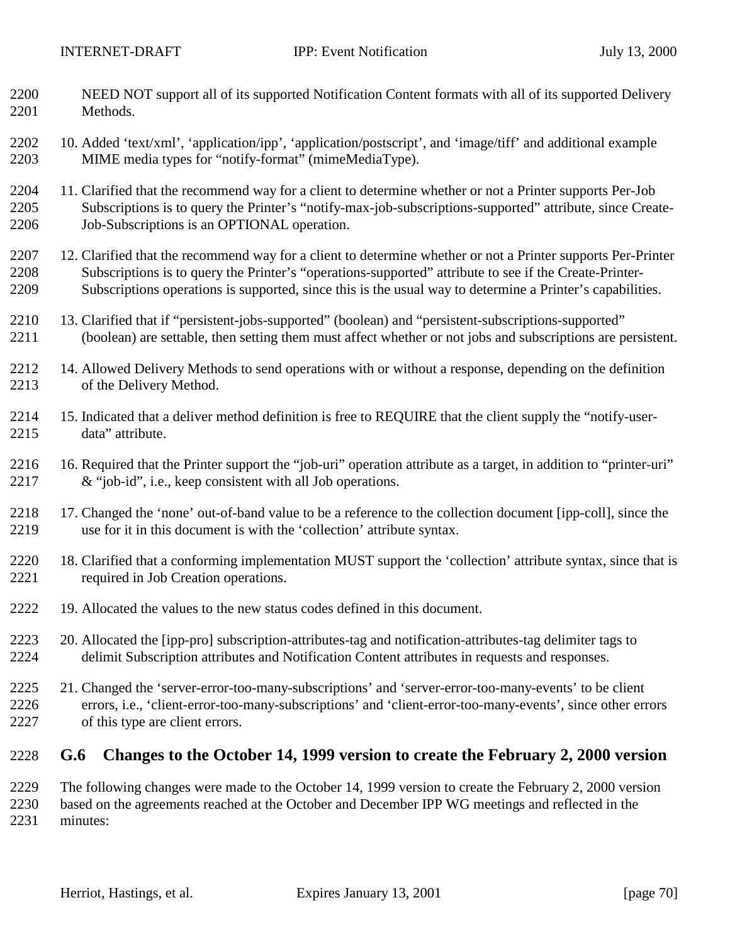- NEED NOT support all of its supported Notification Content formats with all of its supported Delivery Methods.
- 10. Added 'text/xml', 'application/ipp', 'application/postscript', and 'image/tiff' and additional example MIME media types for "notify-format" (mimeMediaType).
- 11. Clarified that the recommend way for a client to determine whether or not a Printer supports Per-Job Subscriptions is to query the Printer's "notify-max-job-subscriptions-supported" attribute, since Create-Job-Subscriptions is an OPTIONAL operation.
- 2207 12. Clarified that the recommend way for a client to determine whether or not a Printer supports Per-Printer Subscriptions is to query the Printer's "operations-supported" attribute to see if the Create-Printer-Subscriptions operations is supported, since this is the usual way to determine a Printer's capabilities.
- 13. Clarified that if "persistent-jobs-supported" (boolean) and "persistent-subscriptions-supported" (boolean) are settable, then setting them must affect whether or not jobs and subscriptions are persistent.
- 14. Allowed Delivery Methods to send operations with or without a response, depending on the definition of the Delivery Method.
- 15. Indicated that a deliver method definition is free to REQUIRE that the client supply the "notify-user-data" attribute.
- 16. Required that the Printer support the "job-uri" operation attribute as a target, in addition to "printer-uri" & "job-id", i.e., keep consistent with all Job operations.
- 2218 17. Changed the 'none' out-of-band value to be a reference to the collection document [ipp-coll], since the use for it in this document is with the 'collection' attribute syntax.
- 18. Clarified that a conforming implementation MUST support the 'collection' attribute syntax, since that is required in Job Creation operations.
- 19. Allocated the values to the new status codes defined in this document.
- 20. Allocated the [ipp-pro] subscription-attributes-tag and notification-attributes-tag delimiter tags to delimit Subscription attributes and Notification Content attributes in requests and responses.
- 21. Changed the 'server-error-too-many-subscriptions' and 'server-error-too-many-events' to be client errors, i.e., 'client-error-too-many-subscriptions' and 'client-error-too-many-events', since other errors of this type are client errors.

## **G.6 Changes to the October 14, 1999 version to create the February 2, 2000 version**

 The following changes were made to the October 14, 1999 version to create the February 2, 2000 version based on the agreements reached at the October and December IPP WG meetings and reflected in the

minutes: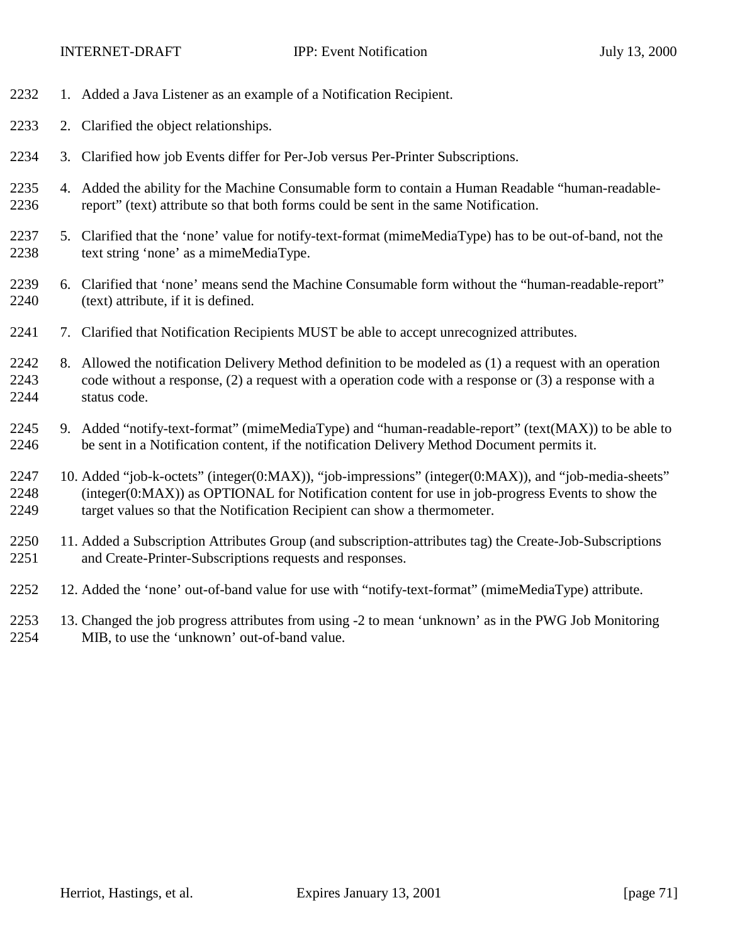- 1. Added a Java Listener as an example of a Notification Recipient.
- 2. Clarified the object relationships.
- 3. Clarified how job Events differ for Per-Job versus Per-Printer Subscriptions.
- 4. Added the ability for the Machine Consumable form to contain a Human Readable "human-readable-report" (text) attribute so that both forms could be sent in the same Notification.
- 5. Clarified that the 'none' value for notify-text-format (mimeMediaType) has to be out-of-band, not the text string 'none' as a mimeMediaType.
- 6. Clarified that 'none' means send the Machine Consumable form without the "human-readable-report" (text) attribute, if it is defined.
- 7. Clarified that Notification Recipients MUST be able to accept unrecognized attributes.
- 8. Allowed the notification Delivery Method definition to be modeled as (1) a request with an operation code without a response, (2) a request with a operation code with a response or (3) a response with a status code.
- 9. Added "notify-text-format" (mimeMediaType) and "human-readable-report" (text(MAX)) to be able to be sent in a Notification content, if the notification Delivery Method Document permits it.
- 10. Added "job-k-octets" (integer(0:MAX)), "job-impressions" (integer(0:MAX)), and "job-media-sheets" (integer(0:MAX)) as OPTIONAL for Notification content for use in job-progress Events to show the target values so that the Notification Recipient can show a thermometer.
- 11. Added a Subscription Attributes Group (and subscription-attributes tag) the Create-Job-Subscriptions and Create-Printer-Subscriptions requests and responses.
- 12. Added the 'none' out-of-band value for use with "notify-text-format" (mimeMediaType) attribute.
- 13. Changed the job progress attributes from using -2 to mean 'unknown' as in the PWG Job Monitoring MIB, to use the 'unknown' out-of-band value.